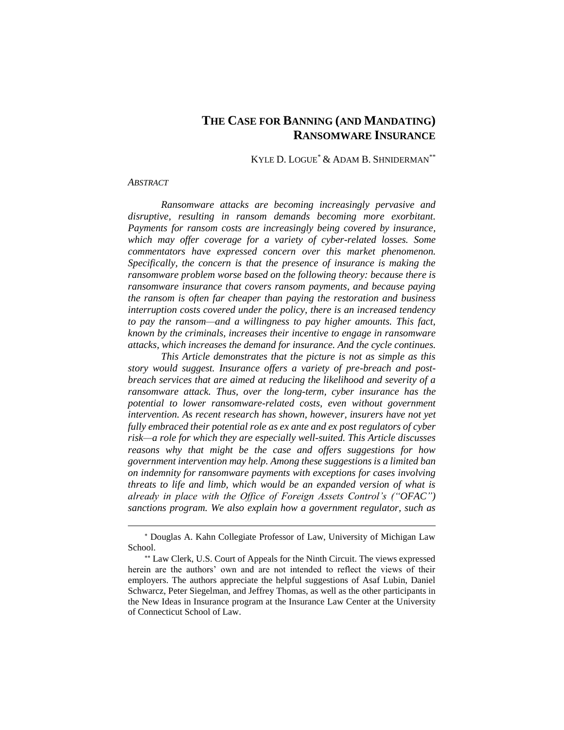# **THE CASE FOR BANNING (AND MANDATING) RANSOMWARE INSURANCE**

### KYLE D. LOGUE\* & ADAM B. SHNIDERMAN\*\*

#### *ABSTRACT*

 $\overline{a}$ 

*Ransomware attacks are becoming increasingly pervasive and disruptive, resulting in ransom demands becoming more exorbitant. Payments for ransom costs are increasingly being covered by insurance, which may offer coverage for a variety of cyber-related losses. Some commentators have expressed concern over this market phenomenon. Specifically, the concern is that the presence of insurance is making the ransomware problem worse based on the following theory: because there is ransomware insurance that covers ransom payments, and because paying the ransom is often far cheaper than paying the restoration and business interruption costs covered under the policy, there is an increased tendency to pay the ransom—and a willingness to pay higher amounts. This fact, known by the criminals, increases their incentive to engage in ransomware attacks, which increases the demand for insurance. And the cycle continues.*

*This Article demonstrates that the picture is not as simple as this story would suggest. Insurance offers a variety of pre-breach and postbreach services that are aimed at reducing the likelihood and severity of a ransomware attack. Thus, over the long-term, cyber insurance has the potential to lower ransomware-related costs, even without government intervention. As recent research has shown, however, insurers have not yet fully embraced their potential role as ex ante and ex post regulators of cyber risk—a role for which they are especially well-suited. This Article discusses reasons why that might be the case and offers suggestions for how government intervention may help. Among these suggestions is a limited ban on indemnity for ransomware payments with exceptions for cases involving threats to life and limb, which would be an expanded version of what is already in place with the Office of Foreign Assets Control's ("OFAC") sanctions program. We also explain how a government regulator, such as* 

Douglas A. Kahn Collegiate Professor of Law, University of Michigan Law School.

Law Clerk, U.S. Court of Appeals for the Ninth Circuit. The views expressed herein are the authors' own and are not intended to reflect the views of their employers. The authors appreciate the helpful suggestions of Asaf Lubin, Daniel Schwarcz, Peter Siegelman, and Jeffrey Thomas, as well as the other participants in the New Ideas in Insurance program at the Insurance Law Center at the University of Connecticut School of Law.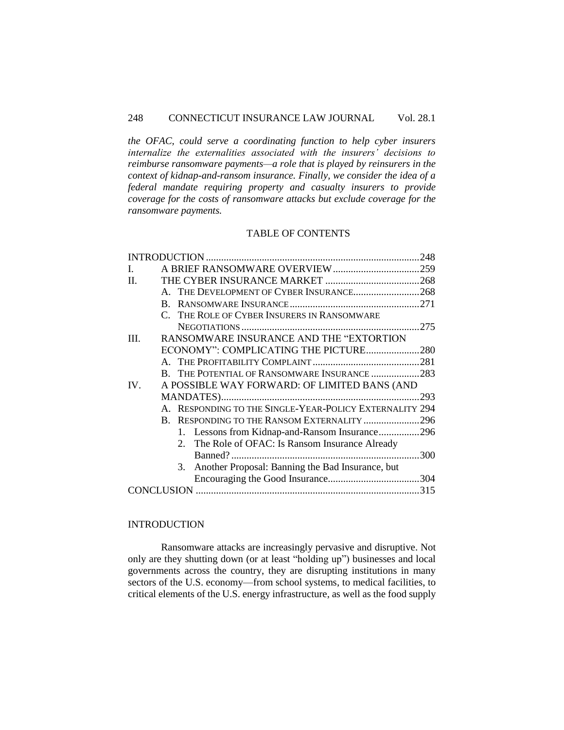*the OFAC, could serve a coordinating function to help cyber insurers internalize the externalities associated with the insurers' decisions to reimburse ransomware payments—a role that is played by reinsurers in the context of kidnap-and-ransom insurance. Finally, we consider the idea of a federal mandate requiring property and casualty insurers to provide coverage for the costs of ransomware attacks but exclude coverage for the ransomware payments.*

## TABLE OF CONTENTS

| L       |    |                                                         |      |
|---------|----|---------------------------------------------------------|------|
| $\Pi$ . |    |                                                         |      |
|         |    | A. THE DEVELOPMENT OF CYBER INSURANCE268                |      |
|         | R. |                                                         |      |
|         |    | C. THE ROLE OF CYBER INSURERS IN RANSOMWARE             |      |
|         |    |                                                         |      |
| III.    |    | RANSOMWARE INSURANCE AND THE "EXTORTION                 |      |
|         |    | ECONOMY": COMPLICATING THE PICTURE280                   |      |
|         |    |                                                         |      |
|         |    | B. THE POTENTIAL OF RANSOMWARE INSURANCE 283            |      |
| IV.     |    | A POSSIBLE WAY FORWARD: OF LIMITED BANS (AND            |      |
|         |    |                                                         | .293 |
|         |    | A. RESPONDING TO THE SINGLE-YEAR-POLICY EXTERNALITY 294 |      |
|         | R. | RESPONDING TO THE RANSOM EXTERNALITY 296                |      |
|         |    | 1. Lessons from Kidnap-and-Ransom Insurance296          |      |
|         |    | 2. The Role of OFAC: Is Ransom Insurance Already        |      |
|         |    |                                                         |      |
|         |    | Another Proposal: Banning the Bad Insurance, but<br>3.  |      |
|         |    |                                                         |      |
|         |    |                                                         |      |
|         |    |                                                         |      |

## <span id="page-1-0"></span>**INTRODUCTION**

Ransomware attacks are increasingly pervasive and disruptive. Not only are they shutting down (or at least "holding up") businesses and local governments across the country, they are disrupting institutions in many sectors of the U.S. economy—from school systems, to medical facilities, to critical elements of the U.S. energy infrastructure, as well as the food supply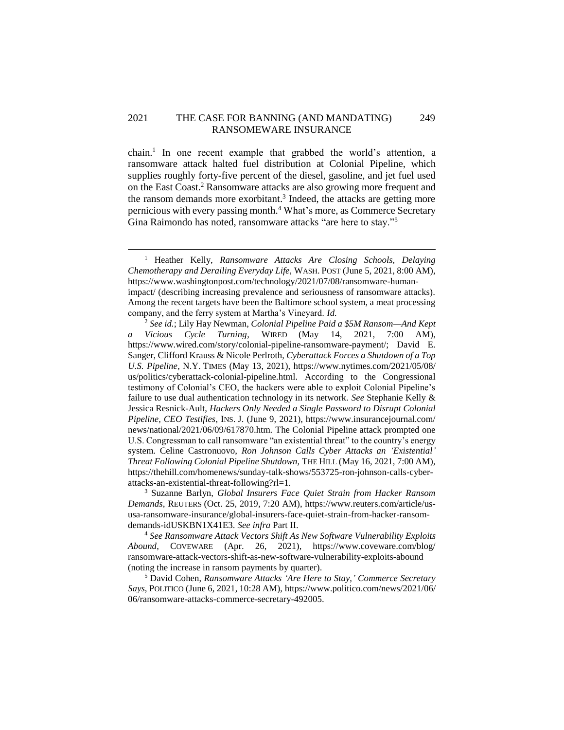## 2021 THE CASE FOR BANNING (AND MANDATING) 249 RANSOMEWARE INSURANCE

chain.<sup>1</sup> In one recent example that grabbed the world's attention, a ransomware attack halted fuel distribution at Colonial Pipeline, which supplies roughly forty-five percent of the diesel, gasoline, and jet fuel used on the East Coast.<sup>2</sup> Ransomware attacks are also growing more frequent and the ransom demands more exorbitant. 3 Indeed, the attacks are getting more pernicious with every passing month.<sup>4</sup> What's more, as Commerce Secretary Gina Raimondo has noted, ransomware attacks "are here to stay."<sup>5</sup>

<sup>1</sup> Heather Kelly, *Ransomware Attacks Are Closing Schools, Delaying Chemotherapy and Derailing Everyday Life,* WASH. POST (June 5, 2021, 8:00 AM), https://www.washingtonpost.com/technology/2021/07/08/ransomware-humanimpact/ (describing increasing prevalence and seriousness of ransomware attacks). Among the recent targets have been the Baltimore school system, a meat processing company, and the ferry system at Martha's Vineyard. *Id.*

<sup>2</sup> *See id.*; Lily Hay Newman, *Colonial Pipeline Paid a \$5M Ransom—And Kept a Vicious Cycle Turning*, WIRED (May 14, 2021, 7:00 AM), https://www.wired.com/story/colonial-pipeline-ransomware-payment/; David E. Sanger, Clifford Krauss & Nicole Perlroth, *Cyberattack Forces a Shutdown of a Top U.S. Pipeline*, N.Y. TIMES (May 13, 2021), https://www.nytimes.com/2021/05/08/ us/politics/cyberattack-colonial-pipeline.html. According to the Congressional testimony of Colonial's CEO, the hackers were able to exploit Colonial Pipeline's failure to use dual authentication technology in its network. *See* Stephanie Kelly & Jessica Resnick-Ault, *Hackers Only Needed a Single Password to Disrupt Colonial Pipeline, CEO Testifies*, INS. J. (June 9, 2021), https://www.insurancejournal.com/ news/national/2021/06/09/617870.htm. The Colonial Pipeline attack prompted one U.S. Congressman to call ransomware "an existential threat" to the country's energy system. Celine Castronuovo, *Ron Johnson Calls Cyber Attacks an 'Existential' Threat Following Colonial Pipeline Shutdown,* THE HILL (May 16, 2021, 7:00 AM), https://thehill.com/homenews/sunday-talk-shows/553725-ron-johnson-calls-cyberattacks-an-existential-threat-following?rl=1*.*

<sup>3</sup> Suzanne Barlyn, *Global Insurers Face Quiet Strain from Hacker Ransom Demands*, REUTERS (Oct. 25, 2019, 7:20 AM), https://www.reuters.com/article/ususa-ransomware-insurance/global-insurers-face-quiet-strain-from-hacker-ransomdemands-idUSKBN1X41E3. *See infra* Part II.

<sup>4</sup> *See Ransomware Attack Vectors Shift As New Software Vulnerability Exploits Abound*, COVEWARE (Apr. 26, 2021), https://www.coveware.com/blog/ ransomware-attack-vectors-shift-as-new-software-vulnerability-exploits-abound (noting the increase in ransom payments by quarter).

<sup>5</sup> David Cohen, *Ransomware Attacks 'Are Here to Stay,' Commerce Secretary Says*, POLITICO (June 6, 2021, 10:28 AM), https://www.politico.com/news/2021/06/ 06/ransomware-attacks-commerce-secretary-492005.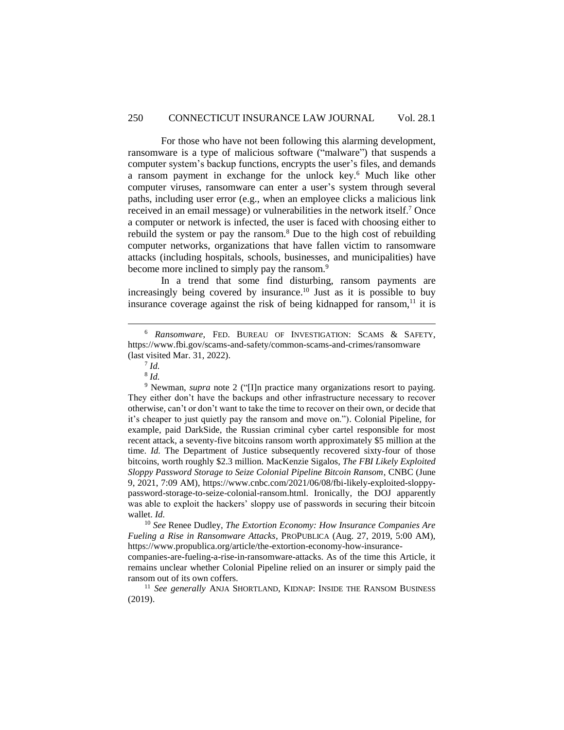For those who have not been following this alarming development, ransomware is a type of malicious software ("malware") that suspends a computer system's backup functions, encrypts the user's files, and demands a ransom payment in exchange for the unlock key. <sup>6</sup> Much like other computer viruses, ransomware can enter a user's system through several paths, including user error (e.g., when an employee clicks a malicious link received in an email message) or vulnerabilities in the network itself. <sup>7</sup> Once a computer or network is infected, the user is faced with choosing either to rebuild the system or pay the ransom.<sup>8</sup> Due to the high cost of rebuilding computer networks, organizations that have fallen victim to ransomware attacks (including hospitals, schools, businesses, and municipalities) have become more inclined to simply pay the ransom.<sup>9</sup>

In a trend that some find disturbing, ransom payments are increasingly being covered by insurance. <sup>10</sup> Just as it is possible to buy insurance coverage against the risk of being kidnapped for ransom,<sup>11</sup> it is

<sup>6</sup> *Ransomware*, FED. BUREAU OF INVESTIGATION: SCAMS & SAFETY, https://www.fbi.gov/scams-and-safety/common-scams-and-crimes/ransomware (last visited Mar. 31, 2022).

<sup>7</sup> *Id.*

<sup>8</sup> *Id.*

<sup>&</sup>lt;sup>9</sup> Newman, *supra* note 2 ("[I]n practice many organizations resort to paying. They either don't have the backups and other infrastructure necessary to recover otherwise, can't or don't want to take the time to recover on their own, or decide that it's cheaper to just quietly pay the ransom and move on."). Colonial Pipeline, for example, paid DarkSide, the Russian criminal cyber cartel responsible for most recent attack, a seventy-five bitcoins ransom worth approximately \$5 million at the time. *Id.* The Department of Justice subsequently recovered sixty-four of those bitcoins, worth roughly \$2.3 million. MacKenzie Sigalos, *The FBI Likely Exploited Sloppy Password Storage to Seize Colonial Pipeline Bitcoin Ransom*, CNBC (June 9, 2021, 7:09 AM), https://www.cnbc.com/2021/06/08/fbi-likely-exploited-sloppypassword-storage-to-seize-colonial-ransom.html. Ironically, the DOJ apparently was able to exploit the hackers' sloppy use of passwords in securing their bitcoin wallet. *Id.*

<sup>10</sup> *See* Renee Dudley, *The Extortion Economy: How Insurance Companies Are Fueling a Rise in Ransomware Attacks*, PROPUBLICA (Aug. 27, 2019, 5:00 AM), https://www.propublica.org/article/the-extortion-economy-how-insurance-

companies-are-fueling-a-rise-in-ransomware-attacks. As of the time this Article, it remains unclear whether Colonial Pipeline relied on an insurer or simply paid the ransom out of its own coffers.

<sup>&</sup>lt;sup>11</sup> See generally ANJA SHORTLAND, KIDNAP: INSIDE THE RANSOM BUSINESS (2019).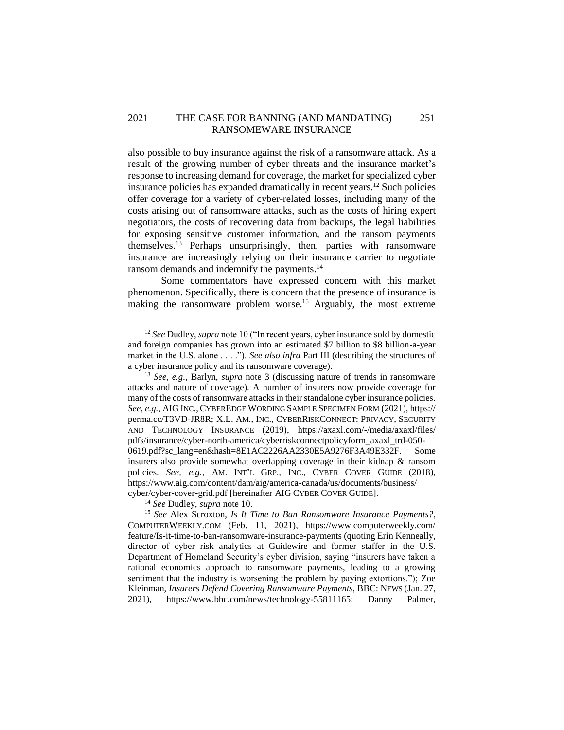## 2021 THE CASE FOR BANNING (AND MANDATING) 251 RANSOMEWARE INSURANCE

also possible to buy insurance against the risk of a ransomware attack. As a result of the growing number of cyber threats and the insurance market's response to increasing demand for coverage, the market for specialized cyber insurance policies has expanded dramatically in recent years. <sup>12</sup> Such policies offer coverage for a variety of cyber-related losses, including many of the costs arising out of ransomware attacks, such as the costs of hiring expert negotiators, the costs of recovering data from backups, the legal liabilities for exposing sensitive customer information, and the ransom payments themselves. <sup>13</sup> Perhaps unsurprisingly, then, parties with ransomware insurance are increasingly relying on their insurance carrier to negotiate ransom demands and indemnify the payments.<sup>14</sup>

Some commentators have expressed concern with this market phenomenon. Specifically, there is concern that the presence of insurance is making the ransomware problem worse.<sup>15</sup> Arguably, the most extreme

<sup>14</sup> *See* Dudley, *supra* note 10.

<sup>12</sup> *See* Dudley, *supra* note 10 ("In recent years, cyber insurance sold by domestic and foreign companies has grown into an estimated \$7 billion to \$8 billion-a-year market in the U.S. alone . . . ."). *See also infra* Part III (describing the structures of a cyber insurance policy and its ransomware coverage).

<sup>13</sup> *See, e.g.*, Barlyn, *supra* note 3 (discussing nature of trends in ransomware attacks and nature of coverage). A number of insurers now provide coverage for many of the costs of ransomware attacks in their standalone cyber insurance policies. *See, e.g.*, AIG INC., CYBEREDGE WORDING SAMPLE SPECIMEN FORM (2021), https:// perma.cc/T3VD-JR8R; X.L. AM., INC., CYBERRISKCONNECT: PRIVACY, SECURITY AND TECHNOLOGY INSURANCE (2019), https://axaxl.com/-/media/axaxl/files/ pdfs/insurance/cyber-north-america/cyberriskconnectpolicyform\_axaxl\_trd-050- 0619.pdf?sc\_lang=en&hash=8E1AC2226AA2330E5A9276F3A49E332F. Some insurers also provide somewhat overlapping coverage in their kidnap & ransom policies. *See, e.g.*, AM. INT'L GRP., INC., CYBER COVER GUIDE (2018), https://www.aig.com/content/dam/aig/america-canada/us/documents/business/ cyber/cyber-cover-grid.pdf [hereinafter AIG CYBER COVER GUIDE].

<sup>15</sup> *See* Alex Scroxton, *Is It Time to Ban Ransomware Insurance Payments?*, COMPUTERWEEKLY.COM (Feb. 11, 2021), https://www.computerweekly.com/ feature/Is-it-time-to-ban-ransomware-insurance-payments (quoting Erin Kenneally, director of cyber risk analytics at Guidewire and former staffer in the U.S. Department of Homeland Security's cyber division, saying "insurers have taken a rational economics approach to ransomware payments, leading to a growing sentiment that the industry is worsening the problem by paying extortions."); Zoe Kleinman, *Insurers Defend Covering Ransomware Payments*, BBC: NEWS (Jan. 27, 2021), https://www.bbc.com/news/technology-55811165; Danny Palmer,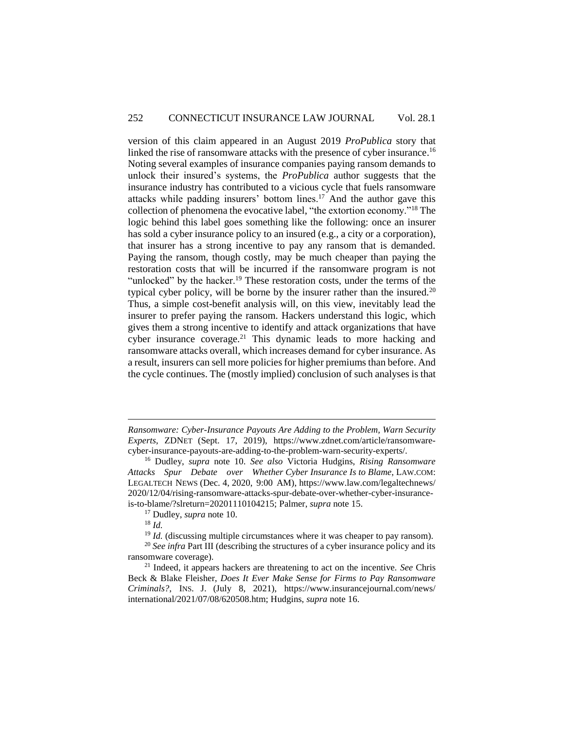version of this claim appeared in an August 2019 *ProPublica* story that linked the rise of ransomware attacks with the presence of cyber insurance.<sup>16</sup> Noting several examples of insurance companies paying ransom demands to unlock their insured's systems, the *ProPublica* author suggests that the insurance industry has contributed to a vicious cycle that fuels ransomware attacks while padding insurers' bottom lines.<sup>17</sup> And the author gave this collection of phenomena the evocative label, "the extortion economy."<sup>18</sup> The logic behind this label goes something like the following: once an insurer has sold a cyber insurance policy to an insured (e.g., a city or a corporation), that insurer has a strong incentive to pay any ransom that is demanded. Paying the ransom, though costly, may be much cheaper than paying the restoration costs that will be incurred if the ransomware program is not "unlocked" by the hacker.<sup>19</sup> These restoration costs, under the terms of the typical cyber policy, will be borne by the insurer rather than the insured.<sup>20</sup> Thus, a simple cost-benefit analysis will, on this view, inevitably lead the insurer to prefer paying the ransom. Hackers understand this logic, which gives them a strong incentive to identify and attack organizations that have cyber insurance coverage.<sup>21</sup> This dynamic leads to more hacking and ransomware attacks overall, which increases demand for cyber insurance. As a result, insurers can sell more policies for higher premiums than before. And the cycle continues. The (mostly implied) conclusion of such analyses is that

*Ransomware: Cyber-Insurance Payouts Are Adding to the Problem, Warn Security Experts*, ZDNET (Sept. 17, 2019), https://www.zdnet.com/article/ransomwarecyber-insurance-payouts-are-adding-to-the-problem-warn-security-experts/.

<sup>16</sup> Dudley, *supra* note 10. *See also* Victoria Hudgins, *Rising Ransomware Attacks Spur Debate over Whether Cyber Insurance Is to Blame*, LAW.COM: LEGALTECH NEWS (Dec. 4, 2020, 9:00 AM), https://www.law.com/legaltechnews/ 2020/12/04/rising-ransomware-attacks-spur-debate-over-whether-cyber-insuranceis-to-blame/?slreturn=20201110104215; Palmer, *supra* note 15.

<sup>17</sup> Dudley, *supra* note 10.

<sup>18</sup> *Id.*

<sup>&</sup>lt;sup>19</sup> *Id.* (discussing multiple circumstances where it was cheaper to pay ransom).

<sup>20</sup> *See infra* Part III (describing the structures of a cyber insurance policy and its ransomware coverage).

<sup>21</sup> Indeed, it appears hackers are threatening to act on the incentive. *See* Chris Beck & Blake Fleisher, *Does It Ever Make Sense for Firms to Pay Ransomware Criminals?*, INS. J. (July 8, 2021), https://www.insurancejournal.com/news/ international/2021/07/08/620508.htm; Hudgins, *supra* note 16.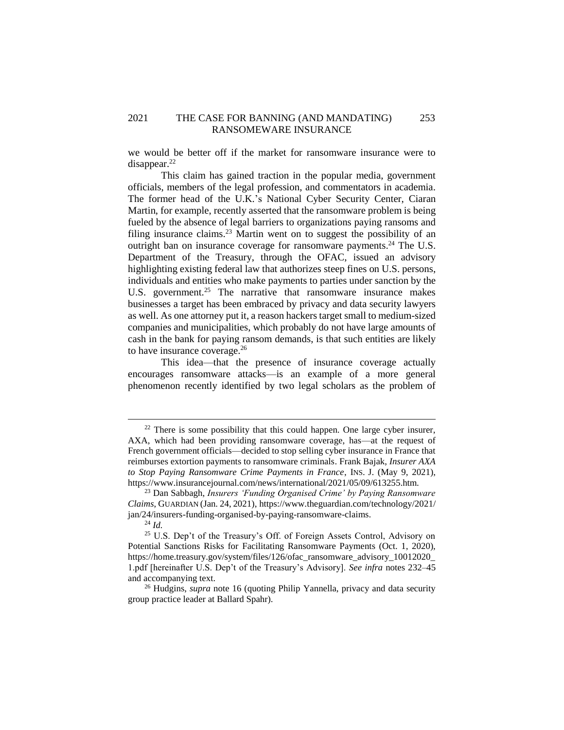## 2021 THE CASE FOR BANNING (AND MANDATING) 253 RANSOMEWARE INSURANCE

we would be better off if the market for ransomware insurance were to disappear.<sup>22</sup>

This claim has gained traction in the popular media, government officials, members of the legal profession, and commentators in academia. The former head of the U.K.'s National Cyber Security Center, Ciaran Martin, for example, recently asserted that the ransomware problem is being fueled by the absence of legal barriers to organizations paying ransoms and filing insurance claims.<sup>23</sup> Martin went on to suggest the possibility of an outright ban on insurance coverage for ransomware payments.<sup>24</sup> The U.S. Department of the Treasury, through the OFAC, issued an advisory highlighting existing federal law that authorizes steep fines on U.S. persons, individuals and entities who make payments to parties under sanction by the U.S. government.<sup>25</sup> The narrative that ransomware insurance makes businesses a target has been embraced by privacy and data security lawyers as well. As one attorney put it, a reason hackers target small to medium-sized companies and municipalities, which probably do not have large amounts of cash in the bank for paying ransom demands, is that such entities are likely to have insurance coverage.<sup>26</sup>

This idea—that the presence of insurance coverage actually encourages ransomware attacks—is an example of a more general phenomenon recently identified by two legal scholars as the problem of

 $22$  There is some possibility that this could happen. One large cyber insurer, AXA, which had been providing ransomware coverage, has—at the request of French government officials—decided to stop selling cyber insurance in France that reimburses extortion payments to ransomware criminals. Frank Bajak, *Insurer AXA to Stop Paying Ransomware Crime Payments in France*, INS. J. (May 9, 2021), https://www.insurancejournal.com/news/international/2021/05/09/613255.htm.

<sup>23</sup> Dan Sabbagh, *Insurers 'Funding Organised Crime' by Paying Ransomware Claims*, GUARDIAN (Jan. 24, 2021), https://www.theguardian.com/technology/2021/ jan/24/insurers-funding-organised-by-paying-ransomware-claims.

<sup>24</sup> *Id.*

<sup>&</sup>lt;sup>25</sup> U.S. Dep't of the Treasury's Off. of Foreign Assets Control, Advisory on Potential Sanctions Risks for Facilitating Ransomware Payments (Oct. 1, 2020), https://home.treasury.gov/system/files/126/ofac\_ransomware\_advisory\_10012020\_ 1.pdf [hereinafter U.S. Dep't of the Treasury's Advisory]. *See infra* notes 232–45 and accompanying text.

<sup>&</sup>lt;sup>26</sup> Hudgins, *supra* note 16 (quoting Philip Yannella, privacy and data security group practice leader at Ballard Spahr).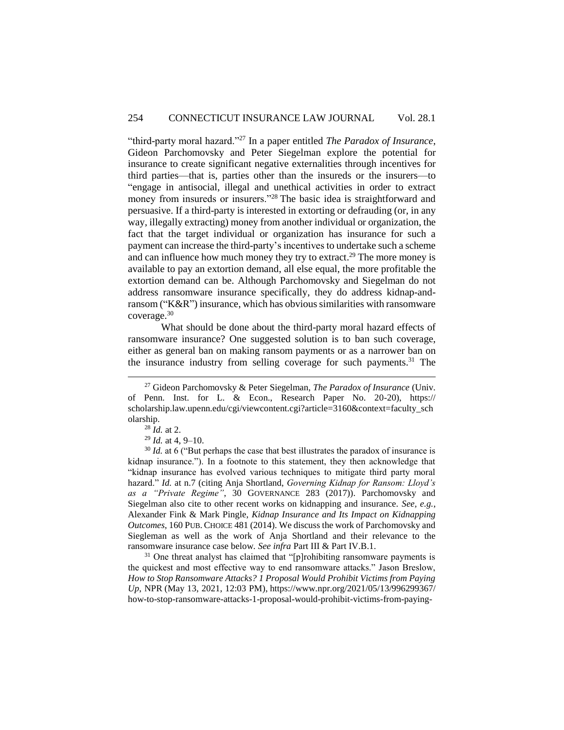"third-party moral hazard."<sup>27</sup> In a paper entitled *The Paradox of Insurance*, Gideon Parchomovsky and Peter Siegelman explore the potential for insurance to create significant negative externalities through incentives for third parties—that is, parties other than the insureds or the insurers—to "engage in antisocial, illegal and unethical activities in order to extract money from insureds or insurers."<sup>28</sup> The basic idea is straightforward and persuasive. If a third-party is interested in extorting or defrauding (or, in any way, illegally extracting) money from another individual or organization, the fact that the target individual or organization has insurance for such a payment can increase the third-party's incentives to undertake such a scheme and can influence how much money they try to extract.<sup>29</sup> The more money is available to pay an extortion demand, all else equal, the more profitable the extortion demand can be. Although Parchomovsky and Siegelman do not address ransomware insurance specifically, they do address kidnap-andransom ("K&R") insurance, which has obvious similarities with ransomware coverage. 30

What should be done about the third-party moral hazard effects of ransomware insurance? One suggested solution is to ban such coverage, either as general ban on making ransom payments or as a narrower ban on the insurance industry from selling coverage for such payments.<sup>31</sup> The

 $\overline{a}$ 

 $31$  One threat analyst has claimed that "[p]rohibiting ransomware payments is the quickest and most effective way to end ransomware attacks." Jason Breslow, *How to Stop Ransomware Attacks? 1 Proposal Would Prohibit Victims from Paying Up*, NPR (May 13, 2021, 12:03 PM), https://www.npr.org/2021/05/13/996299367/ how-to-stop-ransomware-attacks-1-proposal-would-prohibit-victims-from-paying-

<sup>27</sup> Gideon Parchomovsky & Peter Siegelman, *The Paradox of Insurance* (Univ. of Penn. Inst. for L. & Econ., Research Paper No. 20-20), https:// scholarship.law.upenn.edu/cgi/viewcontent.cgi?article=3160&context=faculty\_sch olarship.

<sup>28</sup> *Id.* at 2.

<sup>29</sup> *Id.* at 4, 9–10.

<sup>&</sup>lt;sup>30</sup> *Id.* at 6 ("But perhaps the case that best illustrates the paradox of insurance is kidnap insurance."). In a footnote to this statement, they then acknowledge that "kidnap insurance has evolved various techniques to mitigate third party moral hazard." *Id.* at n.7 (citing Anja Shortland, *Governing Kidnap for Ransom: Lloyd's as a "Private Regime"*, 30 GOVERNANCE 283 (2017)). Parchomovsky and Siegelman also cite to other recent works on kidnapping and insurance. *See, e.g.*, Alexander Fink & Mark Pingle, *Kidnap Insurance and Its Impact on Kidnapping Outcomes*, 160 PUB. CHOICE 481 (2014). We discuss the work of Parchomovsky and Siegleman as well as the work of Anja Shortland and their relevance to the ransomware insurance case below. *See infra* Part III & Part IV.B.1.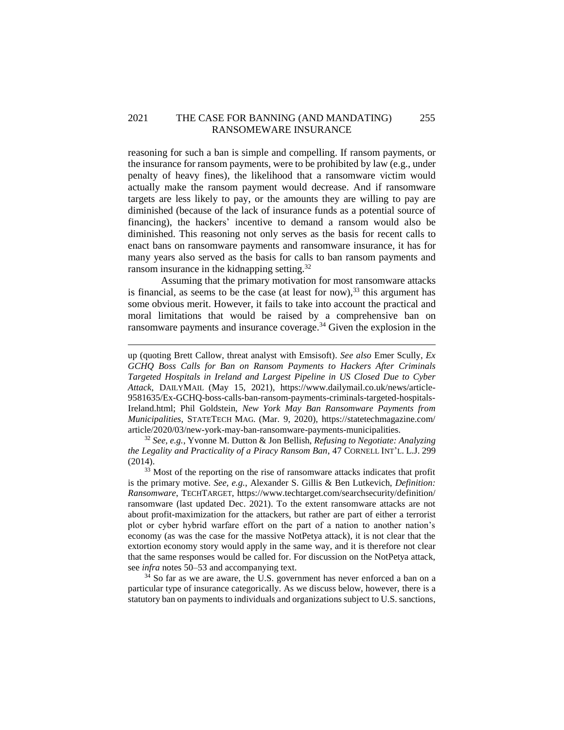## 2021 THE CASE FOR BANNING (AND MANDATING) 255 RANSOMEWARE INSURANCE

reasoning for such a ban is simple and compelling. If ransom payments, or the insurance for ransom payments, were to be prohibited by law (e.g., under penalty of heavy fines), the likelihood that a ransomware victim would actually make the ransom payment would decrease. And if ransomware targets are less likely to pay, or the amounts they are willing to pay are diminished (because of the lack of insurance funds as a potential source of financing), the hackers' incentive to demand a ransom would also be diminished. This reasoning not only serves as the basis for recent calls to enact bans on ransomware payments and ransomware insurance, it has for many years also served as the basis for calls to ban ransom payments and ransom insurance in the kidnapping setting.<sup>32</sup>

Assuming that the primary motivation for most ransomware attacks is financial, as seems to be the case (at least for now), $33$  this argument has some obvious merit. However, it fails to take into account the practical and moral limitations that would be raised by a comprehensive ban on ransomware payments and insurance coverage. <sup>34</sup> Given the explosion in the

 $\overline{a}$ 

<sup>32</sup> *See, e.g.*, Yvonne M. Dutton & Jon Bellish, *Refusing to Negotiate: Analyzing the Legality and Practicality of a Piracy Ransom Ban*, 47 CORNELL INT'L. L.J. 299 (2014).

<sup>33</sup> Most of the reporting on the rise of ransomware attacks indicates that profit is the primary motive. *See, e.g.*, Alexander S. Gillis & Ben Lutkevich, *Definition: Ransomware*, TECHTARGET, https://www.techtarget.com/searchsecurity/definition/ ransomware (last updated Dec. 2021). To the extent ransomware attacks are not about profit-maximization for the attackers, but rather are part of either a terrorist plot or cyber hybrid warfare effort on the part of a nation to another nation's economy (as was the case for the massive NotPetya attack), it is not clear that the extortion economy story would apply in the same way, and it is therefore not clear that the same responses would be called for. For discussion on the NotPetya attack, see *infra* notes 50–53 and accompanying text.

 $34$  So far as we are aware, the U.S. government has never enforced a ban on a particular type of insurance categorically. As we discuss below, however, there is a statutory ban on payments to individuals and organizations subject to U.S. sanctions,

up (quoting Brett Callow, threat analyst with Emsisoft). *See also* Emer Scully, *Ex GCHQ Boss Calls for Ban on Ransom Payments to Hackers After Criminals Targeted Hospitals in Ireland and Largest Pipeline in US Closed Due to Cyber Attack*, DAILYMAIL (May 15, 2021), https://www.dailymail.co.uk/news/article-9581635/Ex-GCHQ-boss-calls-ban-ransom-payments-criminals-targeted-hospitals-Ireland.html; Phil Goldstein, *New York May Ban Ransomware Payments from Municipalities*, STATETECH MAG. (Mar. 9, 2020), https://statetechmagazine.com/ article/2020/03/new-york-may-ban-ransomware-payments-municipalities.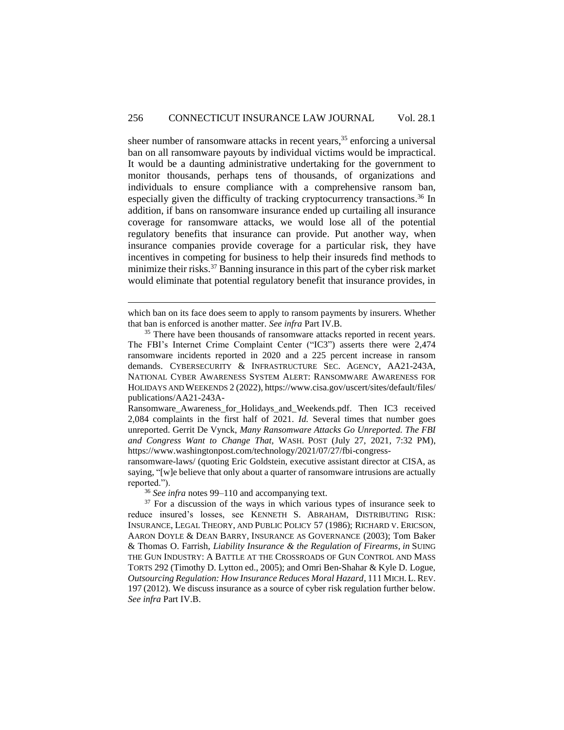sheer number of ransomware attacks in recent years, <sup>35</sup> enforcing a universal ban on all ransomware payouts by individual victims would be impractical. It would be a daunting administrative undertaking for the government to monitor thousands, perhaps tens of thousands, of organizations and individuals to ensure compliance with a comprehensive ransom ban, especially given the difficulty of tracking cryptocurrency transactions.<sup>36</sup> In addition, if bans on ransomware insurance ended up curtailing all insurance coverage for ransomware attacks, we would lose all of the potential regulatory benefits that insurance can provide. Put another way, when insurance companies provide coverage for a particular risk, they have incentives in competing for business to help their insureds find methods to minimize their risks.<sup>37</sup> Banning insurance in this part of the cyber risk market would eliminate that potential regulatory benefit that insurance provides, in

<sup>36</sup> *See infra* notes 99–110 and accompanying text.

which ban on its face does seem to apply to ransom payments by insurers. Whether that ban is enforced is another matter. *See infra* Part IV.B.

<sup>&</sup>lt;sup>35</sup> There have been thousands of ransomware attacks reported in recent years. The FBI's Internet Crime Complaint Center ("IC3") asserts there were 2,474 ransomware incidents reported in 2020 and a 225 percent increase in ransom demands. CYBERSECURITY & INFRASTRUCTURE SEC. AGENCY, AA21-243A, NATIONAL CYBER AWARENESS SYSTEM ALERT: RANSOMWARE AWARENESS FOR HOLIDAYS AND WEEKENDS 2 (2022), https://www.cisa.gov/uscert/sites/default/files/ publications/AA21-243A-

Ransomware Awareness for Holidays and Weekends.pdf. Then IC3 received 2,084 complaints in the first half of 2021. *Id.* Several times that number goes unreported. Gerrit De Vynck, *Many Ransomware Attacks Go Unreported. The FBI and Congress Want to Change That,* WASH. POST (July 27, 2021, 7:32 PM), https://www.washingtonpost.com/technology/2021/07/27/fbi-congress-

ransomware-laws/ (quoting Eric Goldstein, executive assistant director at CISA, as saying, "[w]e believe that only about a quarter of ransomware intrusions are actually reported.").

 $37$  For a discussion of the ways in which various types of insurance seek to reduce insured's losses, see KENNETH S. ABRAHAM, DISTRIBUTING RISK: INSURANCE, LEGAL THEORY, AND PUBLIC POLICY 57 (1986); RICHARD V. ERICSON, AARON DOYLE & DEAN BARRY, INSURANCE AS GOVERNANCE (2003); Tom Baker & Thomas O. Farrish, *Liability Insurance & the Regulation of Firearms*, *in* SUING THE GUN INDUSTRY: A BATTLE AT THE CROSSROADS OF GUN CONTROL AND MASS TORTS 292 (Timothy D. Lytton ed., 2005); and Omri Ben-Shahar & Kyle D. Logue, *Outsourcing Regulation: How Insurance Reduces Moral Hazard*, 111 MICH. L. REV. 197 (2012). We discuss insurance as a source of cyber risk regulation further below. *See infra* Part IV.B.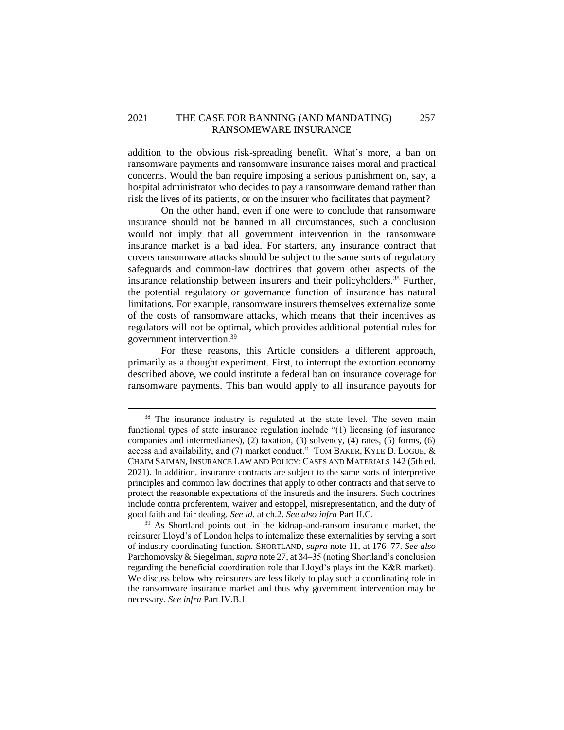## 2021 THE CASE FOR BANNING (AND MANDATING) 257 RANSOMEWARE INSURANCE

addition to the obvious risk-spreading benefit. What's more, a ban on ransomware payments and ransomware insurance raises moral and practical concerns. Would the ban require imposing a serious punishment on, say, a hospital administrator who decides to pay a ransomware demand rather than risk the lives of its patients, or on the insurer who facilitates that payment?

On the other hand, even if one were to conclude that ransomware insurance should not be banned in all circumstances, such a conclusion would not imply that all government intervention in the ransomware insurance market is a bad idea. For starters, any insurance contract that covers ransomware attacks should be subject to the same sorts of regulatory safeguards and common-law doctrines that govern other aspects of the insurance relationship between insurers and their policyholders.<sup>38</sup> Further, the potential regulatory or governance function of insurance has natural limitations. For example, ransomware insurers themselves externalize some of the costs of ransomware attacks, which means that their incentives as regulators will not be optimal, which provides additional potential roles for government intervention.<sup>39</sup>

For these reasons, this Article considers a different approach, primarily as a thought experiment. First, to interrupt the extortion economy described above, we could institute a federal ban on insurance coverage for ransomware payments. This ban would apply to all insurance payouts for

<sup>&</sup>lt;sup>38</sup> The insurance industry is regulated at the state level. The seven main functional types of state insurance regulation include "(1) licensing (of insurance companies and intermediaries), (2) taxation, (3) solvency, (4) rates, (5) forms, (6) access and availability, and (7) market conduct." TOM BAKER, KYLE D. LOGUE, & CHAIM SAIMAN, INSURANCE LAW AND POLICY: CASES AND MATERIALS 142 (5th ed. 2021). In addition, insurance contracts are subject to the same sorts of interpretive principles and common law doctrines that apply to other contracts and that serve to protect the reasonable expectations of the insureds and the insurers. Such doctrines include contra proferentem, waiver and estoppel, misrepresentation, and the duty of good faith and fair dealing. *See id.* at ch.2. *See also infra* Part II.C.

<sup>&</sup>lt;sup>39</sup> As Shortland points out, in the kidnap-and-ransom insurance market, the reinsurer Lloyd's of London helps to internalize these externalities by serving a sort of industry coordinating function. SHORTLAND, *supra* note 11, at 176–77. *See also* Parchomovsky & Siegelman, *supra* note 27, at 34–35 (noting Shortland's conclusion regarding the beneficial coordination role that Lloyd's plays int the K&R market). We discuss below why reinsurers are less likely to play such a coordinating role in the ransomware insurance market and thus why government intervention may be necessary. *See infra* Part IV.B.1.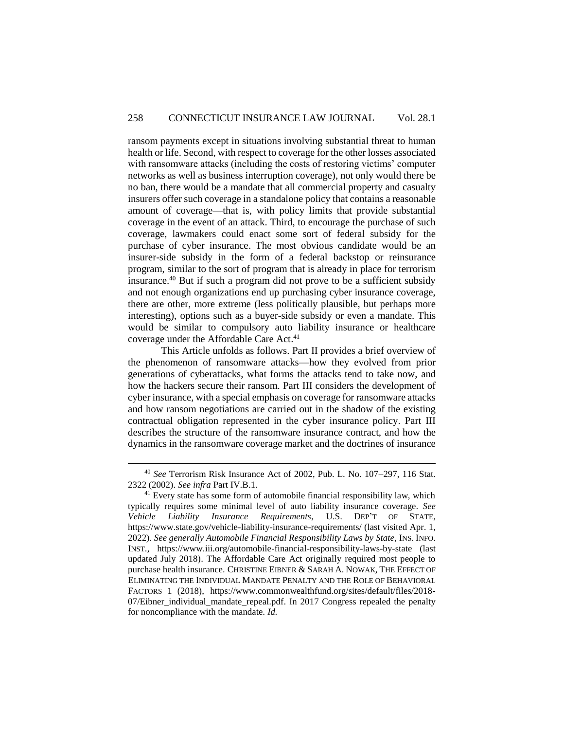ransom payments except in situations involving substantial threat to human health or life. Second, with respect to coverage for the other losses associated with ransomware attacks (including the costs of restoring victims' computer networks as well as business interruption coverage), not only would there be no ban, there would be a mandate that all commercial property and casualty insurers offer such coverage in a standalone policy that contains a reasonable amount of coverage—that is, with policy limits that provide substantial coverage in the event of an attack. Third, to encourage the purchase of such coverage, lawmakers could enact some sort of federal subsidy for the purchase of cyber insurance. The most obvious candidate would be an insurer-side subsidy in the form of a federal backstop or reinsurance program, similar to the sort of program that is already in place for terrorism insurance. <sup>40</sup> But if such a program did not prove to be a sufficient subsidy and not enough organizations end up purchasing cyber insurance coverage, there are other, more extreme (less politically plausible, but perhaps more interesting), options such as a buyer-side subsidy or even a mandate. This would be similar to compulsory auto liability insurance or healthcare coverage under the Affordable Care Act.<sup>41</sup>

This Article unfolds as follows. Part II provides a brief overview of the phenomenon of ransomware attacks—how they evolved from prior generations of cyberattacks, what forms the attacks tend to take now, and how the hackers secure their ransom. Part III considers the development of cyber insurance, with a special emphasis on coverage for ransomware attacks and how ransom negotiations are carried out in the shadow of the existing contractual obligation represented in the cyber insurance policy. Part III describes the structure of the ransomware insurance contract, and how the dynamics in the ransomware coverage market and the doctrines of insurance

<sup>40</sup> *See* Terrorism Risk Insurance Act of 2002, Pub. L. No. 107–297, 116 Stat. 2322 (2002). *See infra* Part IV.B.1.

<sup>&</sup>lt;sup>41</sup> Every state has some form of automobile financial responsibility law, which typically requires some minimal level of auto liability insurance coverage. *See Vehicle Liability Insurance Requirements*, U.S. DEP'T OF STATE, https://www.state.gov/vehicle-liability-insurance-requirements/ (last visited Apr. 1, 2022). *See generally Automobile Financial Responsibility Laws by State*, INS. INFO. INST., https://www.iii.org/automobile-financial-responsibility-laws-by-state (last updated July 2018). The Affordable Care Act originally required most people to purchase health insurance. CHRISTINE EIBNER & SARAH A. NOWAK, THE EFFECT OF ELIMINATING THE INDIVIDUAL MANDATE PENALTY AND THE ROLE OF BEHAVIORAL FACTORS 1 (2018), https://www.commonwealthfund.org/sites/default/files/2018- 07/Eibner\_individual\_mandate\_repeal.pdf. In 2017 Congress repealed the penalty for noncompliance with the mandate. *Id.*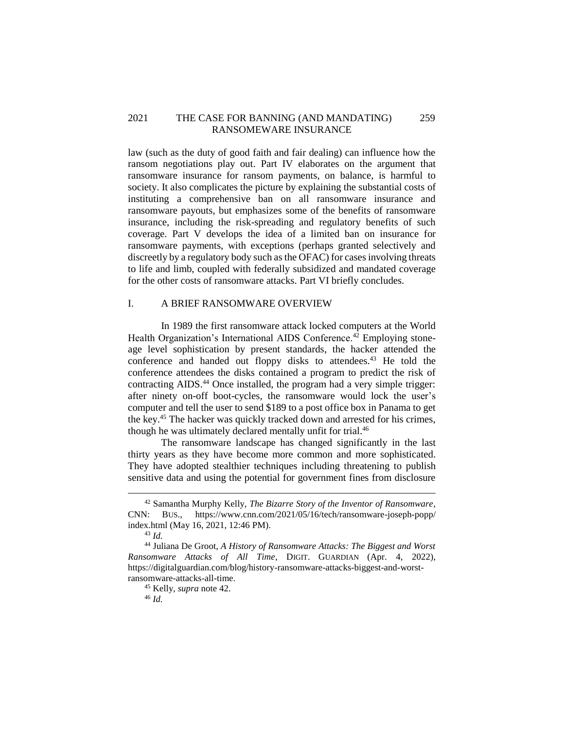## 2021 THE CASE FOR BANNING (AND MANDATING) 259 RANSOMEWARE INSURANCE

law (such as the duty of good faith and fair dealing) can influence how the ransom negotiations play out. Part IV elaborates on the argument that ransomware insurance for ransom payments, on balance, is harmful to society. It also complicates the picture by explaining the substantial costs of instituting a comprehensive ban on all ransomware insurance and ransomware payouts, but emphasizes some of the benefits of ransomware insurance, including the risk-spreading and regulatory benefits of such coverage. Part V develops the idea of a limited ban on insurance for ransomware payments, with exceptions (perhaps granted selectively and discreetly by a regulatory body such as the OFAC) for cases involving threats to life and limb, coupled with federally subsidized and mandated coverage for the other costs of ransomware attacks. Part VI briefly concludes.

## <span id="page-12-0"></span>I. A BRIEF RANSOMWARE OVERVIEW

In 1989 the first ransomware attack locked computers at the World Health Organization's International AIDS Conference.<sup>42</sup> Employing stoneage level sophistication by present standards, the hacker attended the conference and handed out floppy disks to attendees.<sup>43</sup> He told the conference attendees the disks contained a program to predict the risk of contracting AIDS.<sup>44</sup> Once installed, the program had a very simple trigger: after ninety on-off boot-cycles, the ransomware would lock the user's computer and tell the user to send \$189 to a post office box in Panama to get the key. <sup>45</sup> The hacker was quickly tracked down and arrested for his crimes, though he was ultimately declared mentally unfit for trial.<sup>46</sup>

The ransomware landscape has changed significantly in the last thirty years as they have become more common and more sophisticated. They have adopted stealthier techniques including threatening to publish sensitive data and using the potential for government fines from disclosure

<sup>42</sup> Samantha Murphy Kelly, *The Bizarre Story of the Inventor of Ransomware*, CNN: BUS., https://www.cnn.com/2021/05/16/tech/ransomware-joseph-popp/ index.html (May 16, 2021, 12:46 PM).

<sup>43</sup> *Id.*

<sup>44</sup> Juliana De Groot, *A History of Ransomware Attacks: The Biggest and Worst Ransomware Attacks of All Time*, DIGIT. GUARDIAN (Apr. 4, 2022), https://digitalguardian.com/blog/history-ransomware-attacks-biggest-and-worstransomware-attacks-all-time.

<sup>45</sup> Kelly, *supra* note 42.

<sup>46</sup> *Id.*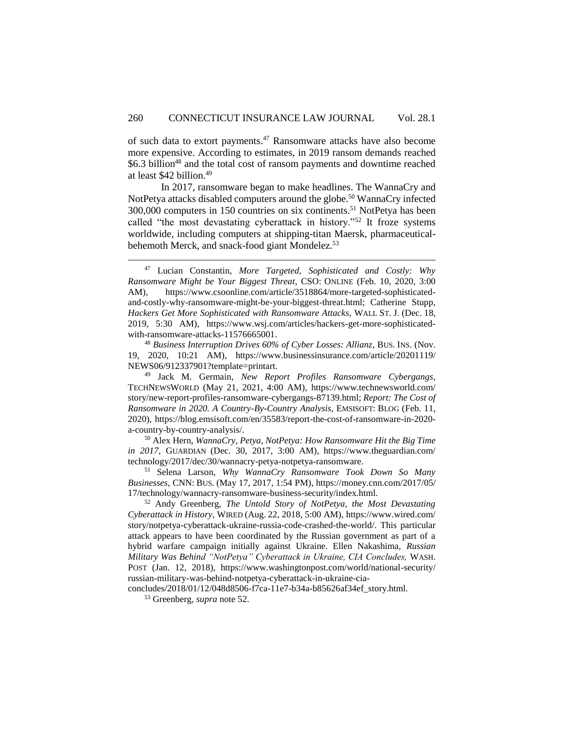of such data to extort payments. <sup>47</sup> Ransomware attacks have also become more expensive. According to estimates, in 2019 ransom demands reached \$6.3 billion<sup>48</sup> and the total cost of ransom payments and downtime reached at least \$42 billion.<sup>49</sup>

In 2017, ransomware began to make headlines. The WannaCry and NotPetva attacks disabled computers around the globe.<sup>50</sup> WannaCry infected 300,000 computers in 150 countries on six continents.<sup>51</sup> NotPetya has been called "the most devastating cyberattack in history."<sup>52</sup> It froze systems worldwide, including computers at shipping-titan Maersk, pharmaceuticalbehemoth Merck, and snack-food giant Mondelez.<sup>53</sup>

<sup>48</sup> *Business Interruption Drives 60% of Cyber Losses: Allianz*, BUS. INS. (Nov. 19, 2020, 10:21 AM), https://www.businessinsurance.com/article/20201119/ NEWS06/912337901?template=printart.

<sup>49</sup> Jack M. Germain, *New Report Profiles Ransomware Cybergangs*, TECHNEWSWORLD (May 21, 2021, 4:00 AM), https://www.technewsworld.com/ story/new-report-profiles-ransomware-cybergangs-87139.html; *Report: The Cost of Ransomware in 2020. A Country-By-Country Analysis*, EMSISOFT: BLOG (Feb. 11, 2020), https://blog.emsisoft.com/en/35583/report-the-cost-of-ransomware-in-2020 a-country-by-country-analysis/.

<sup>50</sup> Alex Hern, *WannaCry, Petya, NotPetya: How Ransomware Hit the Big Time in 2017*, GUARDIAN (Dec. 30, 2017, 3:00 AM), https://www.theguardian.com/ technology/2017/dec/30/wannacry-petya-notpetya-ransomware.

<sup>51</sup> Selena Larson, *Why WannaCry Ransomware Took Down So Many Businesses*, CNN: BUS. (May 17, 2017, 1:54 PM), https://money.cnn.com/2017/05/ 17/technology/wannacry-ransomware-business-security/index.html.

<sup>52</sup> Andy Greenberg, *The Untold Story of NotPetya, the Most Devastating Cyberattack in History*, WIRED (Aug. 22, 2018, 5:00 AM), https://www.wired.com/ story/notpetya-cyberattack-ukraine-russia-code-crashed-the-world/. This particular attack appears to have been coordinated by the Russian government as part of a hybrid warfare campaign initially against Ukraine. Ellen Nakashima, *Russian Military Was Behind "NotPetya" Cyberattack in Ukraine, CIA Concludes,* WASH. POST (Jan. 12, 2018), https://www.washingtonpost.com/world/national-security/ russian-military-was-behind-notpetya-cyberattack-in-ukraine-cia-

concludes/2018/01/12/048d8506-f7ca-11e7-b34a-b85626af34ef\_story.html.

<sup>53</sup> Greenberg*, supra* note 52.

<sup>47</sup> Lucian Constantin, *More Targeted, Sophisticated and Costly: Why Ransomware Might be Your Biggest Threat*, CSO: ONLINE (Feb. 10, 2020, 3:00 AM), https://www.csoonline.com/article/3518864/more-targeted-sophisticatedand-costly-why-ransomware-might-be-your-biggest-threat.html; Catherine Stupp, *Hackers Get More Sophisticated with Ransomware Attacks*, WALL ST. J. (Dec. 18, 2019, 5:30 AM), https://www.wsj.com/articles/hackers-get-more-sophisticatedwith-ransomware-attacks-11576665001.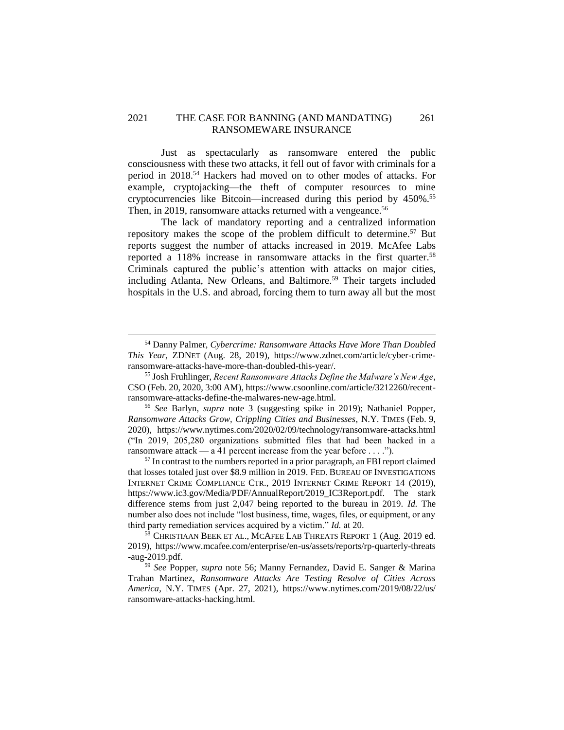### 2021 THE CASE FOR BANNING (AND MANDATING) 261 RANSOMEWARE INSURANCE

Just as spectacularly as ransomware entered the public consciousness with these two attacks, it fell out of favor with criminals for a period in 2018. <sup>54</sup> Hackers had moved on to other modes of attacks. For example, cryptojacking—the theft of computer resources to mine cryptocurrencies like Bitcoin—increased during this period by 450%. 55 Then, in 2019, ransomware attacks returned with a vengeance.<sup>56</sup>

The lack of mandatory reporting and a centralized information repository makes the scope of the problem difficult to determine.<sup>57</sup> But reports suggest the number of attacks increased in 2019. McAfee Labs reported a 118% increase in ransomware attacks in the first quarter.<sup>58</sup> Criminals captured the public's attention with attacks on major cities, including Atlanta, New Orleans, and Baltimore.<sup>59</sup> Their targets included hospitals in the U.S. and abroad, forcing them to turn away all but the most

<sup>54</sup> Danny Palmer, *Cybercrime: Ransomware Attacks Have More Than Doubled This Year,* ZDNET (Aug. 28, 2019), https://www.zdnet.com/article/cyber-crimeransomware-attacks-have-more-than-doubled-this-year/.

<sup>55</sup> Josh Fruhlinger, *Recent Ransomware Attacks Define the Malware's New Age*, CSO (Feb. 20, 2020, 3:00 AM), https://www.csoonline.com/article/3212260/recentransomware-attacks-define-the-malwares-new-age.html.

<sup>56</sup> *See* Barlyn, *supra* note 3 (suggesting spike in 2019); Nathaniel Popper, *Ransomware Attacks Grow, Crippling Cities and Businesses*, N.Y. TIMES (Feb. 9, 2020), https://www.nytimes.com/2020/02/09/technology/ransomware-attacks.html ("In 2019, 205,280 organizations submitted files that had been hacked in a ransomware attack — a 41 percent increase from the year before . . . .").

<sup>&</sup>lt;sup>57</sup> In contrast to the numbers reported in a prior paragraph, an FBI report claimed that losses totaled just over \$8.9 million in 2019. FED. BUREAU OF INVESTIGATIONS INTERNET CRIME COMPLIANCE CTR., 2019 INTERNET CRIME REPORT 14 (2019), https://www.ic3.gov/Media/PDF/AnnualReport/2019 IC3Report.pdf. The stark difference stems from just 2,047 being reported to the bureau in 2019. *Id.* The number also does not include "lost business, time, wages, files, or equipment, or any third party remediation services acquired by a victim." *Id.* at 20.

<sup>58</sup> CHRISTIAAN BEEK ET AL., MCAFEE LAB THREATS REPORT 1 (Aug. 2019 ed. 2019), https://www.mcafee.com/enterprise/en-us/assets/reports/rp-quarterly-threats -aug-2019.pdf.

<sup>59</sup> *See* Popper, *supra* note 56; Manny Fernandez, David E. Sanger & Marina Trahan Martinez, *Ransomware Attacks Are Testing Resolve of Cities Across America*, N.Y. TIMES (Apr. 27, 2021), https://www.nytimes.com/2019/08/22/us/ ransomware-attacks-hacking.html.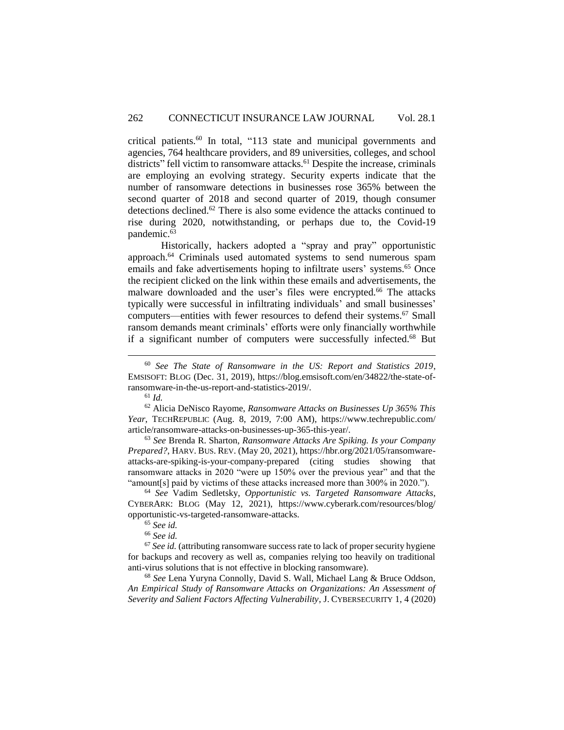critical patients.<sup>60</sup> In total, "113 state and municipal governments and agencies, 764 healthcare providers, and 89 universities, colleges, and school districts" fell victim to ransomware attacks.<sup>61</sup> Despite the increase, criminals are employing an evolving strategy. Security experts indicate that the number of ransomware detections in businesses rose 365% between the second quarter of 2018 and second quarter of 2019, though consumer detections declined.<sup>62</sup> There is also some evidence the attacks continued to rise during 2020, notwithstanding, or perhaps due to, the Covid-19 pandemic.<sup>63</sup>

Historically, hackers adopted a "spray and pray" opportunistic approach. <sup>64</sup> Criminals used automated systems to send numerous spam emails and fake advertisements hoping to infiltrate users' systems.<sup>65</sup> Once the recipient clicked on the link within these emails and advertisements, the malware downloaded and the user's files were encrypted.<sup>66</sup> The attacks typically were successful in infiltrating individuals' and small businesses' computers—entities with fewer resources to defend their systems. <sup>67</sup> Small ransom demands meant criminals' efforts were only financially worthwhile if a significant number of computers were successfully infected.<sup>68</sup> But

 $\overline{a}$ 

<sup>63</sup> *See* Brenda R. Sharton, *Ransomware Attacks Are Spiking. Is your Company Prepared?*, HARV. BUS. REV. (May 20, 2021), https://hbr.org/2021/05/ransomwareattacks-are-spiking-is-your-company-prepared (citing studies showing that ransomware attacks in 2020 "were up 150% over the previous year" and that the "amount[s] paid by victims of these attacks increased more than 300% in 2020.").

<sup>68</sup> *See* Lena Yuryna Connolly, David S. Wall, Michael Lang & Bruce Oddson, *An Empirical Study of Ransomware Attacks on Organizations: An Assessment of Severity and Salient Factors Affecting Vulnerability*, J. CYBERSECURITY 1, 4 (2020)

<sup>60</sup> *See The State of Ransomware in the US: Report and Statistics 2019*, EMSISOFT: BLOG (Dec. 31, 2019), https://blog.emsisoft.com/en/34822/the-state-ofransomware-in-the-us-report-and-statistics-2019/.

<sup>61</sup> *Id.*

<sup>62</sup> Alicia DeNisco Rayome, *Ransomware Attacks on Businesses Up 365% This Year*, TECHREPUBLIC (Aug. 8, 2019, 7:00 AM), https://www.techrepublic.com/ article/ransomware-attacks-on-businesses-up-365-this-year/.

<sup>64</sup> *See* Vadim Sedletsky, *Opportunistic vs. Targeted Ransomware Attacks*, CYBERARK: BLOG (May 12, 2021), https://www.cyberark.com/resources/blog/ opportunistic-vs-targeted-ransomware-attacks.

<sup>65</sup> *See id.*

<sup>66</sup> *See id.*

<sup>67</sup> *See id.* (attributing ransomware success rate to lack of proper security hygiene for backups and recovery as well as, companies relying too heavily on traditional anti-virus solutions that is not effective in blocking ransomware).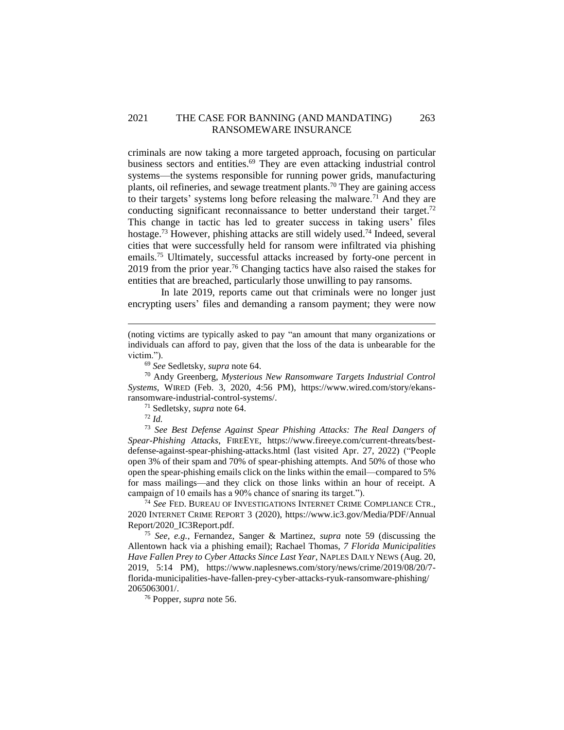## 2021 THE CASE FOR BANNING (AND MANDATING) 263 RANSOMEWARE INSURANCE

criminals are now taking a more targeted approach, focusing on particular business sectors and entities. <sup>69</sup> They are even attacking industrial control systems—the systems responsible for running power grids, manufacturing plants, oil refineries, and sewage treatment plants.<sup>70</sup> They are gaining access to their targets' systems long before releasing the malware.<sup>71</sup> And they are conducting significant reconnaissance to better understand their target.<sup>72</sup> This change in tactic has led to greater success in taking users' files hostage.<sup>73</sup> However, phishing attacks are still widely used.<sup>74</sup> Indeed, several cities that were successfully held for ransom were infiltrated via phishing emails.<sup>75</sup> Ultimately, successful attacks increased by forty-one percent in 2019 from the prior year.<sup>76</sup> Changing tactics have also raised the stakes for entities that are breached, particularly those unwilling to pay ransoms.

In late 2019, reports came out that criminals were no longer just encrypting users' files and demanding a ransom payment; they were now

<sup>71</sup> Sedletsky, *supra* note 64.

 $\overline{a}$ 

<sup>73</sup> *See Best Defense Against Spear Phishing Attacks: The Real Dangers of Spear-Phishing Attacks*, FIREEYE, https://www.fireeye.com/current-threats/bestdefense-against-spear-phishing-attacks.html (last visited Apr. 27, 2022) ("People open 3% of their spam and 70% of spear-phishing attempts. And 50% of those who open the spear-phishing emails click on the links within the email—compared to 5% for mass mailings—and they click on those links within an hour of receipt. A campaign of 10 emails has a 90% chance of snaring its target.").

<sup>74</sup> *See* FED. BUREAU OF INVESTIGATIONS INTERNET CRIME COMPLIANCE CTR., 2020 INTERNET CRIME REPORT 3 (2020), https://www.ic3.gov/Media/PDF/Annual Report/2020\_IC3Report.pdf.

<sup>75</sup> *See, e.g.*, Fernandez, Sanger & Martinez, *supra* note 59 (discussing the Allentown hack via a phishing email); Rachael Thomas, *7 Florida Municipalities Have Fallen Prey to Cyber Attacks Since Last Year*, NAPLES DAILY NEWS (Aug. 20, 2019, 5:14 PM), https://www.naplesnews.com/story/news/crime/2019/08/20/7 florida-municipalities-have-fallen-prey-cyber-attacks-ryuk-ransomware-phishing/ 2065063001/.

<sup>76</sup> Popper, *supra* note 56.

<sup>(</sup>noting victims are typically asked to pay "an amount that many organizations or individuals can afford to pay, given that the loss of the data is unbearable for the victim.").

<sup>69</sup> *See* Sedletsky*, supra* note 64.

<sup>70</sup> Andy Greenberg, *Mysterious New Ransomware Targets Industrial Control Systems*, WIRED (Feb. 3, 2020, 4:56 PM), https://www.wired.com/story/ekansransomware-industrial-control-systems/.

<sup>72</sup> *Id.*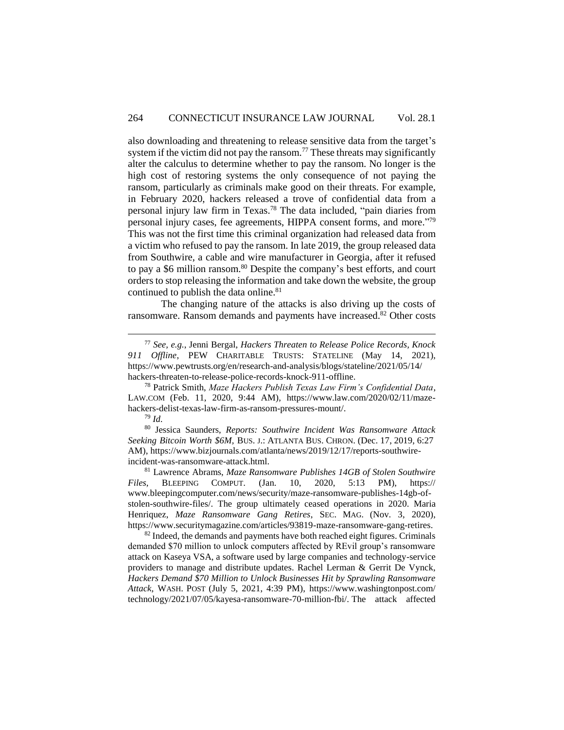also downloading and threatening to release sensitive data from the target's system if the victim did not pay the ransom.<sup>77</sup> These threats may significantly alter the calculus to determine whether to pay the ransom. No longer is the high cost of restoring systems the only consequence of not paying the ransom, particularly as criminals make good on their threats. For example, in February 2020, hackers released a trove of confidential data from a personal injury law firm in Texas.<sup>78</sup> The data included, "pain diaries from personal injury cases, fee agreements, HIPPA consent forms, and more."<sup>79</sup> This was not the first time this criminal organization had released data from a victim who refused to pay the ransom. In late 2019, the group released data from Southwire, a cable and wire manufacturer in Georgia, after it refused to pay a \$6 million ransom.<sup>80</sup> Despite the company's best efforts, and court orders to stop releasing the information and take down the website, the group continued to publish the data online.<sup>81</sup>

The changing nature of the attacks is also driving up the costs of ransomware. Ransom demands and payments have increased.<sup>82</sup> Other costs

 $\overline{a}$ 

<sup>80</sup> Jessica Saunders, *Reports: Southwire Incident Was Ransomware Attack Seeking Bitcoin Worth \$6M,* BUS. J.: ATLANTA BUS. CHRON. (Dec. 17, 2019, 6:27 AM), https://www.bizjournals.com/atlanta/news/2019/12/17/reports-southwireincident-was-ransomware-attack.html.

<sup>81</sup> Lawrence Abrams, *Maze Ransomware Publishes 14GB of Stolen Southwire Files,* BLEEPING COMPUT. (Jan. 10, 2020, 5:13 PM), https:// www.bleepingcomputer.com/news/security/maze-ransomware-publishes-14gb-ofstolen-southwire-files/. The group ultimately ceased operations in 2020. Maria Henriquez, *Maze Ransomware Gang Retires*, SEC. MAG. (Nov. 3, 2020), https://www.securitymagazine.com/articles/93819-maze-ransomware-gang-retires.

 $82$  Indeed, the demands and payments have both reached eight figures. Criminals demanded \$70 million to unlock computers affected by REvil group's ransomware attack on Kaseya VSA, a software used by large companies and technology-service providers to manage and distribute updates. Rachel Lerman & Gerrit De Vynck, *Hackers Demand \$70 Million to Unlock Businesses Hit by Sprawling Ransomware Attack*, WASH. POST (July 5, 2021, 4:39 PM), https://www.washingtonpost.com/ technology/2021/07/05/kayesa-ransomware-70-million-fbi/. The attack affected

<sup>77</sup> *See, e.g.*, Jenni Bergal, *Hackers Threaten to Release Police Records, Knock 911 Offline*, PEW CHARITABLE TRUSTS: STATELINE (May 14, 2021), https://www.pewtrusts.org/en/research-and-analysis/blogs/stateline/2021/05/14/ hackers-threaten-to-release-police-records-knock-911-offline.

<sup>78</sup> Patrick Smith, *Maze Hackers Publish Texas Law Firm's Confidential Data*, LAW.COM (Feb. 11, 2020, 9:44 AM)*,* https://www.law.com/2020/02/11/mazehackers-delist-texas-law-firm-as-ransom-pressures-mount/.

<sup>79</sup> *Id.*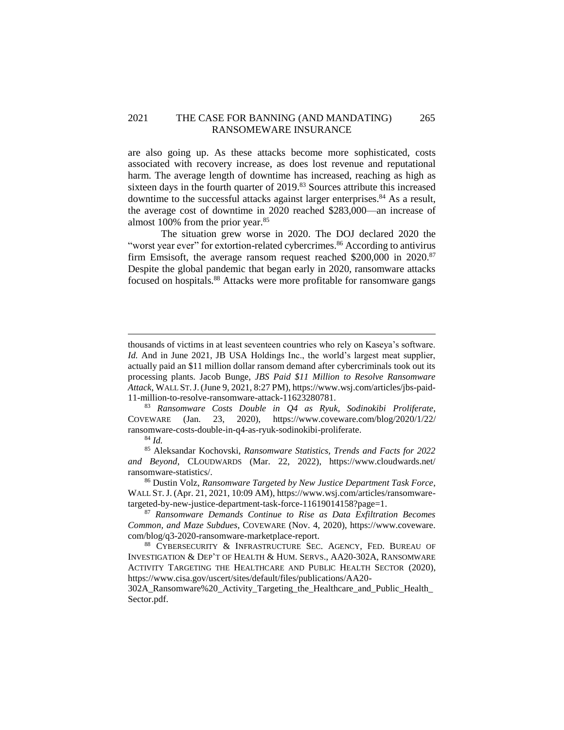## 2021 THE CASE FOR BANNING (AND MANDATING) 265 RANSOMEWARE INSURANCE

are also going up. As these attacks become more sophisticated, costs associated with recovery increase, as does lost revenue and reputational harm. The average length of downtime has increased, reaching as high as sixteen days in the fourth quarter of 2019.<sup>83</sup> Sources attribute this increased downtime to the successful attacks against larger enterprises.<sup>84</sup> As a result, the average cost of downtime in 2020 reached \$283,000—an increase of almost 100% from the prior year.<sup>85</sup>

The situation grew worse in 2020. The DOJ declared 2020 the "worst year ever" for extortion-related cybercrimes.<sup>86</sup> According to antivirus firm Emsisoft, the average ransom request reached  $$200,000$  in  $2020$ .<sup>87</sup> Despite the global pandemic that began early in 2020, ransomware attacks focused on hospitals.<sup>88</sup> Attacks were more profitable for ransomware gangs

<sup>83</sup> *Ransomware Costs Double in Q4 as Ryuk, Sodinokibi Proliferate*, COVEWARE (Jan. 23, 2020), https://www.coveware.com/blog/2020/1/22/ ransomware-costs-double-in-q4-as-ryuk-sodinokibi-proliferate.

<sup>84</sup> *Id.*

 $\overline{a}$ 

<sup>85</sup> Aleksandar Kochovski, *Ransomware Statistics, Trends and Facts for 2022 and Beyond*, CLOUDWARDS (Mar. 22, 2022), https://www.cloudwards.net/ ransomware-statistics/.

<sup>86</sup> Dustin Volz, *Ransomware Targeted by New Justice Department Task Force*, WALL ST.J. (Apr. 21, 2021, 10:09 AM), https://www.wsj.com/articles/ransomwaretargeted-by-new-justice-department-task-force-11619014158?page=1.

<sup>87</sup> *Ransomware Demands Continue to Rise as Data Exfiltration Becomes Common, and Maze Subdues*, COVEWARE (Nov. 4, 2020), https://www.coveware. com/blog/q3-2020-ransomware-marketplace-report.

<sup>88</sup> CYBERSECURITY & INFRASTRUCTURE SEC. AGENCY, FED. BUREAU OF INVESTIGATION & DEP'T OF HEALTH & HUM. SERVS., AA20-302A, RANSOMWARE ACTIVITY TARGETING THE HEALTHCARE AND PUBLIC HEALTH SECTOR (2020), https://www.cisa.gov/uscert/sites/default/files/publications/AA20-

302A\_Ransomware%20\_Activity\_Targeting\_the\_Healthcare\_and\_Public\_Health\_ Sector.pdf.

thousands of victims in at least seventeen countries who rely on Kaseya's software. *Id.* And in June 2021, JB USA Holdings Inc., the world's largest meat supplier, actually paid an \$11 million dollar ransom demand after cybercriminals took out its processing plants. Jacob Bunge, *JBS Paid \$11 Million to Resolve Ransomware Attack*, WALL ST.J.(June 9, 2021, 8:27 PM), https://www.wsj.com/articles/jbs-paid-11-million-to-resolve-ransomware-attack-11623280781.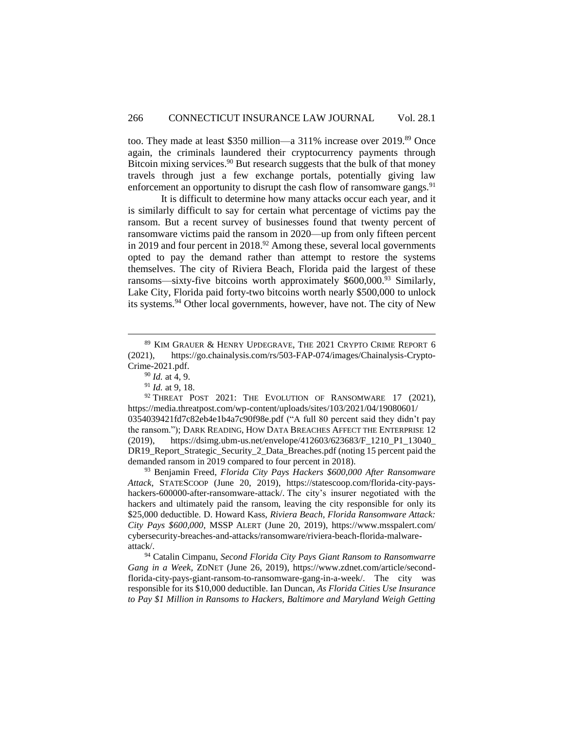too. They made at least \$350 million—a 311% increase over 2019.<sup>89</sup> Once again, the criminals laundered their cryptocurrency payments through Bitcoin mixing services. $90$  But research suggests that the bulk of that money travels through just a few exchange portals, potentially giving law enforcement an opportunity to disrupt the cash flow of ransomware gangs.  $91$ 

It is difficult to determine how many attacks occur each year, and it is similarly difficult to say for certain what percentage of victims pay the ransom. But a recent survey of businesses found that twenty percent of ransomware victims paid the ransom in 2020—up from only fifteen percent in 2019 and four percent in 2018.<sup>92</sup> Among these, several local governments opted to pay the demand rather than attempt to restore the systems themselves. The city of Riviera Beach, Florida paid the largest of these ransoms—sixty-five bitcoins worth approximately  $$600,000.<sup>93</sup>$  Similarly, Lake City, Florida paid forty-two bitcoins worth nearly \$500,000 to unlock its systems.<sup>94</sup> Other local governments, however, have not. The city of New

 $\overline{a}$ 

<sup>93</sup> Benjamin Freed, *Florida City Pays Hackers \$600,000 After Ransomware Attack*, STATESCOOP (June 20, 2019), https://statescoop.com/florida-city-payshackers-600000-after-ransomware-attack/. The city's insurer negotiated with the hackers and ultimately paid the ransom, leaving the city responsible for only its \$25,000 deductible. D. Howard Kass, *Riviera Beach, Florida Ransomware Attack: City Pays \$600,000*, MSSP ALERT (June 20, 2019), https://www.msspalert.com/ cybersecurity-breaches-and-attacks/ransomware/riviera-beach-florida-malwareattack/.

<sup>94</sup> Catalin Cimpanu, *Second Florida City Pays Giant Ransom to Ransomwarre Gang in a Week,* ZDNET (June 26, 2019), https://www.zdnet.com/article/secondflorida-city-pays-giant-ransom-to-ransomware-gang-in-a-week/. The city was responsible for its \$10,000 deductible. Ian Duncan, *As Florida Cities Use Insurance to Pay \$1 Million in Ransoms to Hackers, Baltimore and Maryland Weigh Getting* 

<sup>89</sup> KIM GRAUER & HENRY UPDEGRAVE, THE 2021 CRYPTO CRIME REPORT 6 (2021), https://go.chainalysis.com/rs/503-FAP-074/images/Chainalysis-Crypto-Crime-2021.pdf.

<sup>90</sup> *Id.* at 4, 9.

<sup>91</sup> *Id.* at 9, 18.

<sup>&</sup>lt;sup>92</sup> THREAT POST 2021: THE EVOLUTION OF RANSOMWARE 17 (2021), https://media.threatpost.com/wp-content/uploads/sites/103/2021/04/19080601/ 0354039421fd7c82eb4e1b4a7c90f98e.pdf ("A full 80 percent said they didn't pay the ransom."); DARK READING, HOW DATA BREACHES AFFECT THE ENTERPRISE 12 (2019), https://dsimg.ubm-us.net/envelope/412603/623683/F\_1210\_P1\_13040\_ DR19\_Report\_Strategic\_Security\_2\_Data\_Breaches.pdf (noting 15 percent paid the demanded ransom in 2019 compared to four percent in 2018).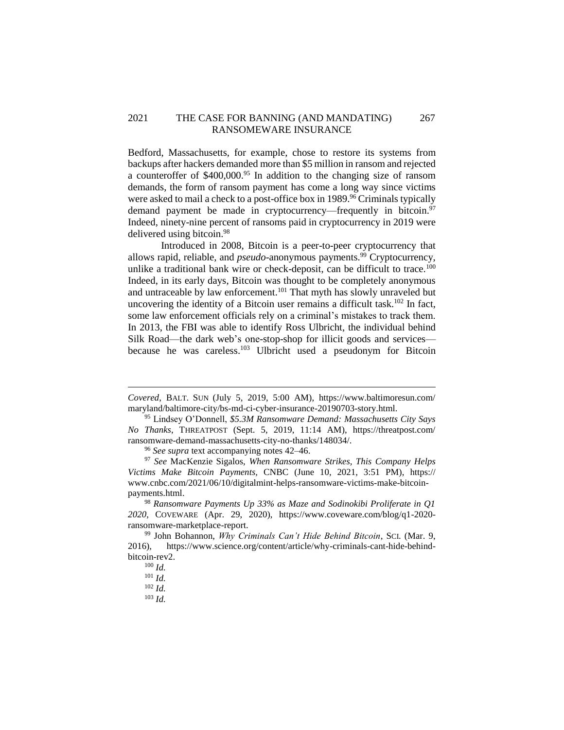## 2021 THE CASE FOR BANNING (AND MANDATING) 267 RANSOMEWARE INSURANCE

Bedford, Massachusetts, for example, chose to restore its systems from backups after hackers demanded more than \$5 million in ransom and rejected a counteroffer of \$400,000.<sup>95</sup> In addition to the changing size of ransom demands, the form of ransom payment has come a long way since victims were asked to mail a check to a post-office box in 1989.<sup>96</sup> Criminals typically demand payment be made in cryptocurrency—frequently in bitcoin.<sup>97</sup> Indeed, ninety-nine percent of ransoms paid in cryptocurrency in 2019 were delivered using bitcoin. 98

Introduced in 2008, Bitcoin is a peer-to-peer cryptocurrency that allows rapid, reliable, and *pseudo*-anonymous payments.<sup>99</sup> Cryptocurrency, unlike a traditional bank wire or check-deposit, can be difficult to trace.<sup>100</sup> Indeed, in its early days, Bitcoin was thought to be completely anonymous and untraceable by law enforcement.<sup>101</sup> That myth has slowly unraveled but uncovering the identity of a Bitcoin user remains a difficult task.<sup>102</sup> In fact, some law enforcement officials rely on a criminal's mistakes to track them. In 2013, the FBI was able to identify Ross Ulbricht, the individual behind Silk Road—the dark web's one-stop-shop for illicit goods and services because he was careless.<sup>103</sup> Ulbricht used a pseudonym for Bitcoin

*Covered*, BALT. SUN (July 5, 2019, 5:00 AM), https://www.baltimoresun.com/ maryland/baltimore-city/bs-md-ci-cyber-insurance-20190703-story.html.

<sup>95</sup> Lindsey O'Donnell, *\$5.3M Ransomware Demand: Massachusetts City Says No Thanks*, THREATPOST (Sept. 5, 2019, 11:14 AM), https://threatpost.com/ ransomware-demand-massachusetts-city-no-thanks/148034/.

<sup>96</sup> *See supra* text accompanying notes 42–46.

<sup>97</sup> *See* MacKenzie Sigalos, *When Ransomware Strikes, This Company Helps Victims Make Bitcoin Payments,* CNBC (June 10, 2021, 3:51 PM), https:// www.cnbc.com/2021/06/10/digitalmint-helps-ransomware-victims-make-bitcoinpayments.html.

<sup>98</sup> *Ransomware Payments Up 33% as Maze and Sodinokibi Proliferate in Q1 2020*, COVEWARE (Apr. 29, 2020), https://www.coveware.com/blog/q1-2020 ransomware-marketplace-report.

<sup>99</sup> John Bohannon, *Why Criminals Can't Hide Behind Bitcoin*, SCI. (Mar. 9, 2016), https://www.science.org/content/article/why-criminals-cant-hide-behindbitcoin-rev2.

<sup>100</sup> *Id.*

<sup>101</sup> *Id.*

<sup>102</sup> *Id.*

<sup>103</sup> *Id.*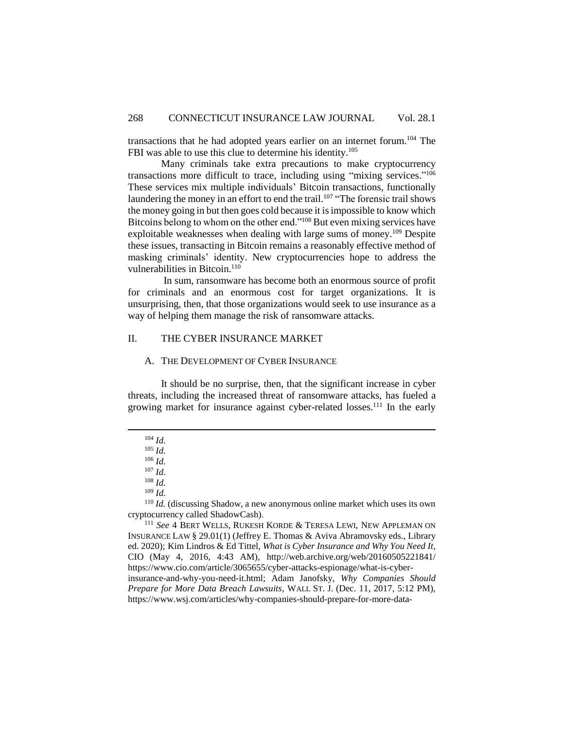transactions that he had adopted years earlier on an internet forum. <sup>104</sup> The FBI was able to use this clue to determine his identity.<sup>105</sup>

Many criminals take extra precautions to make cryptocurrency transactions more difficult to trace, including using "mixing services." 106 These services mix multiple individuals' Bitcoin transactions, functionally laundering the money in an effort to end the trail.<sup>107</sup> "The forensic trail shows the money going in but then goes cold because it is impossible to know which Bitcoins belong to whom on the other end."<sup>108</sup> But even mixing services have exploitable weaknesses when dealing with large sums of money.<sup>109</sup> Despite these issues, transacting in Bitcoin remains a reasonably effective method of masking criminals' identity. New cryptocurrencies hope to address the vulnerabilities in Bitcoin.<sup>110</sup>

In sum, ransomware has become both an enormous source of profit for criminals and an enormous cost for target organizations. It is unsurprising, then, that those organizations would seek to use insurance as a way of helping them manage the risk of ransomware attacks.

### <span id="page-21-0"></span>II. THE CYBER INSURANCE MARKET

#### <span id="page-21-1"></span>A. THE DEVELOPMENT OF CYBER INSURANCE

It should be no surprise, then, that the significant increase in cyber threats, including the increased threat of ransomware attacks, has fueled a growing market for insurance against cyber-related losses.<sup>111</sup> In the early

 $\overline{a}$ 

<sup>107</sup> *Id.*

<sup>110</sup> *Id.* (discussing Shadow, a new anonymous online market which uses its own cryptocurrency called ShadowCash).

<sup>111</sup> *See* 4 BERT WELLS, RUKESH KORDE & TERESA LEWI, NEW APPLEMAN ON INSURANCE LAW § 29.01(1) (Jeffrey E. Thomas & Aviva Abramovsky eds., Library ed. 2020); Kim Lindros & Ed Tittel, *What is Cyber Insurance and Why You Need It*, CIO (May 4, 2016, 4:43 AM), http://web.archive.org/web/20160505221841/ https://www.cio.com/article/3065655/cyber-attacks-espionage/what-is-cyberinsurance-and-why-you-need-it.html; Adam Janofsky, *Why Companies Should Prepare for More Data Breach Lawsuits*, WALL ST. J. (Dec. 11, 2017, 5:12 PM), https://www.wsj.com/articles/why-companies-should-prepare-for-more-data-

<sup>104</sup> *Id.*

<sup>105</sup> *Id.*

<sup>106</sup> *Id.*

<sup>108</sup> *Id.*

<sup>109</sup> *Id.*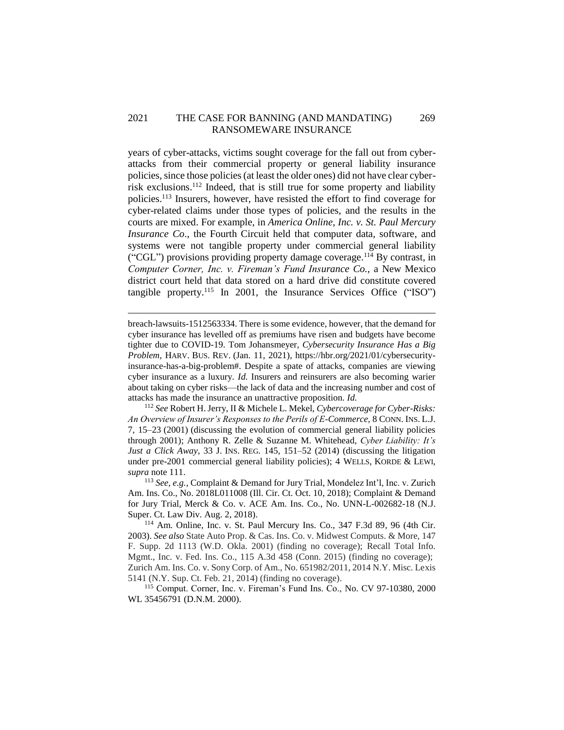### 2021 THE CASE FOR BANNING (AND MANDATING) 269 RANSOMEWARE INSURANCE

years of cyber-attacks, victims sought coverage for the fall out from cyberattacks from their commercial property or general liability insurance policies, since those policies (at least the older ones) did not have clear cyberrisk exclusions. <sup>112</sup> Indeed, that is still true for some property and liability policies. <sup>113</sup> Insurers, however, have resisted the effort to find coverage for cyber-related claims under those types of policies, and the results in the courts are mixed. For example, in *America Online, Inc. v. St. Paul Mercury Insurance Co*., the Fourth Circuit held that computer data, software, and systems were not tangible property under commercial general liability ("CGL") provisions providing property damage coverage.<sup>114</sup> By contrast, in *Computer Corner, Inc. v. Fireman's Fund Insurance Co.*, a New Mexico district court held that data stored on a hard drive did constitute covered tangible property.<sup>115</sup> In 2001, the Insurance Services Office ("ISO")

breach-lawsuits-1512563334. There is some evidence, however, that the demand for cyber insurance has levelled off as premiums have risen and budgets have become tighter due to COVID-19. Tom Johansmeyer, *Cybersecurity Insurance Has a Big Problem*, HARV. BUS. REV. (Jan. 11, 2021), https://hbr.org/2021/01/cybersecurityinsurance-has-a-big-problem#. Despite a spate of attacks, companies are viewing cyber insurance as a luxury. *Id.* Insurers and reinsurers are also becoming warier about taking on cyber risks—the lack of data and the increasing number and cost of attacks has made the insurance an unattractive proposition. *Id.*

 $\overline{a}$ 

<sup>112</sup> *See* Robert H. Jerry, II & Michele L. Mekel, *Cybercoverage for Cyber-Risks: An Overview of Insurer's Responses to the Perils of E-Commerce*, 8 CONN. INS. L.J. 7, 15–23 (2001) (discussing the evolution of commercial general liability policies through 2001); Anthony R. Zelle & Suzanne M. Whitehead, *Cyber Liability: It's Just a Click Away*, 33 J. INS. REG. 145, 151–52 (2014) (discussing the litigation under pre-2001 commercial general liability policies); 4 WELLS, KORDE & LEWI, *supra* note 111.

<sup>113</sup> *See, e.g.*, Complaint & Demand for Jury Trial, Mondelez Int'l, Inc. v. Zurich Am. Ins. Co., No. 2018L011008 (Ill. Cir. Ct. Oct. 10, 2018); Complaint & Demand for Jury Trial, Merck & Co. v. ACE Am. Ins. Co., No. UNN-L-002682-18 (N.J. Super. Ct. Law Div. Aug. 2, 2018).

<sup>114</sup> Am. Online, Inc. v. St. Paul Mercury Ins. Co., 347 F.3d 89, 96 (4th Cir. 2003). *See also* State Auto Prop. & Cas. Ins. Co. v. Midwest Computs. & More, 147 F. Supp. 2d 1113 (W.D. Okla. 2001) (finding no coverage); Recall Total Info. Mgmt., Inc. v. Fed. Ins. Co., 115 A.3d 458 (Conn. 2015) (finding no coverage); Zurich Am. Ins. Co. v. Sony Corp. of Am., No. 651982/2011, 2014 N.Y. Misc. Lexis 5141 (N.Y. Sup. Ct. Feb. 21, 2014) (finding no coverage).

<sup>115</sup> Comput. Corner, Inc. v. Fireman's Fund Ins. Co., No. CV 97-10380, 2000 WL 35456791 (D.N.M. 2000).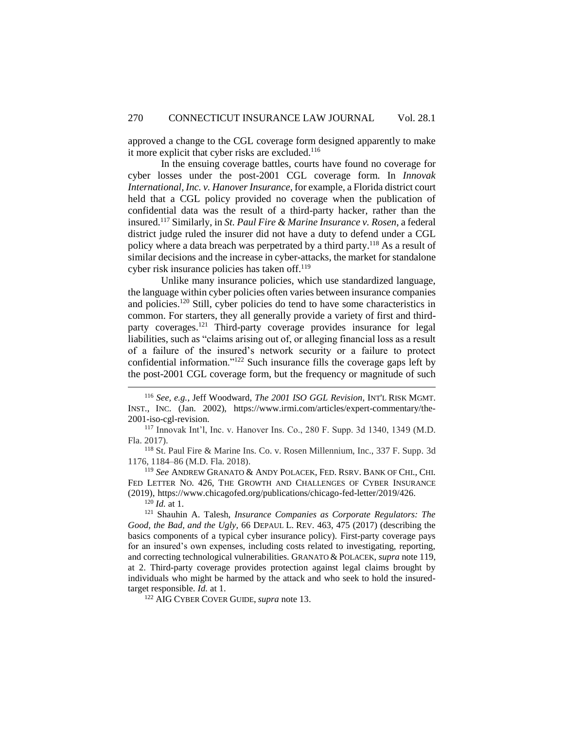approved a change to the CGL coverage form designed apparently to make it more explicit that cyber risks are excluded.<sup>116</sup>

In the ensuing coverage battles, courts have found no coverage for cyber losses under the post-2001 CGL coverage form. In *Innovak International, Inc. v. Hanover Insurance*, for example, a Florida district court held that a CGL policy provided no coverage when the publication of confidential data was the result of a third-party hacker, rather than the insured.<sup>117</sup> Similarly, in *St. Paul Fire & Marine Insurance v. Rosen*, a federal district judge ruled the insurer did not have a duty to defend under a CGL policy where a data breach was perpetrated by a third party. <sup>118</sup> As a result of similar decisions and the increase in cyber-attacks, the market for standalone cyber risk insurance policies has taken off. 119

Unlike many insurance policies, which use standardized language, the language within cyber policies often varies between insurance companies and policies. <sup>120</sup> Still, cyber policies do tend to have some characteristics in common. For starters, they all generally provide a variety of first and thirdparty coverages.<sup>121</sup> Third-party coverage provides insurance for legal liabilities, such as "claims arising out of, or alleging financial loss as a result of a failure of the insured's network security or a failure to protect confidential information."<sup>122</sup> Such insurance fills the coverage gaps left by the post-2001 CGL coverage form, but the frequency or magnitude of such

<sup>117</sup> Innovak Int'l, Inc. v. Hanover Ins. Co., 280 F. Supp. 3d 1340, 1349 (M.D. Fla. 2017).

<sup>118</sup> St. Paul Fire & Marine Ins. Co. v. Rosen Millennium, Inc., 337 F. Supp. 3d 1176, 1184–86 (M.D. Fla. 2018).

<sup>119</sup> *See* ANDREW GRANATO & ANDY POLACEK, FED. RSRV. BANK OF CHI., CHI. FED LETTER NO. 426, THE GROWTH AND CHALLENGES OF CYBER INSURANCE (2019), https://www.chicagofed.org/publications/chicago-fed-letter/2019/426.

 $120$  *Id.* at 1.

 $\overline{a}$ 

<sup>121</sup> Shauhin A. Talesh, *Insurance Companies as Corporate Regulators: The Good, the Bad, and the Ugly,* 66 DEPAUL L. REV. 463, 475 (2017) (describing the basics components of a typical cyber insurance policy). First-party coverage pays for an insured's own expenses, including costs related to investigating, reporting, and correcting technological vulnerabilities. GRANATO & POLACEK, *supra* note 119, at 2. Third-party coverage provides protection against legal claims brought by individuals who might be harmed by the attack and who seek to hold the insuredtarget responsible. *Id.* at 1.

<sup>122</sup> AIG CYBER COVER GUIDE, *supra* note 13.

<sup>116</sup> *See, e.g.*, Jeff Woodward, *The 2001 ISO GGL Revision*, INT'L RISK MGMT. INST., INC. (Jan. 2002), https://www.irmi.com/articles/expert-commentary/the-2001-iso-cgl-revision.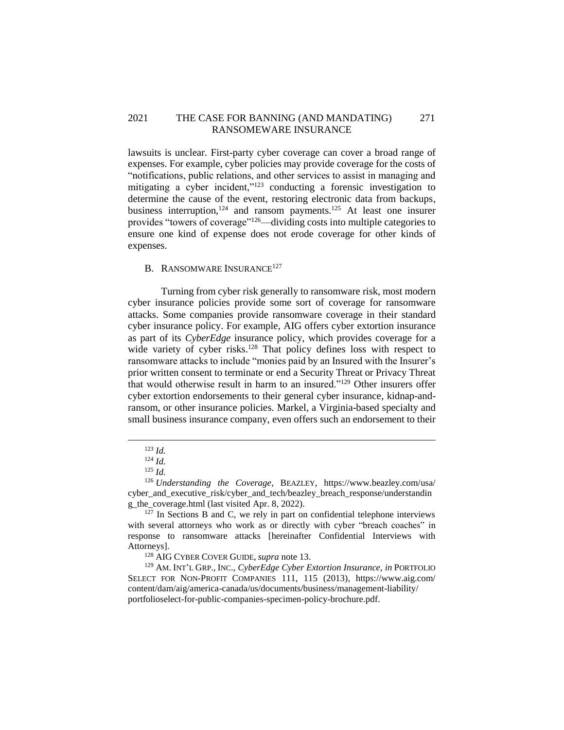## 2021 THE CASE FOR BANNING (AND MANDATING) 271 RANSOMEWARE INSURANCE

lawsuits is unclear*.* First-party cyber coverage can cover a broad range of expenses. For example, cyber policies may provide coverage for the costs of "notifications, public relations, and other services to assist in managing and mitigating a cyber incident,"<sup>123</sup> conducting a forensic investigation to determine the cause of the event, restoring electronic data from backups, business interruption,  $124$  and ransom payments.  $125$  At least one insurer provides "towers of coverage"<sup>126</sup>—dividing costs into multiple categories to ensure one kind of expense does not erode coverage for other kinds of expenses.

## <span id="page-24-0"></span>B. RANSOMWARE INSURANCE<sup>127</sup>

Turning from cyber risk generally to ransomware risk, most modern cyber insurance policies provide some sort of coverage for ransomware attacks. Some companies provide ransomware coverage in their standard cyber insurance policy. For example, AIG offers cyber extortion insurance as part of its *CyberEdge* insurance policy, which provides coverage for a wide variety of cyber risks.<sup>128</sup> That policy defines loss with respect to ransomware attacks to include "monies paid by an Insured with the Insurer's prior written consent to terminate or end a Security Threat or Privacy Threat that would otherwise result in harm to an insured."<sup>129</sup> Other insurers offer cyber extortion endorsements to their general cyber insurance, kidnap-andransom, or other insurance policies. Markel, a Virginia-based specialty and small business insurance company, even offers such an endorsement to their

<sup>123</sup> *Id.*

<sup>124</sup> *Id.*

<sup>125</sup> *Id.*

<sup>126</sup> *Understanding the Coverage*, BEAZLEY, https://www.beazley.com/usa/ cyber and executive risk/cyber and tech/beazley breach response/understandin g the coverage.html (last visited Apr. 8, 2022).

 $127$  In Sections B and C, we rely in part on confidential telephone interviews with several attorneys who work as or directly with cyber "breach coaches" in response to ransomware attacks [hereinafter Confidential Interviews with Attorneys].

<sup>128</sup> AIG CYBER COVER GUIDE, *supra* note 13.

<sup>129</sup> AM. INT'L GRP., INC., *CyberEdge Cyber Extortion Insurance, in* PORTFOLIO SELECT FOR NON-PROFIT COMPANIES 111, 115 (2013), https://www.aig.com/ content/dam/aig/america-canada/us/documents/business/management-liability/ portfolioselect-for-public-companies-specimen-policy-brochure.pdf.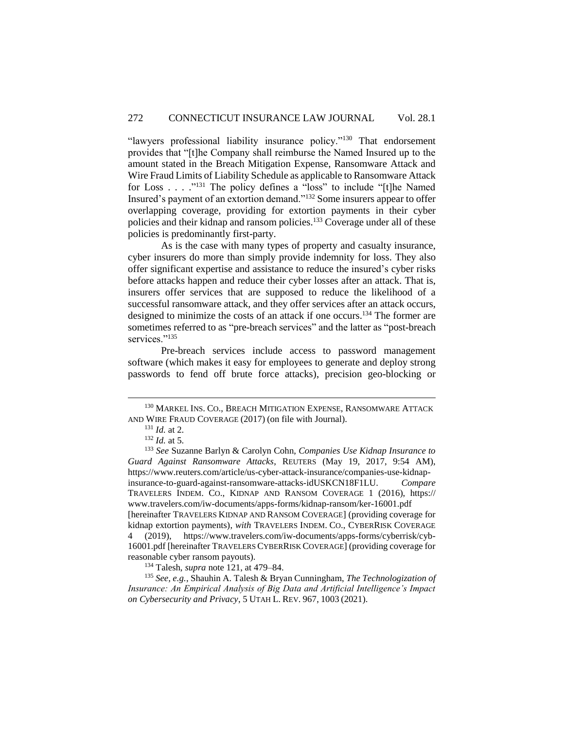"lawyers professional liability insurance policy."<sup>130</sup> That endorsement provides that "[t]he Company shall reimburse the Named Insured up to the amount stated in the Breach Mitigation Expense, Ransomware Attack and Wire Fraud Limits of Liability Schedule as applicable to Ransomware Attack for Loss . . . . "<sup>131</sup> The policy defines a "loss" to include "[t]he Named Insured's payment of an extortion demand."<sup>132</sup> Some insurers appear to offer overlapping coverage, providing for extortion payments in their cyber policies and their kidnap and ransom policies.<sup>133</sup> Coverage under all of these policies is predominantly first-party.

As is the case with many types of property and casualty insurance, cyber insurers do more than simply provide indemnity for loss. They also offer significant expertise and assistance to reduce the insured's cyber risks before attacks happen and reduce their cyber losses after an attack. That is, insurers offer services that are supposed to reduce the likelihood of a successful ransomware attack, and they offer services after an attack occurs, designed to minimize the costs of an attack if one occurs. <sup>134</sup> The former are sometimes referred to as "pre-breach services" and the latter as "post-breach services."<sup>135</sup>

Pre-breach services include access to password management software (which makes it easy for employees to generate and deploy strong passwords to fend off brute force attacks), precision geo-blocking or

 $\overline{a}$ 

<sup>134</sup> Talesh, *supra* note 121, at 479–84.

<sup>135</sup> *See, e.g.*, Shauhin A. Talesh & Bryan Cunningham, *The Technologization of Insurance: An Empirical Analysis of Big Data and Artificial Intelligence's Impact on Cybersecurity and Privacy*, 5 UTAH L. REV. 967, 1003 (2021).

<sup>&</sup>lt;sup>130</sup> MARKEL INS. CO., BREACH MITIGATION EXPENSE, RANSOMWARE ATTACK AND WIRE FRAUD COVERAGE (2017) (on file with Journal).

<sup>131</sup> *Id.* at 2.

<sup>132</sup> *Id.* at 5.

<sup>133</sup> *See* Suzanne Barlyn & Carolyn Cohn, *Companies Use Kidnap Insurance to Guard Against Ransomware Attacks*, REUTERS (May 19, 2017, 9:54 AM), https://www.reuters.com/article/us-cyber-attack-insurance/companies-use-kidnapinsurance-to-guard-against-ransomware-attacks-idUSKCN18F1LU. *Compare* TRAVELERS INDEM. CO., KIDNAP AND RANSOM COVERAGE 1 (2016), https:// www.travelers.com/iw-documents/apps-forms/kidnap-ransom/ker-16001.pdf [hereinafter TRAVELERS KIDNAP AND RANSOM COVERAGE] (providing coverage for kidnap extortion payments), *with* TRAVELERS INDEM. CO., CYBERRISK COVERAGE 4 (2019), https://www.travelers.com/iw-documents/apps-forms/cyberrisk/cyb-16001.pdf [hereinafter TRAVELERS CYBERRISK COVERAGE] (providing coverage for reasonable cyber ransom payouts).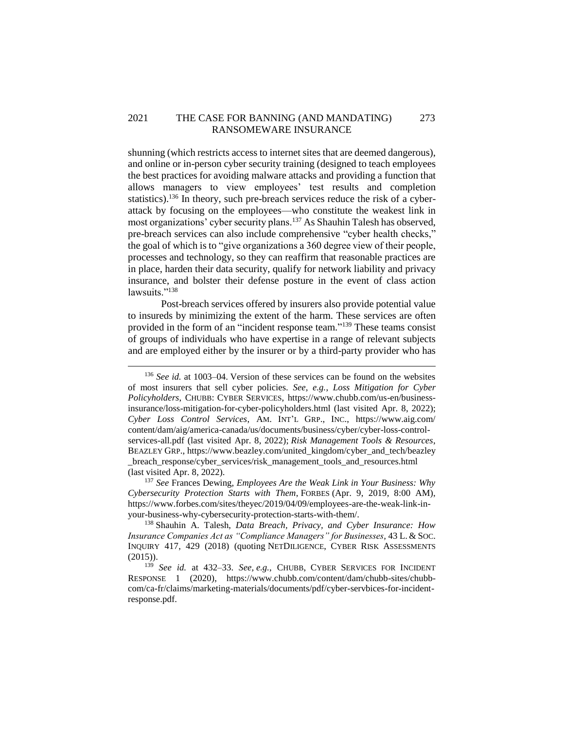## 2021 THE CASE FOR BANNING (AND MANDATING) 273 RANSOMEWARE INSURANCE

shunning (which restricts access to internet sites that are deemed dangerous), and online or in-person cyber security training (designed to teach employees the best practices for avoiding malware attacks and providing a function that allows managers to view employees' test results and completion statistics).<sup>136</sup> In theory, such pre-breach services reduce the risk of a cyberattack by focusing on the employees—who constitute the weakest link in most organizations' cyber security plans.<sup>137</sup> As Shauhin Talesh has observed, pre-breach services can also include comprehensive "cyber health checks," the goal of which is to "give organizations a 360 degree view of their people, processes and technology, so they can reaffirm that reasonable practices are in place, harden their data security, qualify for network liability and privacy insurance, and bolster their defense posture in the event of class action lawsuits."<sup>138</sup>

Post-breach services offered by insurers also provide potential value to insureds by minimizing the extent of the harm. These services are often provided in the form of an "incident response team."<sup>139</sup> These teams consist of groups of individuals who have expertise in a range of relevant subjects and are employed either by the insurer or by a third-party provider who has

 $\overline{a}$ 

<sup>137</sup> *See* Frances Dewing, *Employees Are the Weak Link in Your Business: Why Cybersecurity Protection Starts with Them*, FORBES (Apr. 9, 2019, 8:00 AM), https://www.forbes.com/sites/theyec/2019/04/09/employees-are-the-weak-link-inyour-business-why-cybersecurity-protection-starts-with-them/.

<sup>138</sup> Shauhin A. Talesh, *Data Breach, Privacy, and Cyber Insurance: How Insurance Companies Act as "Compliance Managers" for Businesses,* 43 L. & SOC. INQUIRY 417, 429 (2018) (quoting NETDILIGENCE, CYBER RISK ASSESSMENTS (2015)).

<sup>139</sup> *See id.* at 432–33. *See, e.g.*, CHUBB, CYBER SERVICES FOR INCIDENT RESPONSE 1 (2020), https://www.chubb.com/content/dam/chubb-sites/chubbcom/ca-fr/claims/marketing-materials/documents/pdf/cyber-servbices-for-incidentresponse.pdf.

<sup>136</sup> *See id.* at 1003–04. Version of these services can be found on the websites of most insurers that sell cyber policies. *See, e.g.*, *Loss Mitigation for Cyber Policyholders*, CHUBB: CYBER SERVICES, https://www.chubb.com/us-en/businessinsurance/loss-mitigation-for-cyber-policyholders.html (last visited Apr. 8, 2022); *Cyber Loss Control Services*, AM. INT'L GRP., INC., https://www.aig.com/ content/dam/aig/america-canada/us/documents/business/cyber/cyber-loss-controlservices-all.pdf (last visited Apr. 8, 2022); *Risk Management Tools & Resources*, BEAZLEY GRP., https://www.beazley.com/united\_kingdom/cyber\_and\_tech/beazley \_breach\_response/cyber\_services/risk\_management\_tools\_and\_resources.html (last visited Apr. 8, 2022).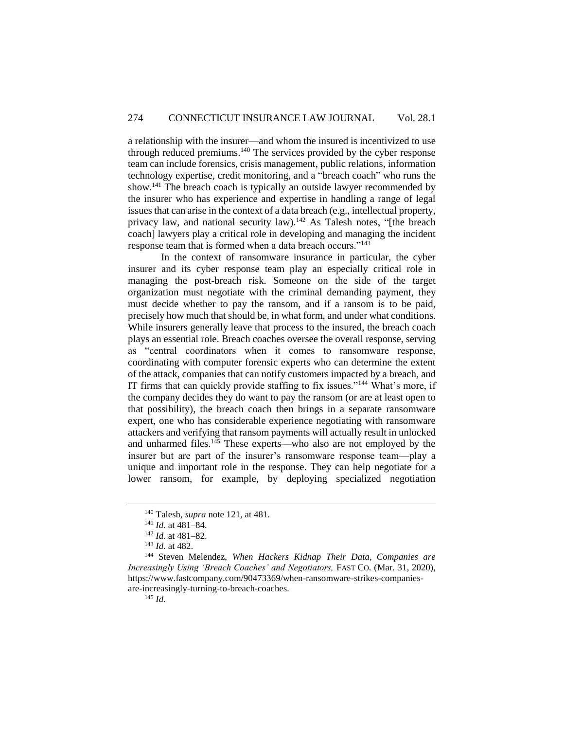a relationship with the insurer—and whom the insured is incentivized to use through reduced premiums. <sup>140</sup> The services provided by the cyber response team can include forensics, crisis management, public relations, information technology expertise, credit monitoring, and a "breach coach" who runs the show.<sup>141</sup> The breach coach is typically an outside lawyer recommended by the insurer who has experience and expertise in handling a range of legal issues that can arise in the context of a data breach (e.g., intellectual property, privacy law, and national security law).<sup>142</sup> As Talesh notes, "[the breach coach] lawyers play a critical role in developing and managing the incident response team that is formed when a data breach occurs."<sup>143</sup>

In the context of ransomware insurance in particular, the cyber insurer and its cyber response team play an especially critical role in managing the post-breach risk. Someone on the side of the target organization must negotiate with the criminal demanding payment, they must decide whether to pay the ransom, and if a ransom is to be paid, precisely how much that should be, in what form, and under what conditions. While insurers generally leave that process to the insured, the breach coach plays an essential role. Breach coaches oversee the overall response, serving as "central coordinators when it comes to ransomware response, coordinating with computer forensic experts who can determine the extent of the attack, companies that can notify customers impacted by a breach, and IT firms that can quickly provide staffing to fix issues."<sup>144</sup> What's more, if the company decides they do want to pay the ransom (or are at least open to that possibility), the breach coach then brings in a separate ransomware expert, one who has considerable experience negotiating with ransomware attackers and verifying that ransom payments will actually result in unlocked and unharmed files.<sup>145</sup> These experts—who also are not employed by the insurer but are part of the insurer's ransomware response team—play a unique and important role in the response. They can help negotiate for a lower ransom, for example, by deploying specialized negotiation

<sup>145</sup> *Id.*

<sup>140</sup> Talesh, *supra* note 121, at 481.

<sup>141</sup> *Id.* at 481–84.

<sup>142</sup> *Id.* at 481–82.

<sup>143</sup> *Id.* at 482.

<sup>144</sup> Steven Melendez, *When Hackers Kidnap Their Data, Companies are Increasingly Using 'Breach Coaches' and Negotiators,* FAST CO. (Mar. 31, 2020), https://www.fastcompany.com/90473369/when-ransomware-strikes-companiesare-increasingly-turning-to-breach-coaches.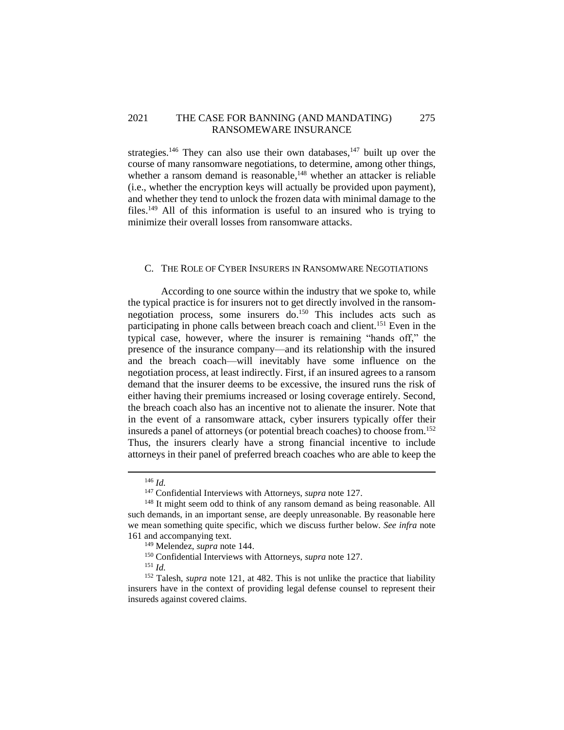## 2021 THE CASE FOR BANNING (AND MANDATING) 275 RANSOMEWARE INSURANCE

strategies.<sup>146</sup> They can also use their own databases,<sup>147</sup> built up over the course of many ransomware negotiations, to determine, among other things, whether a ransom demand is reasonable,<sup>148</sup> whether an attacker is reliable (i.e., whether the encryption keys will actually be provided upon payment), and whether they tend to unlock the frozen data with minimal damage to the files.<sup>149</sup> All of this information is useful to an insured who is trying to minimize their overall losses from ransomware attacks.

### <span id="page-28-0"></span>C. THE ROLE OF CYBER INSURERS IN RANSOMWARE NEGOTIATIONS

According to one source within the industry that we spoke to, while the typical practice is for insurers not to get directly involved in the ransomnegotiation process, some insurers do. <sup>150</sup> This includes acts such as participating in phone calls between breach coach and client.<sup>151</sup> Even in the typical case, however, where the insurer is remaining "hands off," the presence of the insurance company—and its relationship with the insured and the breach coach—will inevitably have some influence on the negotiation process, at least indirectly. First, if an insured agrees to a ransom demand that the insurer deems to be excessive, the insured runs the risk of either having their premiums increased or losing coverage entirely. Second, the breach coach also has an incentive not to alienate the insurer. Note that in the event of a ransomware attack, cyber insurers typically offer their insureds a panel of attorneys (or potential breach coaches) to choose from. 152 Thus, the insurers clearly have a strong financial incentive to include attorneys in their panel of preferred breach coaches who are able to keep the

<sup>146</sup> *Id.*

<sup>147</sup> Confidential Interviews with Attorneys, *supra* note 127.

<sup>&</sup>lt;sup>148</sup> It might seem odd to think of any ransom demand as being reasonable. All such demands, in an important sense, are deeply unreasonable. By reasonable here we mean something quite specific, which we discuss further below. *See infra* note 161 and accompanying text.

<sup>149</sup> Melendez, *supra* note 144.

<sup>150</sup> Confidential Interviews with Attorneys, *supra* note 127.

<sup>151</sup> *Id.*

<sup>&</sup>lt;sup>152</sup> Talesh, *supra* note 121, at 482. This is not unlike the practice that liability insurers have in the context of providing legal defense counsel to represent their insureds against covered claims.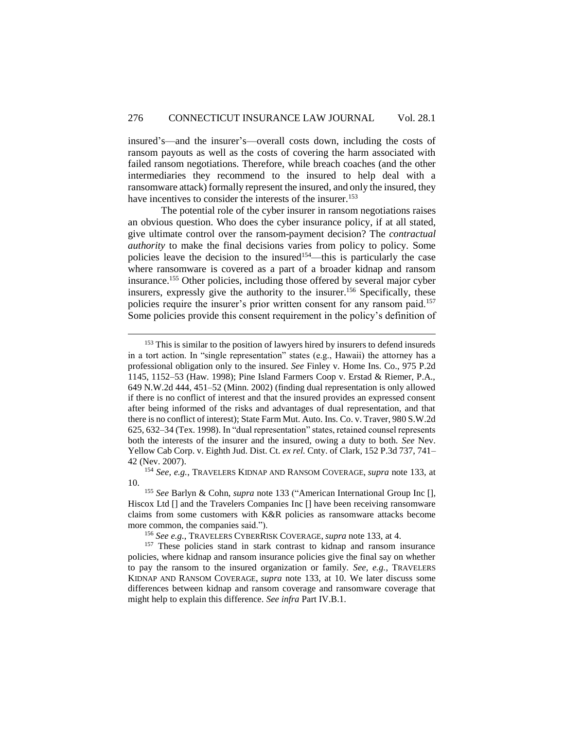insured's—and the insurer's—overall costs down, including the costs of ransom payouts as well as the costs of covering the harm associated with failed ransom negotiations. Therefore, while breach coaches (and the other intermediaries they recommend to the insured to help deal with a ransomware attack) formally represent the insured, and only the insured, they have incentives to consider the interests of the insurer.<sup>153</sup>

The potential role of the cyber insurer in ransom negotiations raises an obvious question. Who does the cyber insurance policy, if at all stated, give ultimate control over the ransom-payment decision? The *contractual authority* to make the final decisions varies from policy to policy. Some policies leave the decision to the insured<sup>154</sup>—this is particularly the case where ransomware is covered as a part of a broader kidnap and ransom insurance.<sup>155</sup> Other policies, including those offered by several major cyber insurers, expressly give the authority to the insurer. <sup>156</sup> Specifically, these policies require the insurer's prior written consent for any ransom paid.<sup>157</sup> Some policies provide this consent requirement in the policy's definition of

 $\overline{a}$ 

<sup>156</sup> *See e.g.*, TRAVELERS CYBERRISK COVERAGE, *supra* note 133, at 4.

 $153$  This is similar to the position of lawyers hired by insurers to defend insureds in a tort action. In "single representation" states (e.g., Hawaii) the attorney has a professional obligation only to the insured. *See* Finley v. Home Ins. Co., 975 P.2d 1145, 1152–53 (Haw. 1998); Pine Island Farmers Coop v. Erstad & Riemer, P.A., 649 N.W.2d 444, 451–52 (Minn. 2002) (finding dual representation is only allowed if there is no conflict of interest and that the insured provides an expressed consent after being informed of the risks and advantages of dual representation, and that there is no conflict of interest); State Farm Mut. Auto. Ins. Co. v. Traver, 980 S.W.2d 625, 632–34 (Tex. 1998). In "dual representation" states, retained counsel represents both the interests of the insurer and the insured, owing a duty to both. *See* Nev. Yellow Cab Corp. v. Eighth Jud. Dist. Ct. *ex rel.* Cnty. of Clark*,* 152 P.3d 737, 741– 42 (Nev. 2007).

<sup>154</sup> *See, e.g.*, TRAVELERS KIDNAP AND RANSOM COVERAGE, *supra* note 133, at 10.

<sup>155</sup> *See* Barlyn & Cohn, *supra* note 133 ("American International Group Inc [], Hiscox Ltd [] and the Travelers Companies Inc [] have been receiving ransomware claims from some customers with K&R policies as ransomware attacks become more common, the companies said.").

<sup>&</sup>lt;sup>157</sup> These policies stand in stark contrast to kidnap and ransom insurance policies, where kidnap and ransom insurance policies give the final say on whether to pay the ransom to the insured organization or family. *See, e.g.*, TRAVELERS KIDNAP AND RANSOM COVERAGE, *supra* note 133, at 10. We later discuss some differences between kidnap and ransom coverage and ransomware coverage that might help to explain this difference. *See infra* Part IV.B.1.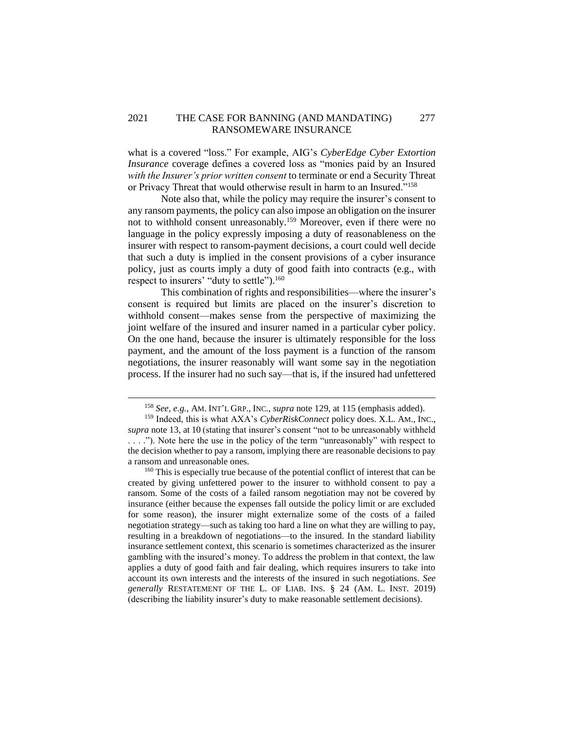## 2021 THE CASE FOR BANNING (AND MANDATING) 277 RANSOMEWARE INSURANCE

what is a covered "loss." For example, AIG's *CyberEdge Cyber Extortion Insurance* coverage defines a covered loss as "monies paid by an Insured *with the Insurer's prior written consent* to terminate or end a Security Threat or Privacy Threat that would otherwise result in harm to an Insured."<sup>158</sup>

Note also that, while the policy may require the insurer's consent to any ransom payments, the policy can also impose an obligation on the insurer not to withhold consent unreasonably.<sup>159</sup> Moreover, even if there were no language in the policy expressly imposing a duty of reasonableness on the insurer with respect to ransom-payment decisions, a court could well decide that such a duty is implied in the consent provisions of a cyber insurance policy, just as courts imply a duty of good faith into contracts (e.g., with respect to insurers' "duty to settle").<sup>160</sup>

This combination of rights and responsibilities—where the insurer's consent is required but limits are placed on the insurer's discretion to withhold consent—makes sense from the perspective of maximizing the joint welfare of the insured and insurer named in a particular cyber policy. On the one hand, because the insurer is ultimately responsible for the loss payment, and the amount of the loss payment is a function of the ransom negotiations, the insurer reasonably will want some say in the negotiation process. If the insurer had no such say—that is, if the insured had unfettered

 $\overline{a}$ 

<sup>160</sup> This is especially true because of the potential conflict of interest that can be created by giving unfettered power to the insurer to withhold consent to pay a ransom. Some of the costs of a failed ransom negotiation may not be covered by insurance (either because the expenses fall outside the policy limit or are excluded for some reason), the insurer might externalize some of the costs of a failed negotiation strategy—such as taking too hard a line on what they are willing to pay, resulting in a breakdown of negotiations—to the insured. In the standard liability insurance settlement context, this scenario is sometimes characterized as the insurer gambling with the insured's money. To address the problem in that context, the law applies a duty of good faith and fair dealing, which requires insurers to take into account its own interests and the interests of the insured in such negotiations. *See generally* RESTATEMENT OF THE L. OF LIAB. INS. § 24 (AM. L. INST. 2019) (describing the liability insurer's duty to make reasonable settlement decisions).

<sup>158</sup> *See, e.g.*, AM. INT'L GRP., INC., *supra* note 129, at 115 (emphasis added).

<sup>159</sup> Indeed, this is what AXA's *CyberRiskConnect* policy does. X.L. AM., INC., *supra* note 13, at 10 (stating that insurer's consent "not to be unreasonably withheld . . . ."). Note here the use in the policy of the term "unreasonably" with respect to the decision whether to pay a ransom, implying there are reasonable decisions to pay a ransom and unreasonable ones.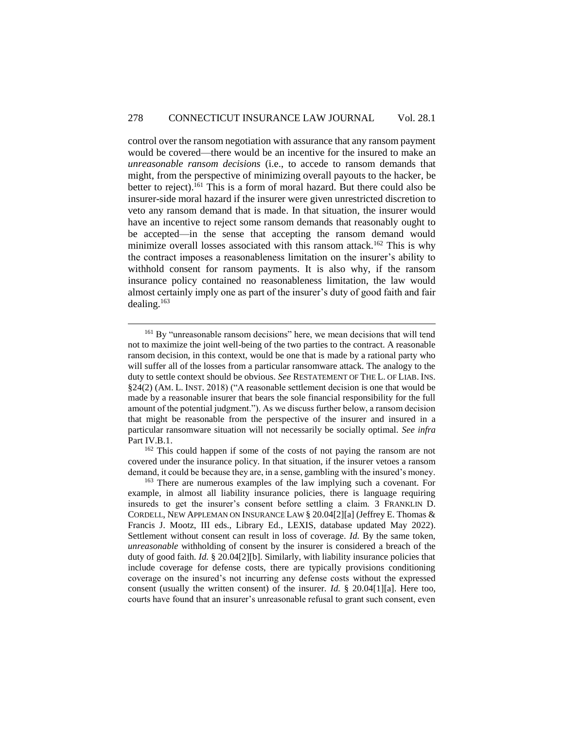control over the ransom negotiation with assurance that any ransom payment would be covered—there would be an incentive for the insured to make an *unreasonable ransom decisions* (i.e., to accede to ransom demands that might, from the perspective of minimizing overall payouts to the hacker, be better to reject). <sup>161</sup> This is a form of moral hazard. But there could also be insurer-side moral hazard if the insurer were given unrestricted discretion to veto any ransom demand that is made. In that situation, the insurer would have an incentive to reject some ransom demands that reasonably ought to be accepted—in the sense that accepting the ransom demand would minimize overall losses associated with this ransom attack.<sup>162</sup> This is why the contract imposes a reasonableness limitation on the insurer's ability to withhold consent for ransom payments. It is also why, if the ransom insurance policy contained no reasonableness limitation, the law would almost certainly imply one as part of the insurer's duty of good faith and fair dealing.<sup>163</sup>

 $\overline{a}$ 

<sup>162</sup> This could happen if some of the costs of not paying the ransom are not covered under the insurance policy. In that situation, if the insurer vetoes a ransom demand, it could be because they are, in a sense, gambling with the insured's money.

<sup>&</sup>lt;sup>161</sup> By "unreasonable ransom decisions" here, we mean decisions that will tend not to maximize the joint well-being of the two parties to the contract. A reasonable ransom decision, in this context, would be one that is made by a rational party who will suffer all of the losses from a particular ransomware attack. The analogy to the duty to settle context should be obvious. *See* RESTATEMENT OF THE L. OF LIAB. INS. §24(2) (AM. L. INST. 2018) ("A reasonable settlement decision is one that would be made by a reasonable insurer that bears the sole financial responsibility for the full amount of the potential judgment."). As we discuss further below, a ransom decision that might be reasonable from the perspective of the insurer and insured in a particular ransomware situation will not necessarily be socially optimal. *See infra* Part IV.B.1.

<sup>&</sup>lt;sup>163</sup> There are numerous examples of the law implying such a covenant. For example, in almost all liability insurance policies, there is language requiring insureds to get the insurer's consent before settling a claim. 3 FRANKLIN D. CORDELL, NEW APPLEMAN ON INSURANCE LAW § 20.04[2][a] (Jeffrey E. Thomas & Francis J. Mootz, III eds., Library Ed., LEXIS, database updated May 2022). Settlement without consent can result in loss of coverage. *Id.* By the same token, *unreasonable* withholding of consent by the insurer is considered a breach of the duty of good faith. *Id.* § 20.04[2][b]. Similarly, with liability insurance policies that include coverage for defense costs, there are typically provisions conditioning coverage on the insured's not incurring any defense costs without the expressed consent (usually the written consent) of the insurer. *Id.* § 20.04[1][a]. Here too, courts have found that an insurer's unreasonable refusal to grant such consent, even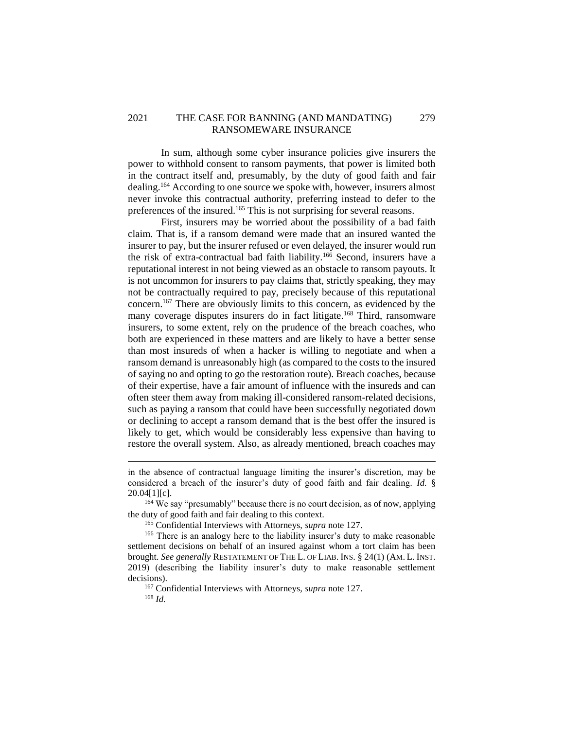## 2021 THE CASE FOR BANNING (AND MANDATING) 279 RANSOMEWARE INSURANCE

In sum, although some cyber insurance policies give insurers the power to withhold consent to ransom payments, that power is limited both in the contract itself and, presumably, by the duty of good faith and fair dealing.<sup>164</sup> According to one source we spoke with, however, insurers almost never invoke this contractual authority, preferring instead to defer to the preferences of the insured.<sup>165</sup> This is not surprising for several reasons.

First, insurers may be worried about the possibility of a bad faith claim. That is, if a ransom demand were made that an insured wanted the insurer to pay, but the insurer refused or even delayed, the insurer would run the risk of extra-contractual bad faith liability.<sup>166</sup> Second, insurers have a reputational interest in not being viewed as an obstacle to ransom payouts. It is not uncommon for insurers to pay claims that, strictly speaking, they may not be contractually required to pay, precisely because of this reputational concern.<sup>167</sup> There are obviously limits to this concern, as evidenced by the many coverage disputes insurers do in fact litigate.<sup>168</sup> Third, ransomware insurers, to some extent, rely on the prudence of the breach coaches, who both are experienced in these matters and are likely to have a better sense than most insureds of when a hacker is willing to negotiate and when a ransom demand is unreasonably high (as compared to the costs to the insured of saying no and opting to go the restoration route). Breach coaches, because of their expertise, have a fair amount of influence with the insureds and can often steer them away from making ill-considered ransom-related decisions, such as paying a ransom that could have been successfully negotiated down or declining to accept a ransom demand that is the best offer the insured is likely to get, which would be considerably less expensive than having to restore the overall system. Also, as already mentioned, breach coaches may

 $\overline{a}$ 

<sup>167</sup> Confidential Interviews with Attorneys, *supra* note 127. <sup>168</sup> *Id.*

in the absence of contractual language limiting the insurer's discretion, may be considered a breach of the insurer's duty of good faith and fair dealing. *Id.* §  $20.04[1][c]$ .

<sup>&</sup>lt;sup>164</sup> We say "presumably" because there is no court decision, as of now, applying the duty of good faith and fair dealing to this context.

<sup>165</sup> Confidential Interviews with Attorneys, *supra* note 127.

<sup>&</sup>lt;sup>166</sup> There is an analogy here to the liability insurer's duty to make reasonable settlement decisions on behalf of an insured against whom a tort claim has been brought. *See generally* RESTATEMENT OF THE L. OF LIAB. INS. § 24(1) (AM. L. INST. 2019) (describing the liability insurer's duty to make reasonable settlement decisions).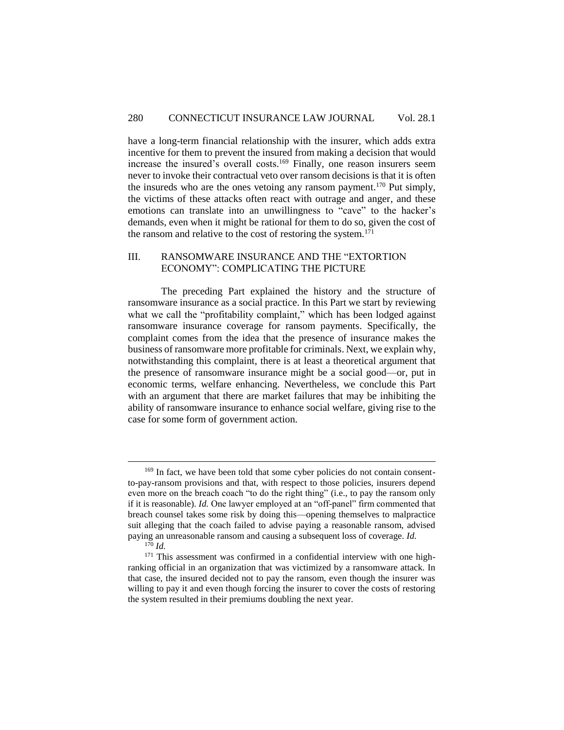have a long-term financial relationship with the insurer, which adds extra incentive for them to prevent the insured from making a decision that would increase the insured's overall costs. <sup>169</sup> Finally, one reason insurers seem never to invoke their contractual veto over ransom decisions is that it is often the insureds who are the ones vetoing any ransom payment.<sup>170</sup> Put simply, the victims of these attacks often react with outrage and anger, and these emotions can translate into an unwillingness to "cave" to the hacker's demands, even when it might be rational for them to do so, given the cost of the ransom and relative to the cost of restoring the system.<sup>171</sup>

## <span id="page-33-0"></span>III. RANSOMWARE INSURANCE AND THE "EXTORTION ECONOMY": COMPLICATING THE PICTURE

The preceding Part explained the history and the structure of ransomware insurance as a social practice. In this Part we start by reviewing what we call the "profitability complaint," which has been lodged against ransomware insurance coverage for ransom payments. Specifically, the complaint comes from the idea that the presence of insurance makes the business of ransomware more profitable for criminals. Next, we explain why, notwithstanding this complaint, there is at least a theoretical argument that the presence of ransomware insurance might be a social good—or, put in economic terms, welfare enhancing. Nevertheless, we conclude this Part with an argument that there are market failures that may be inhibiting the ability of ransomware insurance to enhance social welfare, giving rise to the case for some form of government action.

<sup>&</sup>lt;sup>169</sup> In fact, we have been told that some cyber policies do not contain consentto-pay-ransom provisions and that, with respect to those policies, insurers depend even more on the breach coach "to do the right thing" (i.e., to pay the ransom only if it is reasonable). *Id.* One lawyer employed at an "off-panel" firm commented that breach counsel takes some risk by doing this—opening themselves to malpractice suit alleging that the coach failed to advise paying a reasonable ransom, advised paying an unreasonable ransom and causing a subsequent loss of coverage. *Id.*

 $1^{70}$  *Id.* 

<sup>&</sup>lt;sup>171</sup> This assessment was confirmed in a confidential interview with one highranking official in an organization that was victimized by a ransomware attack. In that case, the insured decided not to pay the ransom, even though the insurer was willing to pay it and even though forcing the insurer to cover the costs of restoring the system resulted in their premiums doubling the next year.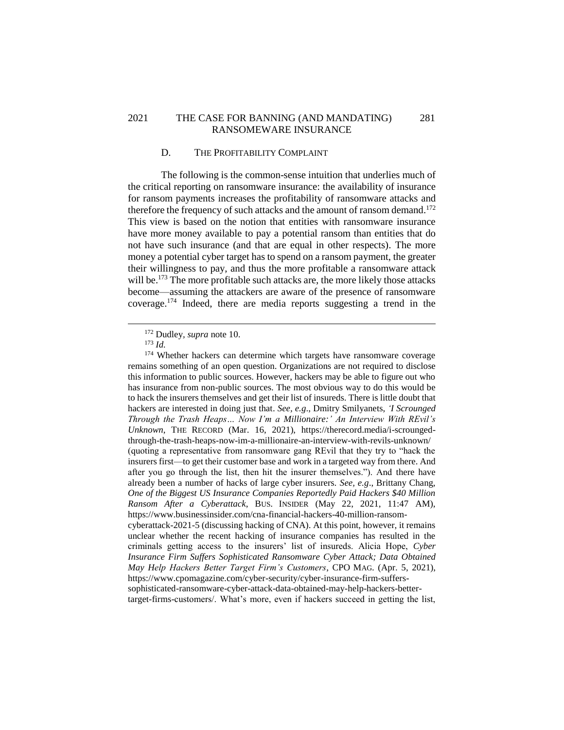## 2021 THE CASE FOR BANNING (AND MANDATING) 281 RANSOMEWARE INSURANCE

## D. THE PROFITABILITY COMPLAINT

<span id="page-34-0"></span>The following is the common-sense intuition that underlies much of the critical reporting on ransomware insurance: the availability of insurance for ransom payments increases the profitability of ransomware attacks and therefore the frequency of such attacks and the amount of ransom demand.<sup>172</sup> This view is based on the notion that entities with ransomware insurance have more money available to pay a potential ransom than entities that do not have such insurance (and that are equal in other respects). The more money a potential cyber target has to spend on a ransom payment, the greater their willingness to pay, and thus the more profitable a ransomware attack will be.<sup>173</sup> The more profitable such attacks are, the more likely those attacks become—assuming the attackers are aware of the presence of ransomware coverage. <sup>174</sup> Indeed, there are media reports suggesting a trend in the

 $\overline{a}$ 

https://www.cpomagazine.com/cyber-security/cyber-insurance-firm-sufferssophisticated-ransomware-cyber-attack-data-obtained-may-help-hackers-better-

target-firms-customers/. What's more, even if hackers succeed in getting the list,

<sup>172</sup> Dudley*, supra* note 10.

<sup>173</sup> *Id.*

<sup>&</sup>lt;sup>174</sup> Whether hackers can determine which targets have ransomware coverage remains something of an open question. Organizations are not required to disclose this information to public sources. However, hackers may be able to figure out who has insurance from non-public sources. The most obvious way to do this would be to hack the insurers themselves and get their list of insureds. There is little doubt that hackers are interested in doing just that. *See, e.g*., Dmitry Smilyanets, *'I Scrounged Through the Trash Heaps… Now I'm a Millionaire:' An Interview With REvil's Unknown*, THE RECORD (Mar. 16, 2021), https://therecord.media/i-scroungedthrough-the-trash-heaps-now-im-a-millionaire-an-interview-with-revils-unknown/ (quoting a representative from ransomware gang REvil that they try to "hack the insurers first—to get their customer base and work in a targeted way from there. And after you go through the list, then hit the insurer themselves."). And there have already been a number of hacks of large cyber insurers. *See, e.g*., Brittany Chang, *One of the Biggest US Insurance Companies Reportedly Paid Hackers \$40 Million Ransom After a Cyberattack*, BUS. INSIDER (May 22, 2021, 11:47 AM), https://www.businessinsider.com/cna-financial-hackers-40-million-ransomcyberattack-2021-5 (discussing hacking of CNA). At this point, however, it remains unclear whether the recent hacking of insurance companies has resulted in the criminals getting access to the insurers' list of insureds. Alicia Hope, *Cyber Insurance Firm Suffers Sophisticated Ransomware Cyber Attack; Data Obtained May Help Hackers Better Target Firm's Customers*, CPO MAG. (Apr. 5, 2021),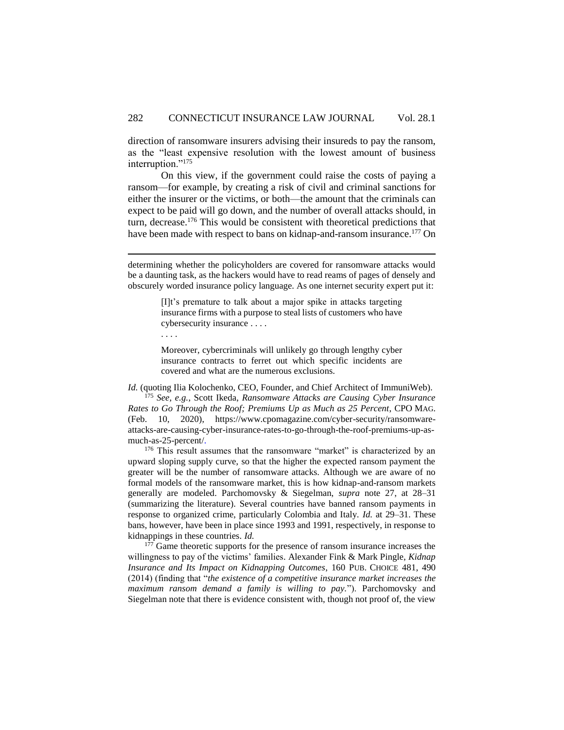direction of ransomware insurers advising their insureds to pay the ransom, as the "least expensive resolution with the lowest amount of business interruption."<sup>175</sup>

On this view, if the government could raise the costs of paying a ransom—for example, by creating a risk of civil and criminal sanctions for either the insurer or the victims, or both—the amount that the criminals can expect to be paid will go down, and the number of overall attacks should, in turn, decrease.<sup>176</sup> This would be consistent with theoretical predictions that have been made with respect to bans on kidnap-and-ransom insurance.<sup>177</sup> On

determining whether the policyholders are covered for ransomware attacks would be a daunting task, as the hackers would have to read reams of pages of densely and obscurely worded insurance policy language. As one internet security expert put it:

> [I]t's premature to talk about a major spike in attacks targeting insurance firms with a purpose to steal lists of customers who have cybersecurity insurance . . . .

. . . .

 $\overline{a}$ 

Moreover, cybercriminals will unlikely go through lengthy cyber insurance contracts to ferret out which specific incidents are covered and what are the numerous exclusions.

*Id.* (quoting Ilia Kolochenko, CEO, Founder, and Chief Architect of ImmuniWeb). <sup>175</sup> *See, e.g.*, Scott Ikeda, *Ransomware Attacks are Causing Cyber Insurance Rates to Go Through the Roof; Premiums Up as Much as 25 Percent*, CPO MAG. (Feb. 10, 2020), https://www.cpomagazine.com/cyber-security/ransomwareattacks-are-causing-cyber-insurance-rates-to-go-through-the-roof-premiums-up-asmuch-as-25-percent/.

<sup>176</sup> This result assumes that the ransomware "market" is characterized by an upward sloping supply curve, so that the higher the expected ransom payment the greater will be the number of ransomware attacks. Although we are aware of no formal models of the ransomware market, this is how kidnap-and-ransom markets generally are modeled. Parchomovsky & Siegelman, *supra* note 27, at 28–31 (summarizing the literature). Several countries have banned ransom payments in response to organized crime, particularly Colombia and Italy. *Id.* at 29–31. These bans, however, have been in place since 1993 and 1991, respectively, in response to kidnappings in these countries. *Id.*

<sup>177</sup> Game theoretic supports for the presence of ransom insurance increases the willingness to pay of the victims' families. Alexander Fink & Mark Pingle, *Kidnap Insurance and Its Impact on Kidnapping Outcomes*, 160 PUB. CHOICE 481, 490 (2014) (finding that "*the existence of a competitive insurance market increases the maximum ransom demand a family is willing to pay.*"). Parchomovsky and Siegelman note that there is evidence consistent with, though not proof of, the view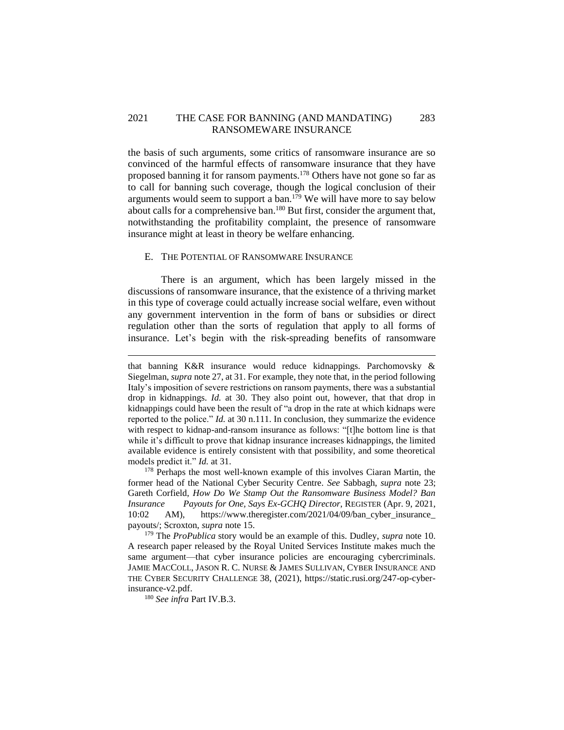## 2021 THE CASE FOR BANNING (AND MANDATING) 283 RANSOMEWARE INSURANCE

the basis of such arguments, some critics of ransomware insurance are so convinced of the harmful effects of ransomware insurance that they have proposed banning it for ransom payments.<sup>178</sup> Others have not gone so far as to call for banning such coverage, though the logical conclusion of their arguments would seem to support a ban.<sup>179</sup> We will have more to say below about calls for a comprehensive ban.<sup>180</sup> But first, consider the argument that, notwithstanding the profitability complaint, the presence of ransomware insurance might at least in theory be welfare enhancing.

#### <span id="page-36-0"></span>E. THE POTENTIAL OF RANSOMWARE INSURANCE

There is an argument, which has been largely missed in the discussions of ransomware insurance, that the existence of a thriving market in this type of coverage could actually increase social welfare, even without any government intervention in the form of bans or subsidies or direct regulation other than the sorts of regulation that apply to all forms of insurance. Let's begin with the risk-spreading benefits of ransomware

<sup>180</sup> *See infra* Part IV.B.3.

that banning K&R insurance would reduce kidnappings. Parchomovsky & Siegelman, *supra* note 27, at 31. For example, they note that, in the period following Italy's imposition of severe restrictions on ransom payments, there was a substantial drop in kidnappings. *Id.* at 30. They also point out, however, that that drop in kidnappings could have been the result of "a drop in the rate at which kidnaps were reported to the police." *Id.* at 30 n.111. In conclusion, they summarize the evidence with respect to kidnap-and-ransom insurance as follows: "[t]he bottom line is that while it's difficult to prove that kidnap insurance increases kidnappings, the limited available evidence is entirely consistent with that possibility, and some theoretical models predict it." *Id.* at 31.

<sup>&</sup>lt;sup>178</sup> Perhaps the most well-known example of this involves Ciaran Martin, the former head of the National Cyber Security Centre. *See* Sabbagh, *supra* note 23; Gareth Corfield, *How Do We Stamp Out the Ransomware Business Model? Ban Insurance Payouts for One, Says Ex-GCHQ Director*, REGISTER (Apr. 9, 2021, 10:02 AM), https://www.theregister.com/2021/04/09/ban\_cyber\_insurance\_ payouts/; Scroxton, *supra* note 15.

<sup>179</sup> The *ProPublica* story would be an example of this. Dudley, *supra* note 10. A research paper released by the Royal United Services Institute makes much the same argument—that cyber insurance policies are encouraging cybercriminals. JAMIE MACCOLL, JASON R. C. NURSE & JAMES SULLIVAN, CYBER INSURANCE AND THE CYBER SECURITY CHALLENGE 38, (2021), https://static.rusi.org/247-op-cyberinsurance-v2.pdf.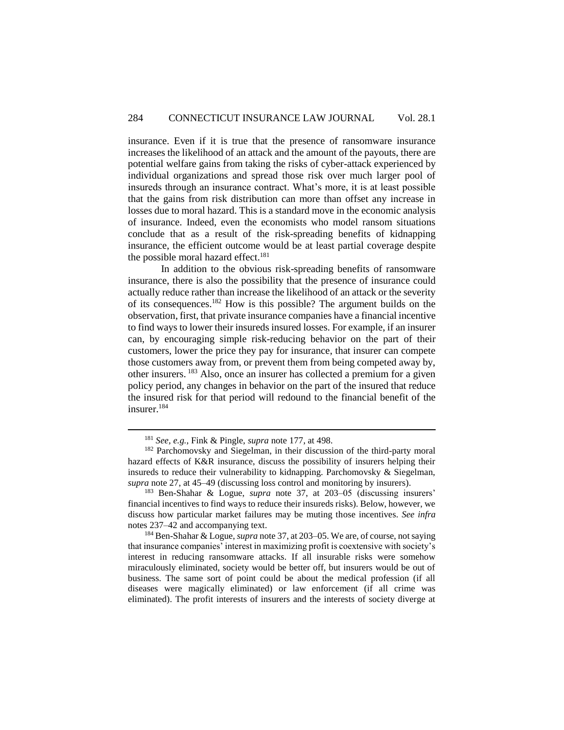insurance. Even if it is true that the presence of ransomware insurance increases the likelihood of an attack and the amount of the payouts, there are potential welfare gains from taking the risks of cyber-attack experienced by individual organizations and spread those risk over much larger pool of insureds through an insurance contract. What's more, it is at least possible that the gains from risk distribution can more than offset any increase in losses due to moral hazard. This is a standard move in the economic analysis of insurance. Indeed, even the economists who model ransom situations conclude that as a result of the risk-spreading benefits of kidnapping insurance, the efficient outcome would be at least partial coverage despite the possible moral hazard effect.<sup>181</sup>

In addition to the obvious risk-spreading benefits of ransomware insurance, there is also the possibility that the presence of insurance could actually reduce rather than increase the likelihood of an attack or the severity of its consequences.<sup>182</sup> How is this possible? The argument builds on the observation, first, that private insurance companies have a financial incentive to find ways to lower their insureds insured losses. For example, if an insurer can, by encouraging simple risk-reducing behavior on the part of their customers, lower the price they pay for insurance, that insurer can compete those customers away from, or prevent them from being competed away by, other insurers. <sup>183</sup> Also, once an insurer has collected a premium for a given policy period, any changes in behavior on the part of the insured that reduce the insured risk for that period will redound to the financial benefit of the insurer. 184

<sup>181</sup> *See, e.g.*, Fink & Pingle, *supra* note 177, at 498.

<sup>&</sup>lt;sup>182</sup> Parchomovsky and Siegelman, in their discussion of the third-party moral hazard effects of K&R insurance, discuss the possibility of insurers helping their insureds to reduce their vulnerability to kidnapping. Parchomovsky & Siegelman, *supra* note 27, at 45–49 (discussing loss control and monitoring by insurers).

<sup>183</sup> Ben-Shahar & Logue, *supra* note 37, at 203–05 (discussing insurers' financial incentives to find ways to reduce their insureds risks). Below, however, we discuss how particular market failures may be muting those incentives. *See infra* notes 237–42 and accompanying text.

<sup>184</sup> Ben-Shahar & Logue, *supra* note 37, at 203–05. We are, of course, not saying that insurance companies' interest in maximizing profit is coextensive with society's interest in reducing ransomware attacks. If all insurable risks were somehow miraculously eliminated, society would be better off, but insurers would be out of business. The same sort of point could be about the medical profession (if all diseases were magically eliminated) or law enforcement (if all crime was eliminated). The profit interests of insurers and the interests of society diverge at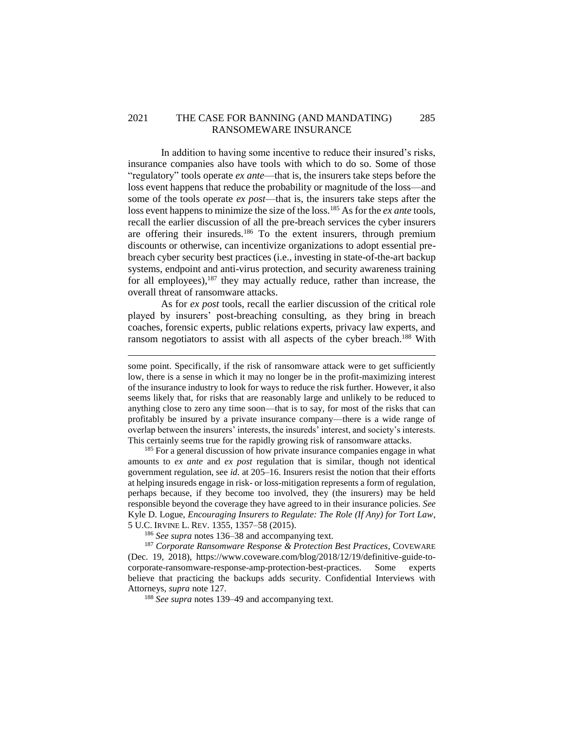## 2021 THE CASE FOR BANNING (AND MANDATING) 285 RANSOMEWARE INSURANCE

In addition to having some incentive to reduce their insured's risks, insurance companies also have tools with which to do so. Some of those "regulatory" tools operate *ex ante*—that is, the insurers take steps before the loss event happens that reduce the probability or magnitude of the loss—and some of the tools operate *ex post*—that is, the insurers take steps after the loss event happens to minimize the size of the loss.<sup>185</sup> As for the *ex ante* tools, recall the earlier discussion of all the pre-breach services the cyber insurers are offering their insureds.<sup>186</sup> To the extent insurers, through premium discounts or otherwise, can incentivize organizations to adopt essential prebreach cyber security best practices (i.e., investing in state-of-the-art backup systems, endpoint and anti-virus protection, and security awareness training for all employees),  $187$  they may actually reduce, rather than increase, the overall threat of ransomware attacks.

As for *ex post* tools, recall the earlier discussion of the critical role played by insurers' post-breaching consulting, as they bring in breach coaches, forensic experts, public relations experts, privacy law experts, and ransom negotiators to assist with all aspects of the cyber breach.<sup>188</sup> With

<sup>185</sup> For a general discussion of how private insurance companies engage in what amounts to *ex ante* and *ex post* regulation that is similar, though not identical government regulation, see *id.* at 205–16. Insurers resist the notion that their efforts at helping insureds engage in risk- or loss-mitigation represents a form of regulation, perhaps because, if they become too involved, they (the insurers) may be held responsible beyond the coverage they have agreed to in their insurance policies. *See* Kyle D. Logue, *Encouraging Insurers to Regulate: The Role (If Any) for Tort Law*, 5 U.C. IRVINE L. REV. 1355, 1357–58 (2015).

<sup>186</sup> *See supra* notes 136–38 and accompanying text.

 $\overline{a}$ 

<sup>187</sup> *Corporate Ransomware Response & Protection Best Practices*, COVEWARE (Dec. 19, 2018), https://www.coveware.com/blog/2018/12/19/definitive-guide-tocorporate-ransomware-response-amp-protection-best-practices. Some experts believe that practicing the backups adds security. Confidential Interviews with Attorneys, *supra* note 127.

<sup>188</sup> *See supra* notes 139–49 and accompanying text.

some point. Specifically, if the risk of ransomware attack were to get sufficiently low, there is a sense in which it may no longer be in the profit-maximizing interest of the insurance industry to look for ways to reduce the risk further. However, it also seems likely that, for risks that are reasonably large and unlikely to be reduced to anything close to zero any time soon—that is to say, for most of the risks that can profitably be insured by a private insurance company—there is a wide range of overlap between the insurers' interests, the insureds' interest, and society's interests. This certainly seems true for the rapidly growing risk of ransomware attacks.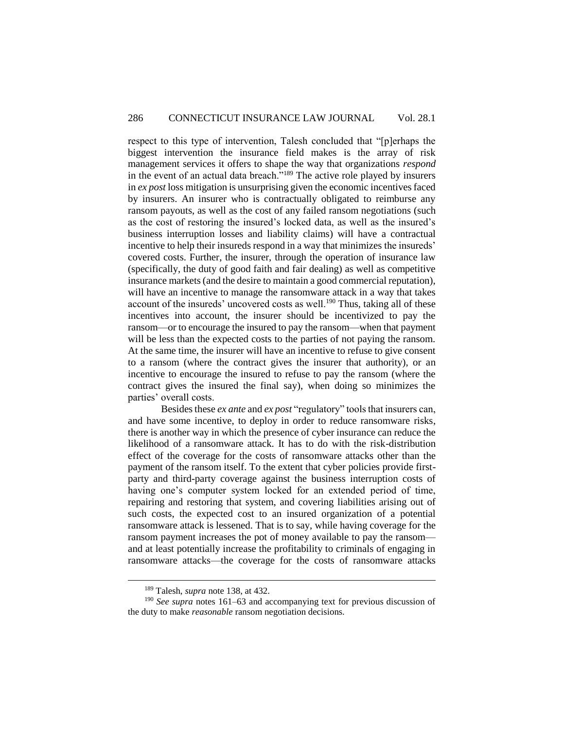respect to this type of intervention, Talesh concluded that "[p]erhaps the biggest intervention the insurance field makes is the array of risk management services it offers to shape the way that organizations *respond* in the event of an actual data breach."<sup>189</sup> The active role played by insurers in *ex post* loss mitigation is unsurprising given the economic incentives faced by insurers. An insurer who is contractually obligated to reimburse any ransom payouts, as well as the cost of any failed ransom negotiations (such as the cost of restoring the insured's locked data, as well as the insured's business interruption losses and liability claims) will have a contractual incentive to help their insureds respond in a way that minimizes the insureds' covered costs. Further, the insurer, through the operation of insurance law (specifically, the duty of good faith and fair dealing) as well as competitive insurance markets (and the desire to maintain a good commercial reputation), will have an incentive to manage the ransomware attack in a way that takes account of the insureds' uncovered costs as well.<sup>190</sup> Thus, taking all of these incentives into account, the insurer should be incentivized to pay the ransom—or to encourage the insured to pay the ransom—when that payment will be less than the expected costs to the parties of not paying the ransom. At the same time, the insurer will have an incentive to refuse to give consent to a ransom (where the contract gives the insurer that authority), or an incentive to encourage the insured to refuse to pay the ransom (where the contract gives the insured the final say), when doing so minimizes the parties' overall costs.

Besides these *ex ante* and *ex post* "regulatory" tools that insurers can, and have some incentive, to deploy in order to reduce ransomware risks, there is another way in which the presence of cyber insurance can reduce the likelihood of a ransomware attack. It has to do with the risk-distribution effect of the coverage for the costs of ransomware attacks other than the payment of the ransom itself. To the extent that cyber policies provide firstparty and third-party coverage against the business interruption costs of having one's computer system locked for an extended period of time, repairing and restoring that system, and covering liabilities arising out of such costs, the expected cost to an insured organization of a potential ransomware attack is lessened. That is to say, while having coverage for the ransom payment increases the pot of money available to pay the ransom and at least potentially increase the profitability to criminals of engaging in ransomware attacks—the coverage for the costs of ransomware attacks

<sup>189</sup> Talesh, *supra* note 138, at 432.

<sup>190</sup> *See supra* notes 161–63 and accompanying text for previous discussion of the duty to make *reasonable* ransom negotiation decisions.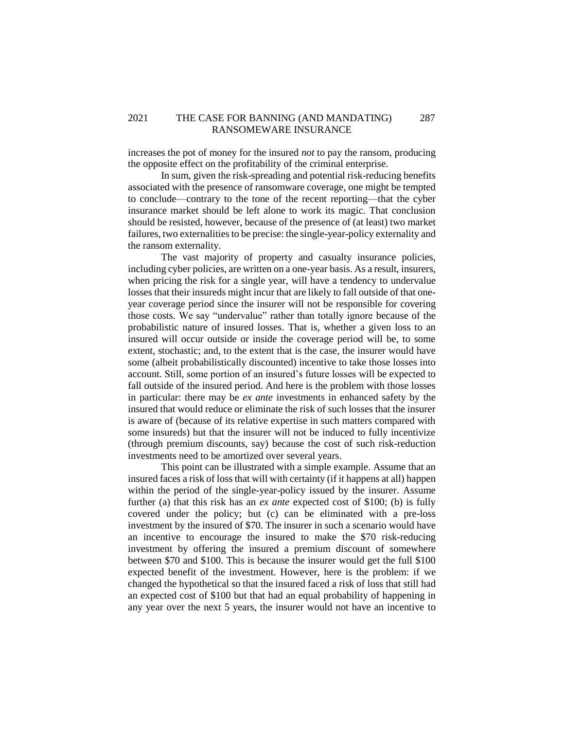## 2021 THE CASE FOR BANNING (AND MANDATING) 287 RANSOMEWARE INSURANCE

increases the pot of money for the insured *not* to pay the ransom, producing the opposite effect on the profitability of the criminal enterprise.

In sum, given the risk-spreading and potential risk-reducing benefits associated with the presence of ransomware coverage, one might be tempted to conclude—contrary to the tone of the recent reporting—that the cyber insurance market should be left alone to work its magic. That conclusion should be resisted, however, because of the presence of (at least) two market failures, two externalities to be precise: the single-year-policy externality and the ransom externality.

The vast majority of property and casualty insurance policies, including cyber policies, are written on a one-year basis. As a result, insurers, when pricing the risk for a single year, will have a tendency to undervalue losses that their insureds might incur that are likely to fall outside of that oneyear coverage period since the insurer will not be responsible for covering those costs. We say "undervalue" rather than totally ignore because of the probabilistic nature of insured losses. That is, whether a given loss to an insured will occur outside or inside the coverage period will be, to some extent, stochastic; and, to the extent that is the case, the insurer would have some (albeit probabilistically discounted) incentive to take those losses into account. Still, some portion of an insured's future losses will be expected to fall outside of the insured period. And here is the problem with those losses in particular: there may be *ex ante* investments in enhanced safety by the insured that would reduce or eliminate the risk of such losses that the insurer is aware of (because of its relative expertise in such matters compared with some insureds) but that the insurer will not be induced to fully incentivize (through premium discounts, say) because the cost of such risk-reduction investments need to be amortized over several years.

This point can be illustrated with a simple example. Assume that an insured faces a risk of loss that will with certainty (if it happens at all) happen within the period of the single-year-policy issued by the insurer. Assume further (a) that this risk has an *ex ante* expected cost of \$100; (b) is fully covered under the policy; but (c) can be eliminated with a pre-loss investment by the insured of \$70. The insurer in such a scenario would have an incentive to encourage the insured to make the \$70 risk-reducing investment by offering the insured a premium discount of somewhere between \$70 and \$100. This is because the insurer would get the full \$100 expected benefit of the investment. However, here is the problem: if we changed the hypothetical so that the insured faced a risk of loss that still had an expected cost of \$100 but that had an equal probability of happening in any year over the next 5 years, the insurer would not have an incentive to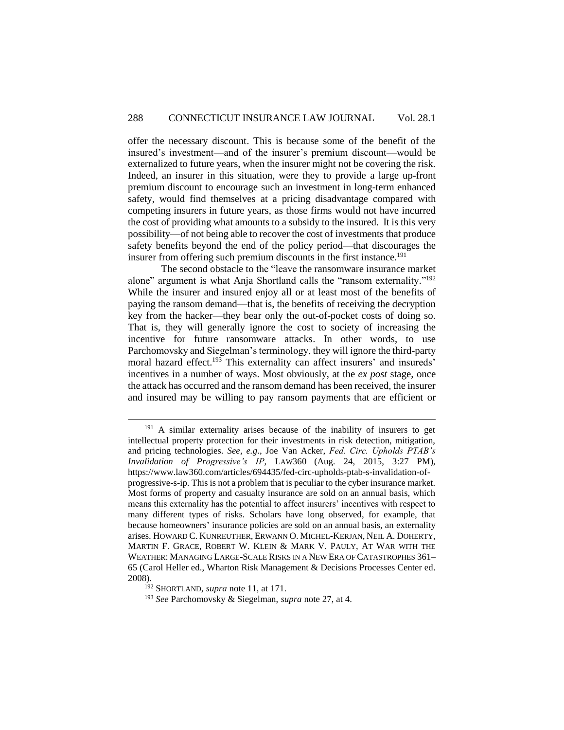offer the necessary discount. This is because some of the benefit of the insured's investment—and of the insurer's premium discount—would be externalized to future years, when the insurer might not be covering the risk. Indeed, an insurer in this situation, were they to provide a large up-front premium discount to encourage such an investment in long-term enhanced safety, would find themselves at a pricing disadvantage compared with competing insurers in future years, as those firms would not have incurred the cost of providing what amounts to a subsidy to the insured. It is this very possibility—of not being able to recover the cost of investments that produce safety benefits beyond the end of the policy period—that discourages the insurer from offering such premium discounts in the first instance.<sup>191</sup>

The second obstacle to the "leave the ransomware insurance market alone" argument is what Anja Shortland calls the "ransom externality."<sup>192</sup> While the insurer and insured enjoy all or at least most of the benefits of paying the ransom demand—that is, the benefits of receiving the decryption key from the hacker—they bear only the out-of-pocket costs of doing so. That is, they will generally ignore the cost to society of increasing the incentive for future ransomware attacks. In other words, to use Parchomovsky and Siegelman's terminology, they will ignore the third-party moral hazard effect. <sup>193</sup> This externality can affect insurers' and insureds' incentives in a number of ways. Most obviously, at the *ex post* stage, once the attack has occurred and the ransom demand has been received, the insurer and insured may be willing to pay ransom payments that are efficient or

<sup>&</sup>lt;sup>191</sup> A similar externality arises because of the inability of insurers to get intellectual property protection for their investments in risk detection, mitigation, and pricing technologies. *See, e.g*., Joe Van Acker, *Fed. Circ. Upholds PTAB's Invalidation of Progressive's IP*, LAW360 (Aug. 24, 2015, 3:27 PM), https://www.law360.com/articles/694435/fed-circ-upholds-ptab-s-invalidation-ofprogressive-s-ip. This is not a problem that is peculiar to the cyber insurance market. Most forms of property and casualty insurance are sold on an annual basis, which means this externality has the potential to affect insurers' incentives with respect to many different types of risks. Scholars have long observed, for example, that because homeowners' insurance policies are sold on an annual basis, an externality arises. HOWARD C. KUNREUTHER, ERWANN O. MICHEL-KERJAN, NEIL A. DOHERTY, MARTIN F. GRACE, ROBERT W. KLEIN & MARK V. PAULY, AT WAR WITH THE WEATHER: MANAGING LARGE-SCALE RISKS IN A NEW ERA OF CATASTROPHES 361– 65 (Carol Heller ed., Wharton Risk Management & Decisions Processes Center ed. 2008).

<sup>192</sup> SHORTLAND, *supra* note 11, at 171.

<sup>193</sup> *See* Parchomovsky & Siegelman, *supra* note 27, at 4.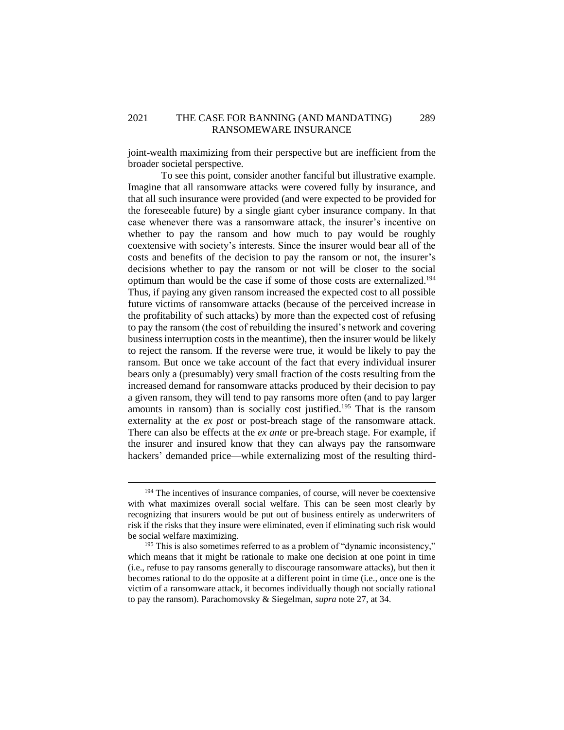joint-wealth maximizing from their perspective but are inefficient from the broader societal perspective.

To see this point, consider another fanciful but illustrative example. Imagine that all ransomware attacks were covered fully by insurance, and that all such insurance were provided (and were expected to be provided for the foreseeable future) by a single giant cyber insurance company. In that case whenever there was a ransomware attack, the insurer's incentive on whether to pay the ransom and how much to pay would be roughly coextensive with society's interests. Since the insurer would bear all of the costs and benefits of the decision to pay the ransom or not, the insurer's decisions whether to pay the ransom or not will be closer to the social optimum than would be the case if some of those costs are externalized. 194 Thus, if paying any given ransom increased the expected cost to all possible future victims of ransomware attacks (because of the perceived increase in the profitability of such attacks) by more than the expected cost of refusing to pay the ransom (the cost of rebuilding the insured's network and covering business interruption costs in the meantime), then the insurer would be likely to reject the ransom. If the reverse were true, it would be likely to pay the ransom. But once we take account of the fact that every individual insurer bears only a (presumably) very small fraction of the costs resulting from the increased demand for ransomware attacks produced by their decision to pay a given ransom, they will tend to pay ransoms more often (and to pay larger amounts in ransom) than is socially cost justified. <sup>195</sup> That is the ransom externality at the *ex post* or post-breach stage of the ransomware attack. There can also be effects at the *ex ante* or pre-breach stage. For example, if the insurer and insured know that they can always pay the ransomware hackers' demanded price—while externalizing most of the resulting third-

<sup>&</sup>lt;sup>194</sup> The incentives of insurance companies, of course, will never be coextensive with what maximizes overall social welfare. This can be seen most clearly by recognizing that insurers would be put out of business entirely as underwriters of risk if the risks that they insure were eliminated, even if eliminating such risk would be social welfare maximizing.

<sup>&</sup>lt;sup>195</sup> This is also sometimes referred to as a problem of "dynamic inconsistency," which means that it might be rationale to make one decision at one point in time (i.e., refuse to pay ransoms generally to discourage ransomware attacks), but then it becomes rational to do the opposite at a different point in time (i.e., once one is the victim of a ransomware attack, it becomes individually though not socially rational to pay the ransom). Parachomovsky & Siegelman, *supra* note 27, at 34.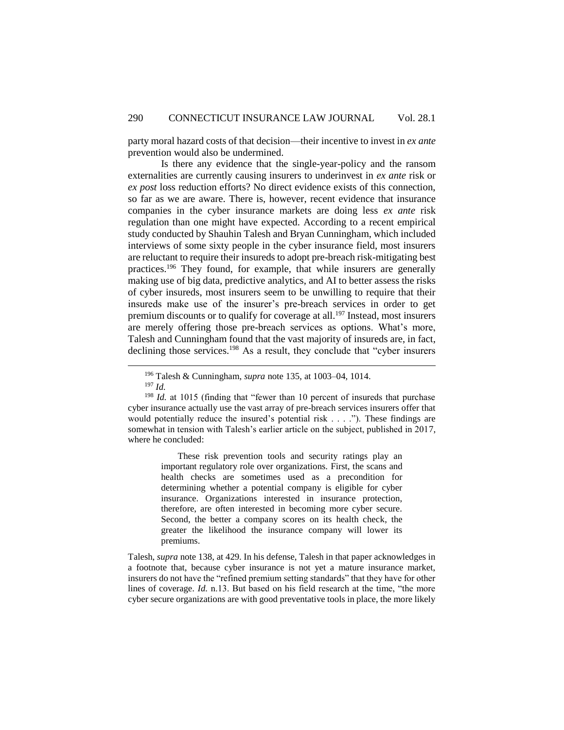party moral hazard costs of that decision—their incentive to invest in *ex ante* prevention would also be undermined.

Is there any evidence that the single-year-policy and the ransom externalities are currently causing insurers to underinvest in *ex ante* risk or *ex post* loss reduction efforts? No direct evidence exists of this connection, so far as we are aware. There is, however, recent evidence that insurance companies in the cyber insurance markets are doing less *ex ante* risk regulation than one might have expected. According to a recent empirical study conducted by Shauhin Talesh and Bryan Cunningham, which included interviews of some sixty people in the cyber insurance field, most insurers are reluctant to require their insureds to adopt pre-breach risk-mitigating best practices.<sup>196</sup> They found, for example, that while insurers are generally making use of big data, predictive analytics, and AI to better assess the risks of cyber insureds, most insurers seem to be unwilling to require that their insureds make use of the insurer's pre-breach services in order to get premium discounts or to qualify for coverage at all.<sup>197</sup> Instead, most insurers are merely offering those pre-breach services as options. What's more, Talesh and Cunningham found that the vast majority of insureds are, in fact, declining those services.<sup>198</sup> As a result, they conclude that "cyber insurers"

 $\overline{a}$ 

These risk prevention tools and security ratings play an important regulatory role over organizations. First, the scans and health checks are sometimes used as a precondition for determining whether a potential company is eligible for cyber insurance. Organizations interested in insurance protection, therefore, are often interested in becoming more cyber secure. Second, the better a company scores on its health check, the greater the likelihood the insurance company will lower its premiums.

Talesh, *supra* note 138, at 429. In his defense, Talesh in that paper acknowledges in a footnote that, because cyber insurance is not yet a mature insurance market, insurers do not have the "refined premium setting standards" that they have for other lines of coverage. *Id.* n.13. But based on his field research at the time, "the more cyber secure organizations are with good preventative tools in place, the more likely

<sup>196</sup> Talesh & Cunningham, *supra* note 135, at 1003–04, 1014.

<sup>197</sup> *Id.*

<sup>&</sup>lt;sup>198</sup> *Id.* at 1015 (finding that "fewer than 10 percent of insureds that purchase cyber insurance actually use the vast array of pre-breach services insurers offer that would potentially reduce the insured's potential risk . . . ."). These findings are somewhat in tension with Talesh's earlier article on the subject, published in 2017, where he concluded: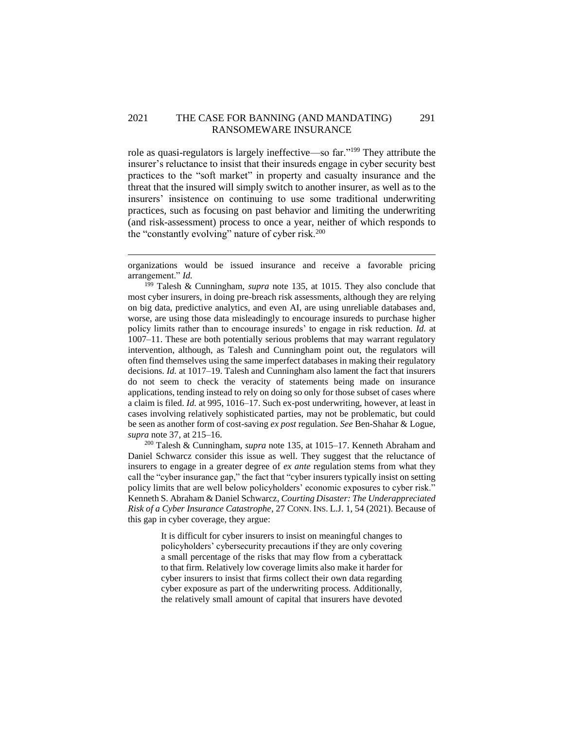### 2021 THE CASE FOR BANNING (AND MANDATING) 291 RANSOMEWARE INSURANCE

role as quasi-regulators is largely ineffective—so far."<sup>199</sup> They attribute the insurer's reluctance to insist that their insureds engage in cyber security best practices to the "soft market" in property and casualty insurance and the threat that the insured will simply switch to another insurer, as well as to the insurers' insistence on continuing to use some traditional underwriting practices, such as focusing on past behavior and limiting the underwriting (and risk-assessment) process to once a year, neither of which responds to the "constantly evolving" nature of cyber risk.<sup>200</sup>

 $\overline{a}$ 

<sup>199</sup> Talesh & Cunningham, *supra* note 135, at 1015. They also conclude that most cyber insurers, in doing pre-breach risk assessments, although they are relying on big data, predictive analytics, and even AI, are using unreliable databases and, worse, are using those data misleadingly to encourage insureds to purchase higher policy limits rather than to encourage insureds' to engage in risk reduction. *Id.* at 1007–11. These are both potentially serious problems that may warrant regulatory intervention, although, as Talesh and Cunningham point out, the regulators will often find themselves using the same imperfect databases in making their regulatory decisions. *Id.* at 1017–19. Talesh and Cunningham also lament the fact that insurers do not seem to check the veracity of statements being made on insurance applications, tending instead to rely on doing so only for those subset of cases where a claim is filed. *Id.* at 995, 1016–17. Such ex-post underwriting, however, at least in cases involving relatively sophisticated parties, may not be problematic, but could be seen as another form of cost-saving *ex post* regulation. *See* Ben-Shahar & Logue, *supra* note 37, at 215–16.

<sup>200</sup> Talesh & Cunningham, *supra* note 135, at 1015–17. Kenneth Abraham and Daniel Schwarcz consider this issue as well. They suggest that the reluctance of insurers to engage in a greater degree of *ex ante* regulation stems from what they call the "cyber insurance gap," the fact that "cyber insurers typically insist on setting policy limits that are well below policyholders' economic exposures to cyber risk." Kenneth S. Abraham & Daniel Schwarcz, *Courting Disaster: The Underappreciated Risk of a Cyber Insurance Catastrophe*, 27 CONN. INS. L.J. 1, 54 (2021). Because of this gap in cyber coverage, they argue:

> It is difficult for cyber insurers to insist on meaningful changes to policyholders' cybersecurity precautions if they are only covering a small percentage of the risks that may flow from a cyberattack to that firm. Relatively low coverage limits also make it harder for cyber insurers to insist that firms collect their own data regarding cyber exposure as part of the underwriting process. Additionally, the relatively small amount of capital that insurers have devoted

organizations would be issued insurance and receive a favorable pricing arrangement." *Id.*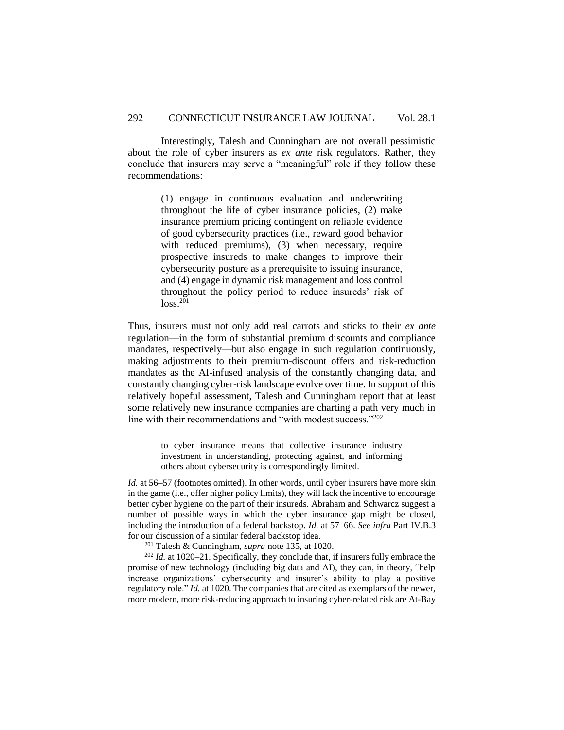Interestingly, Talesh and Cunningham are not overall pessimistic about the role of cyber insurers as *ex ante* risk regulators. Rather, they conclude that insurers may serve a "meaningful" role if they follow these recommendations:

> (1) engage in continuous evaluation and underwriting throughout the life of cyber insurance policies, (2) make insurance premium pricing contingent on reliable evidence of good cybersecurity practices (i.e., reward good behavior with reduced premiums), (3) when necessary, require prospective insureds to make changes to improve their cybersecurity posture as a prerequisite to issuing insurance, and (4) engage in dynamic risk management and loss control throughout the policy period to reduce insureds' risk of  $loss.<sup>201</sup>$

Thus, insurers must not only add real carrots and sticks to their *ex ante* regulation—in the form of substantial premium discounts and compliance mandates, respectively—but also engage in such regulation continuously, making adjustments to their premium-discount offers and risk-reduction mandates as the AI-infused analysis of the constantly changing data, and constantly changing cyber-risk landscape evolve over time. In support of this relatively hopeful assessment, Talesh and Cunningham report that at least some relatively new insurance companies are charting a path very much in line with their recommendations and "with modest success."<sup>202</sup>

> to cyber insurance means that collective insurance industry investment in understanding, protecting against, and informing others about cybersecurity is correspondingly limited.

*Id.* at 56–57 (footnotes omitted). In other words, until cyber insurers have more skin in the game (i.e., offer higher policy limits), they will lack the incentive to encourage better cyber hygiene on the part of their insureds. Abraham and Schwarcz suggest a number of possible ways in which the cyber insurance gap might be closed, including the introduction of a federal backstop. *Id.* at 57–66. *See infra* Part IV.B.3 for our discussion of a similar federal backstop idea.

<sup>201</sup> Talesh & Cunningham, *supra* note 135, at 1020.

 $\overline{a}$ 

<sup>202</sup> *Id.* at 1020–21. Specifically, they conclude that, if insurers fully embrace the promise of new technology (including big data and AI), they can, in theory, "help increase organizations' cybersecurity and insurer's ability to play a positive regulatory role." *Id.* at 1020. The companies that are cited as exemplars of the newer, more modern, more risk-reducing approach to insuring cyber-related risk are At-Bay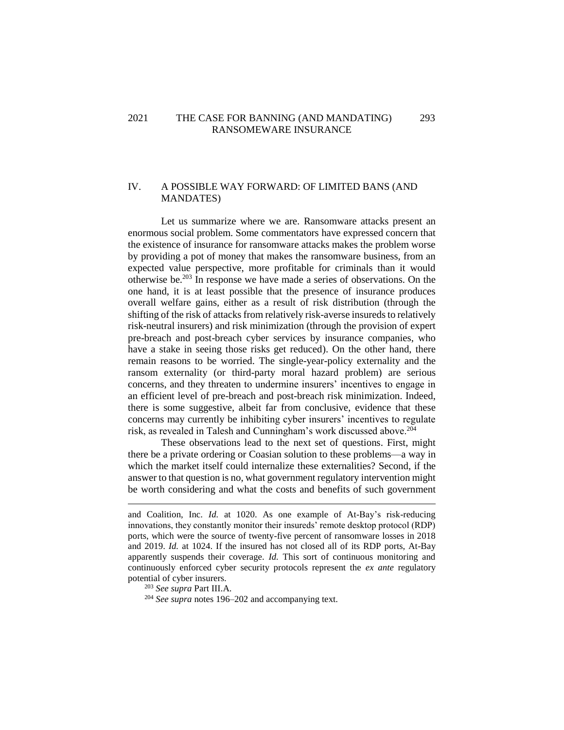## 2021 THE CASE FOR BANNING (AND MANDATING) 293 RANSOMEWARE INSURANCE

## <span id="page-46-0"></span>IV. A POSSIBLE WAY FORWARD: OF LIMITED BANS (AND MANDATES)

Let us summarize where we are. Ransomware attacks present an enormous social problem. Some commentators have expressed concern that the existence of insurance for ransomware attacks makes the problem worse by providing a pot of money that makes the ransomware business, from an expected value perspective, more profitable for criminals than it would otherwise be.<sup>203</sup> In response we have made a series of observations. On the one hand, it is at least possible that the presence of insurance produces overall welfare gains, either as a result of risk distribution (through the shifting of the risk of attacks from relatively risk-averse insureds to relatively risk-neutral insurers) and risk minimization (through the provision of expert pre-breach and post-breach cyber services by insurance companies, who have a stake in seeing those risks get reduced). On the other hand, there remain reasons to be worried. The single-year-policy externality and the ransom externality (or third-party moral hazard problem) are serious concerns, and they threaten to undermine insurers' incentives to engage in an efficient level of pre-breach and post-breach risk minimization. Indeed, there is some suggestive, albeit far from conclusive, evidence that these concerns may currently be inhibiting cyber insurers' incentives to regulate risk, as revealed in Talesh and Cunningham's work discussed above.<sup>204</sup>

These observations lead to the next set of questions. First, might there be a private ordering or Coasian solution to these problems—a way in which the market itself could internalize these externalities? Second, if the answer to that question is no, what government regulatory intervention might be worth considering and what the costs and benefits of such government

<sup>203</sup> *See supra* Part III.A.

and Coalition, Inc. *Id.* at 1020. As one example of At-Bay's risk-reducing innovations, they constantly monitor their insureds' remote desktop protocol (RDP) ports, which were the source of twenty-five percent of ransomware losses in 2018 and 2019. *Id.* at 1024. If the insured has not closed all of its RDP ports, At-Bay apparently suspends their coverage. *Id.* This sort of continuous monitoring and continuously enforced cyber security protocols represent the *ex ante* regulatory potential of cyber insurers.

<sup>204</sup> *See supra* notes 196–202 and accompanying text.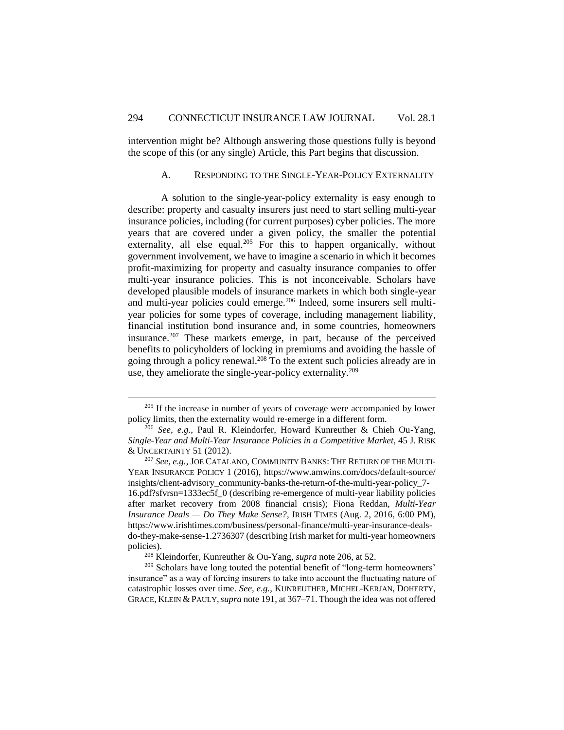<span id="page-47-0"></span>intervention might be? Although answering those questions fully is beyond the scope of this (or any single) Article, this Part begins that discussion.

#### A. RESPONDING TO THE SINGLE-YEAR-POLICY EXTERNALITY

A solution to the single-year-policy externality is easy enough to describe: property and casualty insurers just need to start selling multi-year insurance policies, including (for current purposes) cyber policies. The more years that are covered under a given policy, the smaller the potential externality, all else equal.<sup>205</sup> For this to happen organically, without government involvement, we have to imagine a scenario in which it becomes profit-maximizing for property and casualty insurance companies to offer multi-year insurance policies. This is not inconceivable. Scholars have developed plausible models of insurance markets in which both single-year and multi-year policies could emerge.<sup>206</sup> Indeed, some insurers sell multiyear policies for some types of coverage, including management liability, financial institution bond insurance and, in some countries, homeowners insurance.<sup>207</sup> These markets emerge, in part, because of the perceived benefits to policyholders of locking in premiums and avoiding the hassle of going through a policy renewal.<sup>208</sup> To the extent such policies already are in use, they ameliorate the single-year-policy externality.<sup>209</sup>

 $205$  If the increase in number of years of coverage were accompanied by lower policy limits, then the externality would re-emerge in a different form.

<sup>206</sup> *See, e.g.*, Paul R. Kleindorfer, Howard Kunreuther & Chieh Ou-Yang, *Single-Year and Multi-Year Insurance Policies in a Competitive Market*, 45 J. RISK & UNCERTAINTY 51 (2012).

<sup>207</sup> *See, e.g.*, JOE CATALANO, COMMUNITY BANKS: THE RETURN OF THE MULTI-YEAR INSURANCE POLICY 1 (2016)*,* https://www.amwins.com/docs/default-source/ insights/client-advisory\_community-banks-the-return-of-the-multi-year-policy\_7- 16.pdf?sfvrsn=1333ec5f\_0 (describing re-emergence of multi-year liability policies after market recovery from 2008 financial crisis); Fiona Reddan, *Multi-Year Insurance Deals — Do They Make Sense?*, IRISH TIMES (Aug. 2, 2016, 6:00 PM), https://www.irishtimes.com/business/personal-finance/multi-year-insurance-dealsdo-they-make-sense-1.2736307 (describing Irish market for multi-year homeowners policies).

<sup>208</sup> Kleindorfer, Kunreuther & Ou-Yang, *supra* note 206, at 52.

<sup>&</sup>lt;sup>209</sup> Scholars have long touted the potential benefit of "long-term homeowners' insurance" as a way of forcing insurers to take into account the fluctuating nature of catastrophic losses over time. *See, e.g.*, KUNREUTHER, MICHEL-KERJAN, DOHERTY, GRACE, KLEIN & PAULY, *supra* note 191, at 367–71. Though the idea was not offered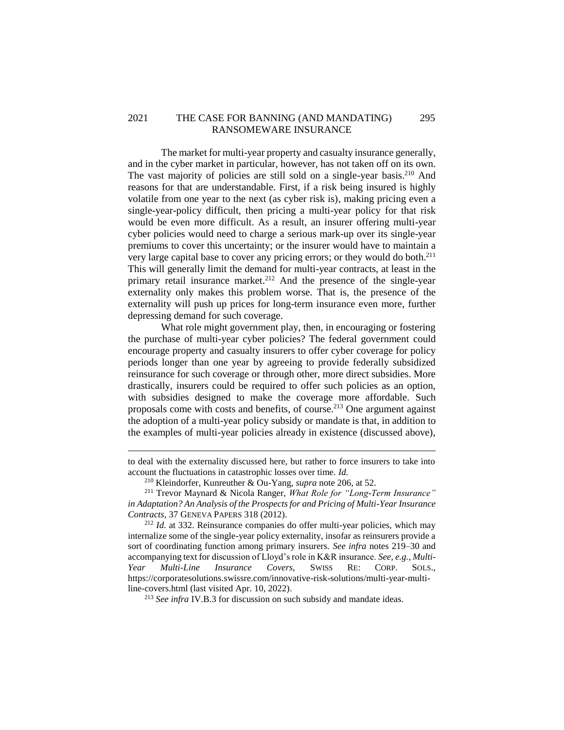## 2021 THE CASE FOR BANNING (AND MANDATING) 295 RANSOMEWARE INSURANCE

The market for multi-year property and casualty insurance generally, and in the cyber market in particular, however, has not taken off on its own. The vast majority of policies are still sold on a single-year basis.<sup>210</sup> And reasons for that are understandable. First, if a risk being insured is highly volatile from one year to the next (as cyber risk is), making pricing even a single-year-policy difficult, then pricing a multi-year policy for that risk would be even more difficult. As a result, an insurer offering multi-year cyber policies would need to charge a serious mark-up over its single-year premiums to cover this uncertainty; or the insurer would have to maintain a very large capital base to cover any pricing errors; or they would do both.<sup>211</sup> This will generally limit the demand for multi-year contracts, at least in the primary retail insurance market.<sup>212</sup> And the presence of the single-year externality only makes this problem worse. That is, the presence of the externality will push up prices for long-term insurance even more, further depressing demand for such coverage.

What role might government play, then, in encouraging or fostering the purchase of multi-year cyber policies? The federal government could encourage property and casualty insurers to offer cyber coverage for policy periods longer than one year by agreeing to provide federally subsidized reinsurance for such coverage or through other, more direct subsidies. More drastically, insurers could be required to offer such policies as an option, with subsidies designed to make the coverage more affordable. Such proposals come with costs and benefits, of course. <sup>213</sup> One argument against the adoption of a multi-year policy subsidy or mandate is that, in addition to the examples of multi-year policies already in existence (discussed above),

 $\overline{a}$ 

<sup>213</sup> *See infra* IV.B.3 for discussion on such subsidy and mandate ideas.

to deal with the externality discussed here, but rather to force insurers to take into account the fluctuations in catastrophic losses over time. *Id.*

<sup>210</sup> Kleindorfer, Kunreuther & Ou-Yang, *supra* note 206, at 52.

<sup>211</sup> Trevor Maynard & Nicola Ranger, *What Role for "Long-Term Insurance" in Adaptation? An Analysis of the Prospects for and Pricing of Multi-Year Insurance Contracts*, 37 GENEVA PAPERS 318 (2012).

<sup>212</sup> *Id.* at 332. Reinsurance companies do offer multi-year policies, which may internalize some of the single-year policy externality, insofar as reinsurers provide a sort of coordinating function among primary insurers. *See infra* notes 219–30 and accompanying text for discussion of Lloyd's role in K&R insurance. *See, e.g.*, *Multi-Year Multi-Line Insurance Covers*, SWISS RE: CORP. SOLS., https://corporatesolutions.swissre.com/innovative-risk-solutions/multi-year-multiline-covers.html (last visited Apr. 10, 2022).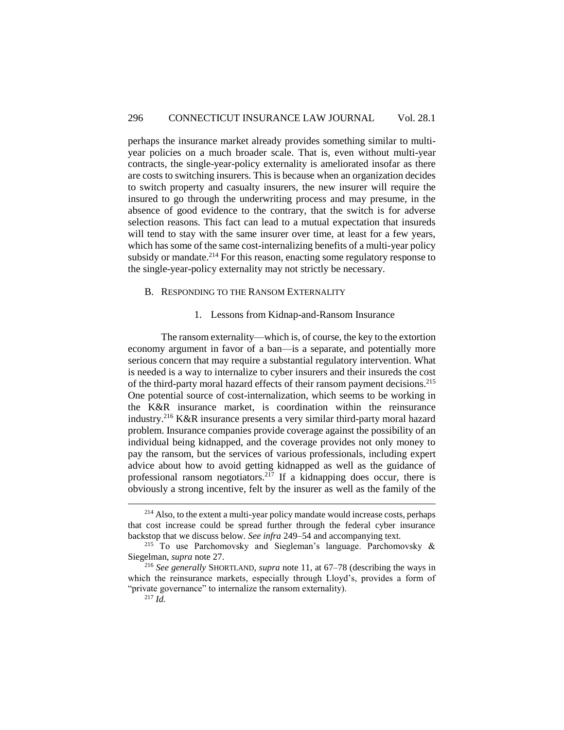perhaps the insurance market already provides something similar to multiyear policies on a much broader scale. That is, even without multi-year contracts, the single-year-policy externality is ameliorated insofar as there are costs to switching insurers. This is because when an organization decides to switch property and casualty insurers, the new insurer will require the insured to go through the underwriting process and may presume, in the absence of good evidence to the contrary, that the switch is for adverse selection reasons. This fact can lead to a mutual expectation that insureds will tend to stay with the same insurer over time, at least for a few years, which has some of the same cost-internalizing benefits of a multi-year policy subsidy or mandate.<sup>214</sup> For this reason, enacting some regulatory response to the single-year-policy externality may not strictly be necessary.

#### <span id="page-49-0"></span>B. RESPONDING TO THE RANSOM EXTERNALITY

#### 1. Lessons from Kidnap-and-Ransom Insurance

<span id="page-49-1"></span>The ransom externality—which is, of course, the key to the extortion economy argument in favor of a ban—is a separate, and potentially more serious concern that may require a substantial regulatory intervention. What is needed is a way to internalize to cyber insurers and their insureds the cost of the third-party moral hazard effects of their ransom payment decisions. 215 One potential source of cost-internalization, which seems to be working in the K&R insurance market, is coordination within the reinsurance industry.<sup>216</sup> K&R insurance presents a very similar third-party moral hazard problem. Insurance companies provide coverage against the possibility of an individual being kidnapped, and the coverage provides not only money to pay the ransom, but the services of various professionals, including expert advice about how to avoid getting kidnapped as well as the guidance of professional ransom negotiators.<sup>217</sup> If a kidnapping does occur, there is obviously a strong incentive, felt by the insurer as well as the family of the

<sup>&</sup>lt;sup>214</sup> Also, to the extent a multi-year policy mandate would increase costs, perhaps that cost increase could be spread further through the federal cyber insurance backstop that we discuss below. *See infra* 249–54 and accompanying text.

<sup>&</sup>lt;sup>215</sup> To use Parchomovsky and Siegleman's language. Parchomovsky  $\&$ Siegelman, *supra* note 27.

<sup>216</sup> *See generally* SHORTLAND, *supra* note 11, at 67–78 (describing the ways in which the reinsurance markets, especially through Lloyd's, provides a form of "private governance" to internalize the ransom externality).

<sup>217</sup> *Id.*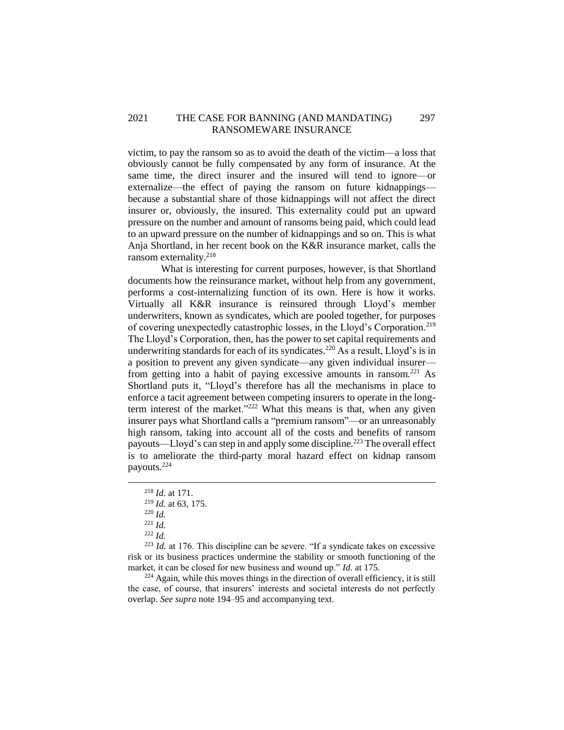## 2021 THE CASE FOR BANNING (AND MANDATING) 297 RANSOMEWARE INSURANCE

victim, to pay the ransom so as to avoid the death of the victim—a loss that obviously cannot be fully compensated by any form of insurance. At the same time, the direct insurer and the insured will tend to ignore—or externalize—the effect of paying the ransom on future kidnappings because a substantial share of those kidnappings will not affect the direct insurer or, obviously, the insured. This externality could put an upward pressure on the number and amount of ransoms being paid, which could lead to an upward pressure on the number of kidnappings and so on. This is what Anja Shortland, in her recent book on the K&R insurance market, calls the ransom externality. 218

What is interesting for current purposes, however, is that Shortland documents how the reinsurance market, without help from any government, performs a cost-internalizing function of its own. Here is how it works. Virtually all K&R insurance is reinsured through Lloyd's member underwriters, known as syndicates, which are pooled together, for purposes of covering unexpectedly catastrophic losses, in the Lloyd's Corporation.<sup>219</sup> The Lloyd's Corporation, then, has the power to set capital requirements and underwriting standards for each of its syndicates. <sup>220</sup> As a result, Lloyd's is in a position to prevent any given syndicate—any given individual insurer from getting into a habit of paying excessive amounts in ransom.<sup>221</sup> As Shortland puts it, "Lloyd's therefore has all the mechanisms in place to enforce a tacit agreement between competing insurers to operate in the longterm interest of the market."<sup>222</sup> What this means is that, when any given insurer pays what Shortland calls a "premium ransom"—or an unreasonably high ransom, taking into account all of the costs and benefits of ransom payouts—Lloyd's can step in and apply some discipline.<sup>223</sup> The overall effect is to ameliorate the third-party moral hazard effect on kidnap ransom payouts. 224

 $\overline{a}$ 

 $224$  Again, while this moves things in the direction of overall efficiency, it is still the case, of course, that insurers' interests and societal interests do not perfectly overlap. *See supra* note 194–95 and accompanying text.

<sup>218</sup> *Id.* at 171.

<sup>219</sup> *Id.* at 63, 175.

<sup>220</sup> *Id.*

<sup>221</sup> *Id.*

<sup>222</sup> *Id.*

<sup>223</sup> *Id.* at 176. This discipline can be severe. "If a syndicate takes on excessive risk or its business practices undermine the stability or smooth functioning of the market, it can be closed for new business and wound up." *Id.* at 175.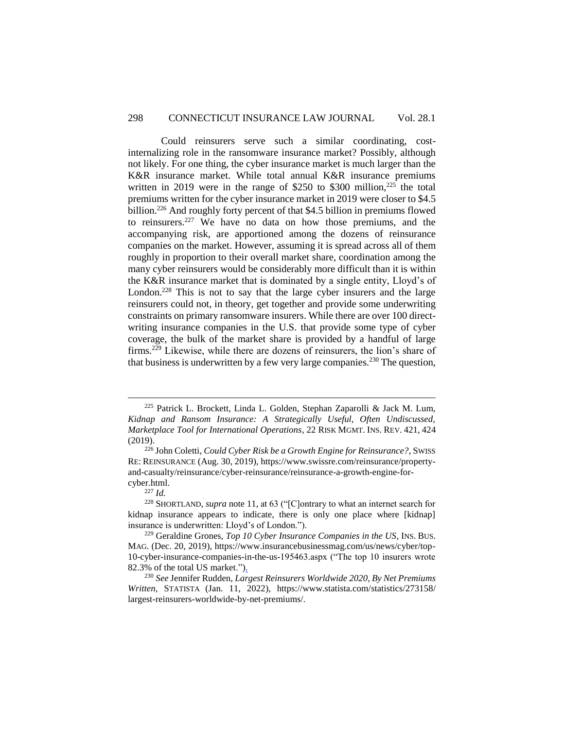Could reinsurers serve such a similar coordinating, costinternalizing role in the ransomware insurance market? Possibly, although not likely. For one thing, the cyber insurance market is much larger than the K&R insurance market. While total annual K&R insurance premiums written in 2019 were in the range of \$250 to \$300 million, $^{225}$  the total premiums written for the cyber insurance market in 2019 were closer to \$4.5 billion. <sup>226</sup> And roughly forty percent of that \$4.5 billion in premiums flowed to reinsurers.<sup>227</sup> We have no data on how those premiums, and the accompanying risk, are apportioned among the dozens of reinsurance companies on the market. However, assuming it is spread across all of them roughly in proportion to their overall market share, coordination among the many cyber reinsurers would be considerably more difficult than it is within the K&R insurance market that is dominated by a single entity, Lloyd's of London.<sup>228</sup> This is not to say that the large cyber insurers and the large reinsurers could not, in theory, get together and provide some underwriting constraints on primary ransomware insurers. While there are over 100 directwriting insurance companies in the U.S. that provide some type of cyber coverage, the bulk of the market share is provided by a handful of large firms.<sup>229</sup> Likewise, while there are dozens of reinsurers, the lion's share of that business is underwritten by a few very large companies.<sup>230</sup> The question,

 $225$  Patrick L. Brockett, Linda L. Golden, Stephan Zaparolli & Jack M. Lum, *Kidnap and Ransom Insurance: A Strategically Useful, Often Undiscussed, Marketplace Tool for International Operations*, 22 RISK MGMT. INS. REV. 421, 424 (2019).

<sup>226</sup> John Coletti, *Could Cyber Risk be a Growth Engine for Reinsurance?*, SWISS RE: REINSURANCE (Aug. 30, 2019), https://www.swissre.com/reinsurance/propertyand-casualty/reinsurance/cyber-reinsurance/reinsurance-a-growth-engine-forcyber.html.

<sup>227</sup> *Id.*

<sup>228</sup> SHORTLAND, *supra* note 11, at 63 ("[C]ontrary to what an internet search for kidnap insurance appears to indicate, there is only one place where [kidnap] insurance is underwritten: Lloyd's of London.").

<sup>229</sup> Geraldine Grones, *Top 10 Cyber Insurance Companies in the US*, INS. BUS. MAG. (Dec. 20, 2019), https://www.insurancebusinessmag.com/us/news/cyber/top-10-cyber-insurance-companies-in-the-us-195463.aspx ("The top 10 insurers wrote 82.3% of the total US market.").

<sup>230</sup> *See* Jennifer Rudden, *Largest Reinsurers Worldwide 2020, By Net Premiums Written*, STATISTA (Jan. 11, 2022), https://www.statista.com/statistics/273158/ largest-reinsurers-worldwide-by-net-premiums/.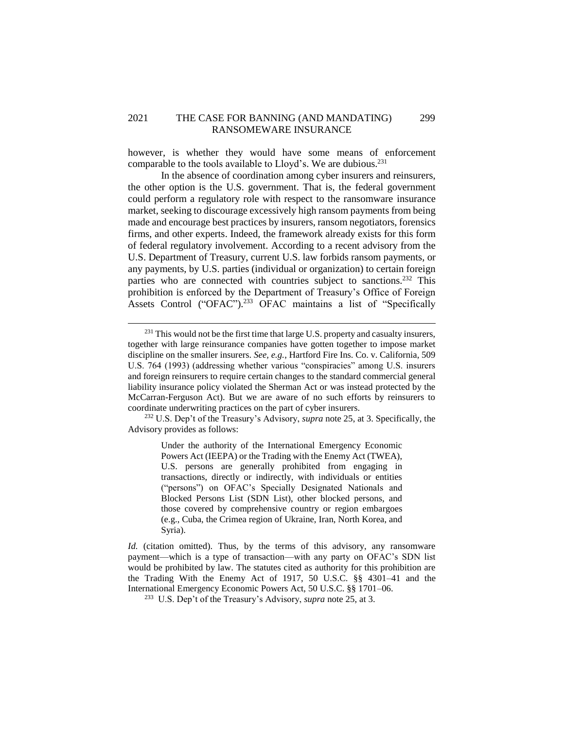## 2021 THE CASE FOR BANNING (AND MANDATING) 299 RANSOMEWARE INSURANCE

however, is whether they would have some means of enforcement comparable to the tools available to Lloyd's. We are dubious.<sup>231</sup>

In the absence of coordination among cyber insurers and reinsurers, the other option is the U.S. government. That is, the federal government could perform a regulatory role with respect to the ransomware insurance market, seeking to discourage excessively high ransom payments from being made and encourage best practices by insurers, ransom negotiators, forensics firms, and other experts. Indeed, the framework already exists for this form of federal regulatory involvement. According to a recent advisory from the U.S. Department of Treasury, current U.S. law forbids ransom payments, or any payments, by U.S. parties (individual or organization) to certain foreign parties who are connected with countries subject to sanctions.<sup>232</sup> This prohibition is enforced by the Department of Treasury's Office of Foreign Assets Control ("OFAC"). <sup>233</sup> OFAC maintains a list of "Specifically

 $\overline{a}$ 

<sup>232</sup> U.S. Dep't of the Treasury's Advisory, *supra* note 25, at 3. Specifically, the Advisory provides as follows:

> Under the authority of the International Emergency Economic Powers Act (IEEPA) or the Trading with the Enemy Act (TWEA), U.S. persons are generally prohibited from engaging in transactions, directly or indirectly, with individuals or entities ("persons") on OFAC's Specially Designated Nationals and Blocked Persons List (SDN List), other blocked persons, and those covered by comprehensive country or region embargoes (e.g., Cuba, the Crimea region of Ukraine, Iran, North Korea, and Syria).

 $231$  This would not be the first time that large U.S. property and casualty insurers, together with large reinsurance companies have gotten together to impose market discipline on the smaller insurers. *See, e.g.*, Hartford Fire Ins. Co. v. California, 509 U.S. 764 (1993) (addressing whether various "conspiracies" among U.S. insurers and foreign reinsurers to require certain changes to the standard commercial general liability insurance policy violated the Sherman Act or was instead protected by the McCarran-Ferguson Act). But we are aware of no such efforts by reinsurers to coordinate underwriting practices on the part of cyber insurers.

*Id.* (citation omitted). Thus, by the terms of this advisory, any ransomware payment—which is a type of transaction—with any party on OFAC's SDN list would be prohibited by law. The statutes cited as authority for this prohibition are the Trading With the Enemy Act of 1917, 50 U.S.C. §§ 4301–41 and the International Emergency Economic Powers Act, 50 U.S.C. §§ 1701–06.

<sup>233</sup> U.S. Dep't of the Treasury's Advisory, *supra* note 25, at 3.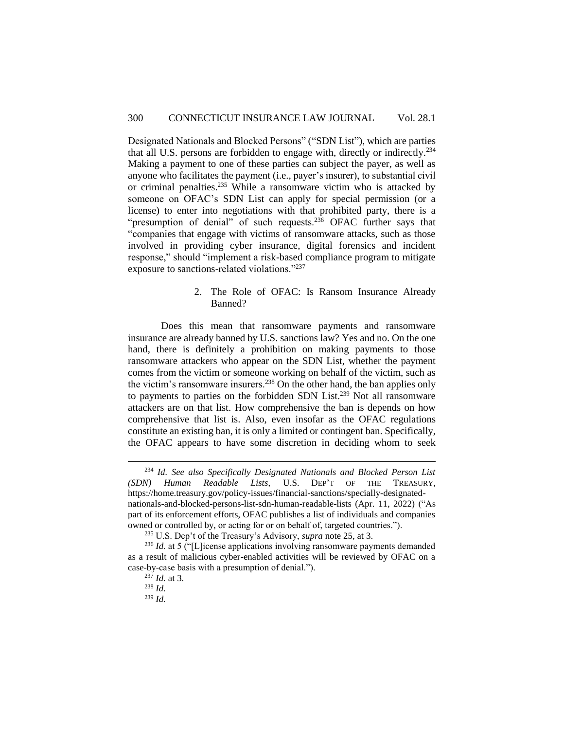Designated Nationals and Blocked Persons" ("SDN List"), which are parties that all U.S. persons are forbidden to engage with, directly or indirectly.<sup>234</sup> Making a payment to one of these parties can subject the payer, as well as anyone who facilitates the payment (i.e., payer's insurer), to substantial civil or criminal penalties. <sup>235</sup> While a ransomware victim who is attacked by someone on OFAC's SDN List can apply for special permission (or a license) to enter into negotiations with that prohibited party, there is a "presumption of denial" of such requests.<sup>236</sup> OFAC further says that "companies that engage with victims of ransomware attacks, such as those involved in providing cyber insurance, digital forensics and incident response," should "implement a risk-based compliance program to mitigate exposure to sanctions-related violations."<sup>237</sup>

> 2. The Role of OFAC: Is Ransom Insurance Already Banned?

<span id="page-53-0"></span>Does this mean that ransomware payments and ransomware insurance are already banned by U.S. sanctions law? Yes and no. On the one hand, there is definitely a prohibition on making payments to those ransomware attackers who appear on the SDN List, whether the payment comes from the victim or someone working on behalf of the victim, such as the victim's ransomware insurers.<sup>238</sup> On the other hand, the ban applies only to payments to parties on the forbidden SDN List.<sup>239</sup> Not all ransomware attackers are on that list. How comprehensive the ban is depends on how comprehensive that list is. Also, even insofar as the OFAC regulations constitute an existing ban, it is only a limited or contingent ban. Specifically, the OFAC appears to have some discretion in deciding whom to seek

<sup>234</sup> *Id. See also Specifically Designated Nationals and Blocked Person List (SDN) Human Readable Lists*, U.S. DEP'T OF THE TREASURY, https://home.treasury.gov/policy-issues/financial-sanctions/specially-designatednationals-and-blocked-persons-list-sdn-human-readable-lists (Apr. 11, 2022) ("As part of its enforcement efforts, OFAC publishes a list of individuals and companies owned or controlled by, or acting for or on behalf of, targeted countries.").

<sup>235</sup> U.S. Dep't of the Treasury's Advisory, *supra* note 25, at 3.

<sup>&</sup>lt;sup>236</sup> *Id.* at 5 ("[L]icense applications involving ransomware payments demanded as a result of malicious cyber-enabled activities will be reviewed by OFAC on a case-by-case basis with a presumption of denial.").

 $^{237}$  *Id.* at 3.

<sup>238</sup> *Id.*

<sup>239</sup> *Id.*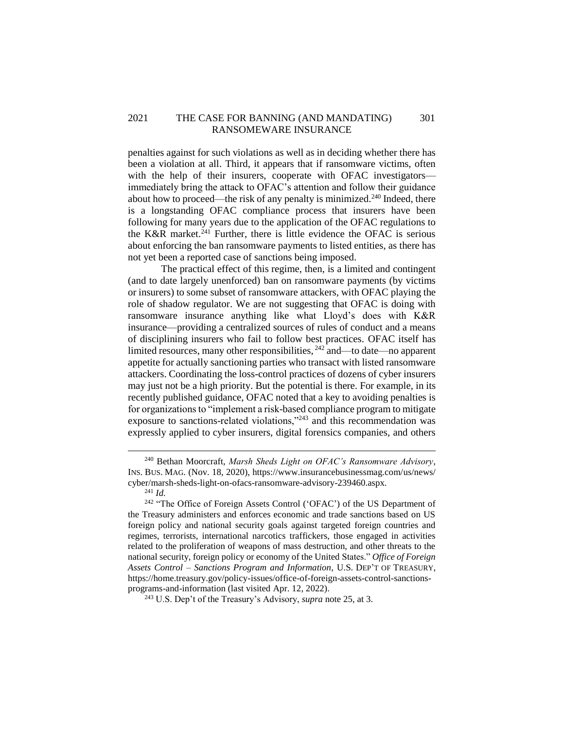## 2021 THE CASE FOR BANNING (AND MANDATING) 301 RANSOMEWARE INSURANCE

penalties against for such violations as well as in deciding whether there has been a violation at all. Third, it appears that if ransomware victims, often with the help of their insurers, cooperate with OFAC investigators immediately bring the attack to OFAC's attention and follow their guidance about how to proceed—the risk of any penalty is minimized.<sup>240</sup> Indeed, there is a longstanding OFAC compliance process that insurers have been following for many years due to the application of the OFAC regulations to the K&R market.<sup>241</sup> Further, there is little evidence the OFAC is serious about enforcing the ban ransomware payments to listed entities, as there has not yet been a reported case of sanctions being imposed.

The practical effect of this regime, then, is a limited and contingent (and to date largely unenforced) ban on ransomware payments (by victims or insurers) to some subset of ransomware attackers, with OFAC playing the role of shadow regulator. We are not suggesting that OFAC is doing with ransomware insurance anything like what Lloyd's does with K&R insurance—providing a centralized sources of rules of conduct and a means of disciplining insurers who fail to follow best practices. OFAC itself has limited resources, many other responsibilities, <sup>242</sup> and—to date—no apparent appetite for actually sanctioning parties who transact with listed ransomware attackers. Coordinating the loss-control practices of dozens of cyber insurers may just not be a high priority. But the potential is there. For example, in its recently published guidance, OFAC noted that a key to avoiding penalties is for organizations to "implement a risk-based compliance program to mitigate exposure to sanctions-related violations,"<sup>243</sup> and this recommendation was expressly applied to cyber insurers, digital forensics companies, and others

<sup>241</sup> *Id.*

<sup>240</sup> Bethan Moorcraft, *Marsh Sheds Light on OFAC's Ransomware Advisory*, INS. BUS. MAG. (Nov. 18, 2020), https://www.insurancebusinessmag.com/us/news/ cyber/marsh-sheds-light-on-ofacs-ransomware-advisory-239460.aspx.

<sup>&</sup>lt;sup>242</sup> "The Office of Foreign Assets Control ('OFAC') of the US Department of the Treasury administers and enforces economic and trade sanctions based on US foreign policy and national security goals against targeted foreign countries and regimes, terrorists, international narcotics traffickers, those engaged in activities related to the proliferation of weapons of mass destruction, and other threats to the national security, foreign policy or economy of the United States." *Office of Foreign Assets Control – Sanctions Program and Information*, U.S. DEP'T OF TREASURY, https://home.treasury.gov/policy-issues/office-of-foreign-assets-control-sanctionsprograms-and-information (last visited Apr. 12, 2022).

<sup>243</sup> U.S. Dep't of the Treasury's Advisory, *supra* note 25, at 3.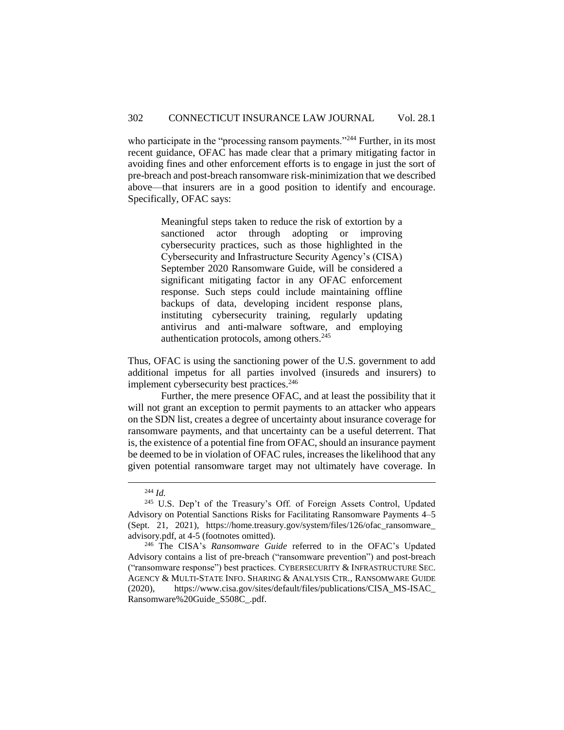who participate in the "processing ransom payments."<sup>244</sup> Further, in its most recent guidance, OFAC has made clear that a primary mitigating factor in avoiding fines and other enforcement efforts is to engage in just the sort of pre-breach and post-breach ransomware risk-minimization that we described above—that insurers are in a good position to identify and encourage. Specifically, OFAC says:

> Meaningful steps taken to reduce the risk of extortion by a sanctioned actor through adopting or improving cybersecurity practices, such as those highlighted in the Cybersecurity and Infrastructure Security Agency's (CISA) September 2020 Ransomware Guide, will be considered a significant mitigating factor in any OFAC enforcement response. Such steps could include maintaining offline backups of data, developing incident response plans, instituting cybersecurity training, regularly updating antivirus and anti-malware software, and employing authentication protocols, among others.<sup>245</sup>

Thus, OFAC is using the sanctioning power of the U.S. government to add additional impetus for all parties involved (insureds and insurers) to implement cybersecurity best practices.<sup>246</sup>

Further, the mere presence OFAC, and at least the possibility that it will not grant an exception to permit payments to an attacker who appears on the SDN list, creates a degree of uncertainty about insurance coverage for ransomware payments, and that uncertainty can be a useful deterrent. That is, the existence of a potential fine from OFAC, should an insurance payment be deemed to be in violation of OFAC rules, increases the likelihood that any given potential ransomware target may not ultimately have coverage. In

<sup>244</sup> *Id.*

<sup>&</sup>lt;sup>245</sup> U.S. Dep't of the Treasury's Off. of Foreign Assets Control, Updated Advisory on Potential Sanctions Risks for Facilitating Ransomware Payments 4–5 (Sept. 21, 2021), https://home.treasury.gov/system/files/126/ofac\_ransomware\_ advisory.pdf, at 4-5 (footnotes omitted).

<sup>246</sup> The CISA's *Ransomware Guide* referred to in the OFAC's Updated Advisory contains a list of pre-breach ("ransomware prevention") and post-breach ("ransomware response") best practices. CYBERSECURITY & INFRASTRUCTURE SEC. AGENCY & MULTI-STATE INFO. SHARING & ANALYSIS CTR., RANSOMWARE GUIDE (2020), https://www.cisa.gov/sites/default/files/publications/CISA\_MS-ISAC\_ Ransomware%20Guide\_S508C\_.pdf.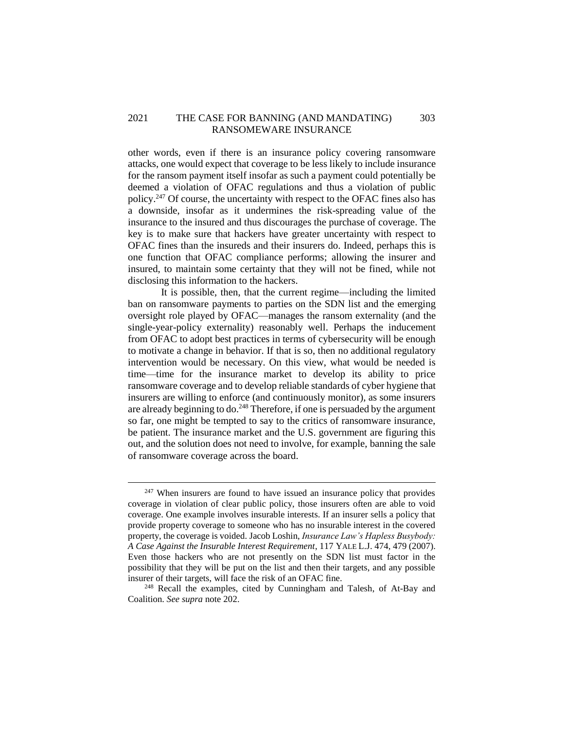## 2021 THE CASE FOR BANNING (AND MANDATING) 303 RANSOMEWARE INSURANCE

other words, even if there is an insurance policy covering ransomware attacks, one would expect that coverage to be less likely to include insurance for the ransom payment itself insofar as such a payment could potentially be deemed a violation of OFAC regulations and thus a violation of public policy.<sup>247</sup> Of course, the uncertainty with respect to the OFAC fines also has a downside, insofar as it undermines the risk-spreading value of the insurance to the insured and thus discourages the purchase of coverage. The key is to make sure that hackers have greater uncertainty with respect to OFAC fines than the insureds and their insurers do. Indeed, perhaps this is one function that OFAC compliance performs; allowing the insurer and insured, to maintain some certainty that they will not be fined, while not disclosing this information to the hackers.

It is possible, then, that the current regime—including the limited ban on ransomware payments to parties on the SDN list and the emerging oversight role played by OFAC—manages the ransom externality (and the single-year-policy externality) reasonably well. Perhaps the inducement from OFAC to adopt best practices in terms of cybersecurity will be enough to motivate a change in behavior. If that is so, then no additional regulatory intervention would be necessary. On this view, what would be needed is time—time for the insurance market to develop its ability to price ransomware coverage and to develop reliable standards of cyber hygiene that insurers are willing to enforce (and continuously monitor), as some insurers are already beginning to do.<sup>248</sup> Therefore, if one is persuaded by the argument so far, one might be tempted to say to the critics of ransomware insurance, be patient. The insurance market and the U.S. government are figuring this out, and the solution does not need to involve, for example, banning the sale of ransomware coverage across the board.

 $247$  When insurers are found to have issued an insurance policy that provides coverage in violation of clear public policy, those insurers often are able to void coverage. One example involves insurable interests. If an insurer sells a policy that provide property coverage to someone who has no insurable interest in the covered property, the coverage is voided. Jacob Loshin, *Insurance Law's Hapless Busybody: A Case Against the Insurable Interest Requirement*, 117 YALE L.J. 474, 479 (2007). Even those hackers who are not presently on the SDN list must factor in the possibility that they will be put on the list and then their targets, and any possible insurer of their targets, will face the risk of an OFAC fine.

<sup>&</sup>lt;sup>248</sup> Recall the examples, cited by Cunningham and Talesh, of At-Bay and Coalition. *See supra* note 202.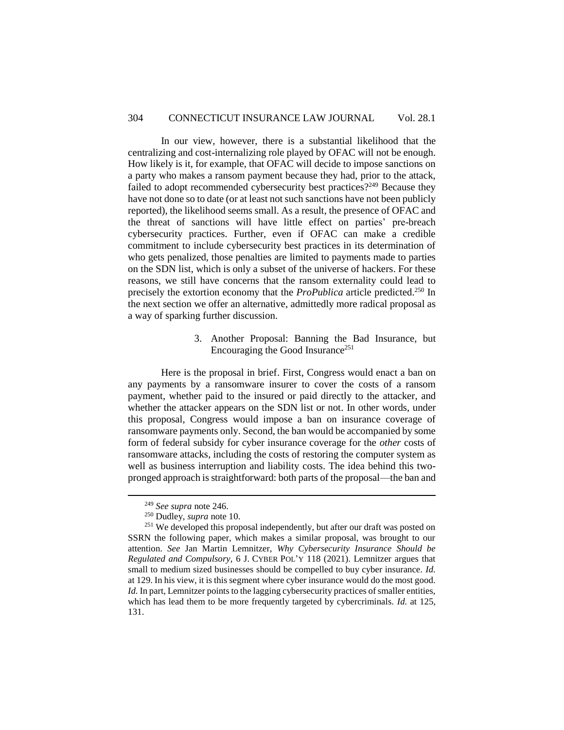In our view, however, there is a substantial likelihood that the centralizing and cost-internalizing role played by OFAC will not be enough. How likely is it, for example, that OFAC will decide to impose sanctions on a party who makes a ransom payment because they had, prior to the attack, failed to adopt recommended cybersecurity best practices?<sup>249</sup> Because they have not done so to date (or at least not such sanctions have not been publicly reported), the likelihood seems small. As a result, the presence of OFAC and the threat of sanctions will have little effect on parties' pre-breach cybersecurity practices. Further, even if OFAC can make a credible commitment to include cybersecurity best practices in its determination of who gets penalized, those penalties are limited to payments made to parties on the SDN list, which is only a subset of the universe of hackers. For these reasons, we still have concerns that the ransom externality could lead to precisely the extortion economy that the *ProPublica* article predicted.<sup>250</sup> In the next section we offer an alternative, admittedly more radical proposal as a way of sparking further discussion.

> 3. Another Proposal: Banning the Bad Insurance, but Encouraging the Good Insurance<sup>251</sup>

<span id="page-57-0"></span>Here is the proposal in brief. First, Congress would enact a ban on any payments by a ransomware insurer to cover the costs of a ransom payment, whether paid to the insured or paid directly to the attacker, and whether the attacker appears on the SDN list or not. In other words, under this proposal, Congress would impose a ban on insurance coverage of ransomware payments only. Second, the ban would be accompanied by some form of federal subsidy for cyber insurance coverage for the *other* costs of ransomware attacks, including the costs of restoring the computer system as well as business interruption and liability costs. The idea behind this twopronged approach is straightforward: both parts of the proposal—the ban and

<sup>249</sup> *See supra* note 246.

<sup>250</sup> Dudley, *supra* note 10.

<sup>&</sup>lt;sup>251</sup> We developed this proposal independently, but after our draft was posted on SSRN the following paper, which makes a similar proposal, was brought to our attention. *See* Jan Martin Lemnitzer, *Why Cybersecurity Insurance Should be Regulated and Compulsory*, 6 J. CYBER POL'Y 118 (2021). Lemnitzer argues that small to medium sized businesses should be compelled to buy cyber insurance. *Id.* at 129. In his view, it is this segment where cyber insurance would do the most good. *Id.* In part, Lemnitzer points to the lagging cybersecurity practices of smaller entities, which has lead them to be more frequently targeted by cybercriminals. *Id.* at 125, 131.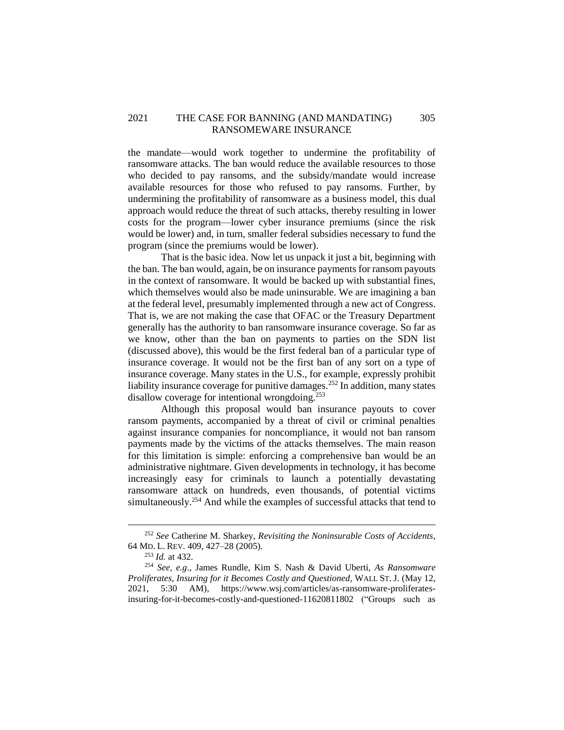## 2021 THE CASE FOR BANNING (AND MANDATING) 305 RANSOMEWARE INSURANCE

the mandate—would work together to undermine the profitability of ransomware attacks. The ban would reduce the available resources to those who decided to pay ransoms, and the subsidy/mandate would increase available resources for those who refused to pay ransoms. Further, by undermining the profitability of ransomware as a business model, this dual approach would reduce the threat of such attacks, thereby resulting in lower costs for the program—lower cyber insurance premiums (since the risk would be lower) and, in turn, smaller federal subsidies necessary to fund the program (since the premiums would be lower).

That is the basic idea. Now let us unpack it just a bit, beginning with the ban. The ban would, again, be on insurance payments for ransom payouts in the context of ransomware. It would be backed up with substantial fines, which themselves would also be made uninsurable. We are imagining a ban at the federal level, presumably implemented through a new act of Congress. That is, we are not making the case that OFAC or the Treasury Department generally has the authority to ban ransomware insurance coverage. So far as we know, other than the ban on payments to parties on the SDN list (discussed above), this would be the first federal ban of a particular type of insurance coverage. It would not be the first ban of any sort on a type of insurance coverage. Many states in the U.S., for example, expressly prohibit liability insurance coverage for punitive damages.<sup>252</sup> In addition, many states disallow coverage for intentional wrongdoing.<sup>253</sup>

Although this proposal would ban insurance payouts to cover ransom payments, accompanied by a threat of civil or criminal penalties against insurance companies for noncompliance, it would not ban ransom payments made by the victims of the attacks themselves. The main reason for this limitation is simple: enforcing a comprehensive ban would be an administrative nightmare. Given developments in technology, it has become increasingly easy for criminals to launch a potentially devastating ransomware attack on hundreds, even thousands, of potential victims simultaneously.<sup>254</sup> And while the examples of successful attacks that tend to

<sup>252</sup> *See* Catherine M. Sharkey, *Revisiting the Noninsurable Costs of Accidents*, 64 MD. L. REV. 409, 427–28 (2005).

<sup>253</sup> *Id.* at 432.

<sup>254</sup> *See, e.g*., James Rundle, Kim S. Nash & David Uberti, *As Ransomware Proliferates, Insuring for it Becomes Costly and Questioned,* WALL ST. J. (May 12, 2021, 5:30 AM), https://www.wsj.com/articles/as-ransomware-proliferatesinsuring-for-it-becomes-costly-and-questioned-11620811802 ("Groups such as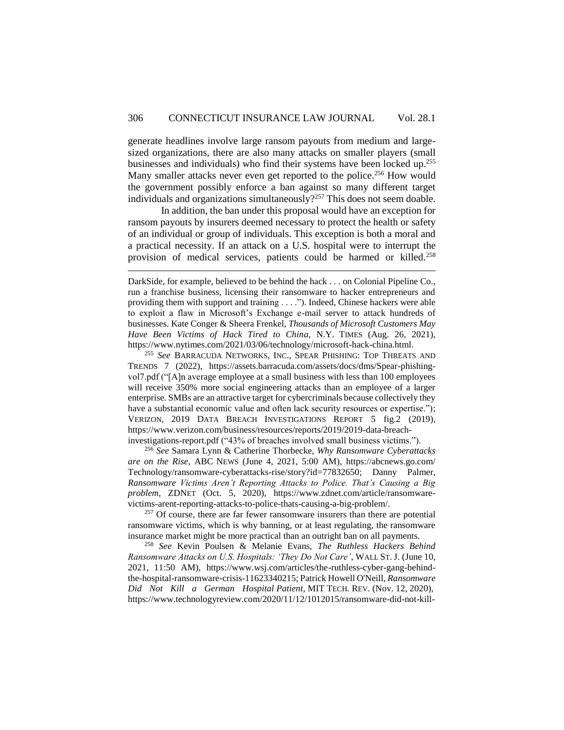generate headlines involve large ransom payouts from medium and largesized organizations, there are also many attacks on smaller players (small businesses and individuals) who find their systems have been locked up. 255 Many smaller attacks never even get reported to the police.<sup>256</sup> How would the government possibly enforce a ban against so many different target individuals and organizations simultaneously?<sup>257</sup> This does not seem doable.

In addition, the ban under this proposal would have an exception for ransom payouts by insurers deemed necessary to protect the health or safety of an individual or group of individuals. This exception is both a moral and a practical necessity. If an attack on a U.S. hospital were to interrupt the provision of medical services, patients could be harmed or killed.<sup>258</sup>

 $\overline{a}$ 

<sup>255</sup> *See* BARRACUDA NETWORKS, INC., SPEAR PHISHING: TOP THREATS AND TRENDS 7 (2022), https://assets.barracuda.com/assets/docs/dms/Spear-phishingvol7.pdf ("[A]n average employee at a small business with less than 100 employees will receive 350% more social engineering attacks than an employee of a larger enterprise. SMBs are an attractive target for cybercriminals because collectively they have a substantial economic value and often lack security resources or expertise."); VERIZON, 2019 DATA BREACH INVESTIGATIONS REPORT 5 fig.2 (2019), https://www.verizon.com/business/resources/reports/2019/2019-data-breachinvestigations-report.pdf ("43% of breaches involved small business victims.").

<sup>256</sup> *See* Samara Lynn & Catherine Thorbecke, *Why Ransomware Cyberattacks are on the Rise*, ABC NEWS (June 4, 2021, 5:00 AM), https://abcnews.go.com/ Technology/ransomware-cyberattacks-rise/story?id=77832650; Danny Palmer, *Ransomware Victims Aren't Reporting Attacks to Police. That's Causing a Big problem*, ZDNET (Oct. 5, 2020), https://www.zdnet.com/article/ransomwarevictims-arent-reporting-attacks-to-police-thats-causing-a-big-problem/.

<sup>257</sup> Of course, there are far fewer ransomware insurers than there are potential ransomware victims, which is why banning, or at least regulating, the ransomware insurance market might be more practical than an outright ban on all payments.

<sup>258</sup> *See* Kevin Poulsen & Melanie Evans, *The Ruthless Hackers Behind Ransomware Attacks on U.S. Hospitals: 'They Do Not Care'*, WALL ST. J. (June 10, 2021, 11:50 AM), https://www.wsj.com/articles/the-ruthless-cyber-gang-behindthe-hospital-ransomware-crisis-11623340215; Patrick Howell O'Neill, *Ransomware Did Not Kill a German Hospital Patient*, MIT TECH. REV. (Nov. 12, 2020), https://www.technologyreview.com/2020/11/12/1012015/ransomware-did-not-kill-

DarkSide, for example, believed to be behind the hack . . . on Colonial Pipeline Co., run a franchise business, licensing their ransomware to hacker entrepreneurs and providing them with support and training . . . ."). Indeed, Chinese hackers were able to exploit a flaw in Microsoft's Exchange e-mail server to attack hundreds of businesses. Kate Conger & Sheera Frenkel, *Thousands of Microsoft Customers May Have Been Victims of Hack Tired to China,* N.Y. TIMES (Aug. 26, 2021), https://www.nytimes.com/2021/03/06/technology/microsoft-hack-china.html.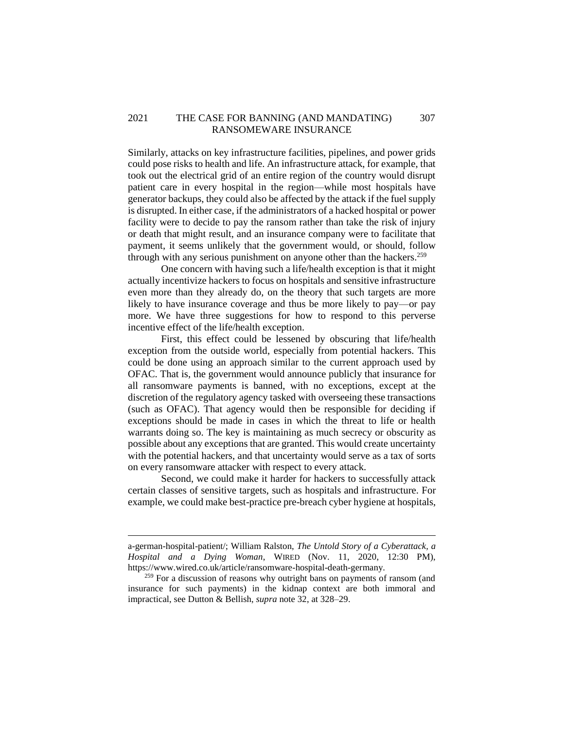## 2021 THE CASE FOR BANNING (AND MANDATING) 307 RANSOMEWARE INSURANCE

Similarly, attacks on key infrastructure facilities, pipelines, and power grids could pose risks to health and life. An infrastructure attack, for example, that took out the electrical grid of an entire region of the country would disrupt patient care in every hospital in the region—while most hospitals have generator backups, they could also be affected by the attack if the fuel supply is disrupted. In either case, if the administrators of a hacked hospital or power facility were to decide to pay the ransom rather than take the risk of injury or death that might result, and an insurance company were to facilitate that payment, it seems unlikely that the government would, or should, follow through with any serious punishment on anyone other than the hackers.<sup>259</sup>

One concern with having such a life/health exception is that it might actually incentivize hackers to focus on hospitals and sensitive infrastructure even more than they already do, on the theory that such targets are more likely to have insurance coverage and thus be more likely to pay—or pay more. We have three suggestions for how to respond to this perverse incentive effect of the life/health exception.

First, this effect could be lessened by obscuring that life/health exception from the outside world, especially from potential hackers. This could be done using an approach similar to the current approach used by OFAC. That is, the government would announce publicly that insurance for all ransomware payments is banned, with no exceptions, except at the discretion of the regulatory agency tasked with overseeing these transactions (such as OFAC). That agency would then be responsible for deciding if exceptions should be made in cases in which the threat to life or health warrants doing so. The key is maintaining as much secrecy or obscurity as possible about any exceptions that are granted. This would create uncertainty with the potential hackers, and that uncertainty would serve as a tax of sorts on every ransomware attacker with respect to every attack.

Second, we could make it harder for hackers to successfully attack certain classes of sensitive targets, such as hospitals and infrastructure. For example, we could make best-practice pre-breach cyber hygiene at hospitals,

a-german-hospital-patient/; William Ralston, *The Untold Story of a Cyberattack, a Hospital and a Dying Woman*, WIRED (Nov. 11, 2020, 12:30 PM), https://www.wired.co.uk/article/ransomware-hospital-death-germany.

<sup>&</sup>lt;sup>259</sup> For a discussion of reasons why outright bans on payments of ransom (and insurance for such payments) in the kidnap context are both immoral and impractical, see Dutton & Bellish, *supra* note 32, at 328–29.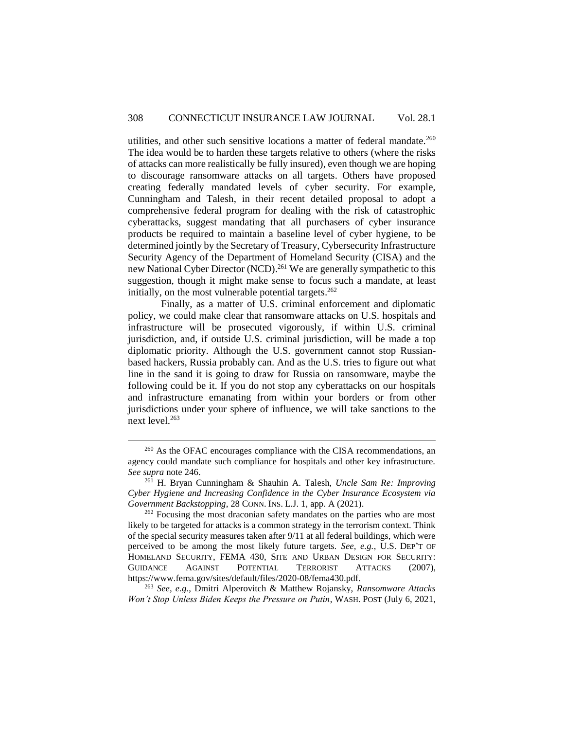utilities, and other such sensitive locations a matter of federal mandate.<sup>260</sup> The idea would be to harden these targets relative to others (where the risks of attacks can more realistically be fully insured), even though we are hoping to discourage ransomware attacks on all targets. Others have proposed creating federally mandated levels of cyber security. For example, Cunningham and Talesh, in their recent detailed proposal to adopt a comprehensive federal program for dealing with the risk of catastrophic cyberattacks, suggest mandating that all purchasers of cyber insurance products be required to maintain a baseline level of cyber hygiene, to be determined jointly by the Secretary of Treasury, Cybersecurity Infrastructure Security Agency of the Department of Homeland Security (CISA) and the new National Cyber Director (NCD).<sup>261</sup> We are generally sympathetic to this suggestion, though it might make sense to focus such a mandate, at least initially, on the most vulnerable potential targets.<sup>262</sup>

Finally, as a matter of U.S. criminal enforcement and diplomatic policy, we could make clear that ransomware attacks on U.S. hospitals and infrastructure will be prosecuted vigorously, if within U.S. criminal jurisdiction, and, if outside U.S. criminal jurisdiction, will be made a top diplomatic priority. Although the U.S. government cannot stop Russianbased hackers, Russia probably can. And as the U.S. tries to figure out what line in the sand it is going to draw for Russia on ransomware, maybe the following could be it. If you do not stop any cyberattacks on our hospitals and infrastructure emanating from within your borders or from other jurisdictions under your sphere of influence, we will take sanctions to the next level.<sup>263</sup>

 $\overline{a}$ 

<sup>263</sup> *See, e.g*., Dmitri Alperovitch & Matthew Rojansky, *Ransomware Attacks Won't Stop Unless Biden Keeps the Pressure on Putin*, WASH. POST (July 6, 2021,

<sup>&</sup>lt;sup>260</sup> As the OFAC encourages compliance with the CISA recommendations, an agency could mandate such compliance for hospitals and other key infrastructure. *See supra* note 246.

<sup>261</sup> H. Bryan Cunningham & Shauhin A. Talesh, *Uncle Sam Re: Improving Cyber Hygiene and Increasing Confidence in the Cyber Insurance Ecosystem via Government Backstopping*, 28 CONN. INS. L.J. 1, app. A (2021).

<sup>&</sup>lt;sup>262</sup> Focusing the most draconian safety mandates on the parties who are most likely to be targeted for attacks is a common strategy in the terrorism context. Think of the special security measures taken after 9/11 at all federal buildings, which were perceived to be among the most likely future targets. *See, e.g.*, U.S. DEP'T OF HOMELAND SECURITY, FEMA 430, SITE AND URBAN DESIGN FOR SECURITY: GUIDANCE AGAINST POTENTIAL TERRORIST ATTACKS (2007), https://www.fema.gov/sites/default/files/2020-08/fema430.pdf.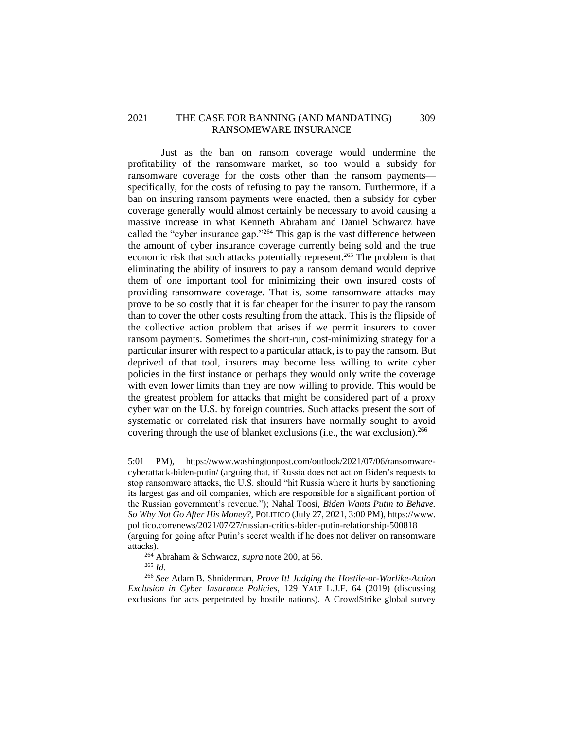## 2021 THE CASE FOR BANNING (AND MANDATING) 309 RANSOMEWARE INSURANCE

Just as the ban on ransom coverage would undermine the profitability of the ransomware market, so too would a subsidy for ransomware coverage for the costs other than the ransom payments specifically, for the costs of refusing to pay the ransom. Furthermore, if a ban on insuring ransom payments were enacted, then a subsidy for cyber coverage generally would almost certainly be necessary to avoid causing a massive increase in what Kenneth Abraham and Daniel Schwarcz have called the "cyber insurance gap."<sup>264</sup> This gap is the vast difference between the amount of cyber insurance coverage currently being sold and the true economic risk that such attacks potentially represent.<sup>265</sup> The problem is that eliminating the ability of insurers to pay a ransom demand would deprive them of one important tool for minimizing their own insured costs of providing ransomware coverage. That is, some ransomware attacks may prove to be so costly that it is far cheaper for the insurer to pay the ransom than to cover the other costs resulting from the attack. This is the flipside of the collective action problem that arises if we permit insurers to cover ransom payments. Sometimes the short-run, cost-minimizing strategy for a particular insurer with respect to a particular attack, is to pay the ransom. But deprived of that tool, insurers may become less willing to write cyber policies in the first instance or perhaps they would only write the coverage with even lower limits than they are now willing to provide. This would be the greatest problem for attacks that might be considered part of a proxy cyber war on the U.S. by foreign countries. Such attacks present the sort of systematic or correlated risk that insurers have normally sought to avoid covering through the use of blanket exclusions (i.e., the war exclusion). 266

<sup>264</sup> Abraham & Schwarcz, *supra* note 200, at 56.

<sup>265</sup> *Id.*

<sup>5:01</sup> PM), https://www.washingtonpost.com/outlook/2021/07/06/ransomwarecyberattack-biden-putin/ (arguing that, if Russia does not act on Biden's requests to stop ransomware attacks, the U.S. should "hit Russia where it hurts by sanctioning its largest gas and oil companies, which are responsible for a significant portion of the Russian government's revenue."); Nahal Toosi, *Biden Wants Putin to Behave. So Why Not Go After His Money?*, POLITICO (July 27, 2021, 3:00 PM), https://www. politico.com/news/2021/07/27/russian-critics-biden-putin-relationship-500818 (arguing for going after Putin's secret wealth if he does not deliver on ransomware attacks).

<sup>266</sup> *See* Adam B. Shniderman, *Prove It! Judging the Hostile-or-Warlike-Action Exclusion in Cyber Insurance Policies*, 129 YALE L.J.F. 64 (2019) (discussing exclusions for acts perpetrated by hostile nations). A CrowdStrike global survey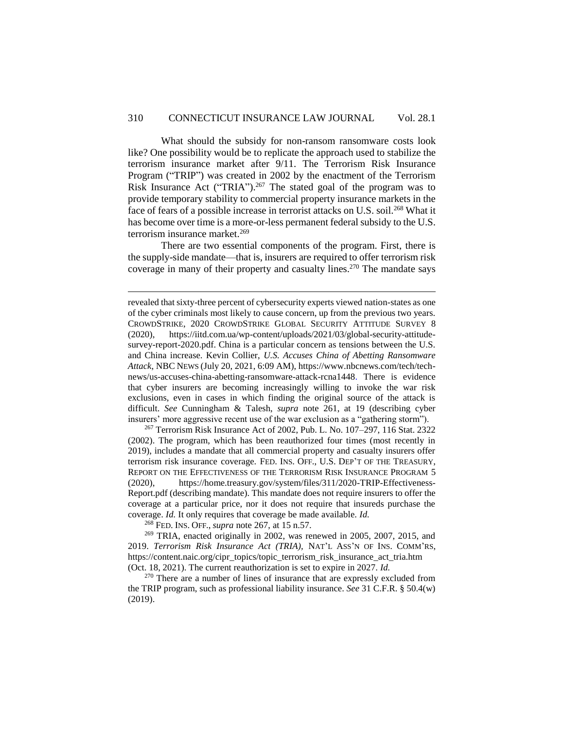What should the subsidy for non-ransom ransomware costs look like? One possibility would be to replicate the approach used to stabilize the terrorism insurance market after 9/11. The Terrorism Risk Insurance Program ("TRIP") was created in 2002 by the enactment of the Terrorism Risk Insurance Act ("TRIA").<sup>267</sup> The stated goal of the program was to provide temporary stability to commercial property insurance markets in the face of fears of a possible increase in terrorist attacks on U.S. soil.<sup>268</sup> What it has become over time is a more-or-less permanent federal subsidy to the U.S. terrorism insurance market.<sup>269</sup>

There are two essential components of the program. First, there is the supply-side mandate—that is, insurers are required to offer terrorism risk coverage in many of their property and casualty lines.<sup>270</sup> The mandate says

<sup>267</sup> Terrorism Risk Insurance Act of 2002, Pub. L. No. 107–297, 116 Stat. 2322 (2002). The program, which has been reauthorized four times (most recently in 2019), includes a mandate that all commercial property and casualty insurers offer terrorism risk insurance coverage. FED. INS. OFF., U.S. DEP'T OF THE TREASURY, REPORT ON THE EFFECTIVENESS OF THE TERRORISM RISK INSURANCE PROGRAM 5 (2020), https://home.treasury.gov/system/files/311/2020-TRIP-Effectiveness-Report.pdf (describing mandate). This mandate does not require insurers to offer the coverage at a particular price, nor it does not require that insureds purchase the coverage. *Id.* It only requires that coverage be made available. *Id.*

<sup>268</sup> FED. INS. OFF., *supra* note 267, at 15 n.57.

 $\overline{a}$ 

 $269$  TRIA, enacted originally in 2002, was renewed in 2005, 2007, 2015, and 2019. *Terrorism Risk Insurance Act (TRIA),* NAT'L ASS'N OF INS. COMM'RS, https://content.naic.org/cipr\_topics/topic\_terrorism\_risk\_insurance\_act\_tria.htm (Oct. 18, 2021). The current reauthorization is set to expire in 2027. *Id.*

<sup>270</sup> There are a number of lines of insurance that are expressly excluded from the TRIP program, such as professional liability insurance. *See* 31 C.F.R. § 50.4(w) (2019).

revealed that sixty-three percent of cybersecurity experts viewed nation-states as one of the cyber criminals most likely to cause concern, up from the previous two years. CROWDSTRIKE, 2020 CROWDSTRIKE GLOBAL SECURITY ATTITUDE SURVEY 8 (2020), https://iitd.com.ua/wp-content/uploads/2021/03/global-security-attitudesurvey-report-2020.pdf. China is a particular concern as tensions between the U.S. and China increase. Kevin Collier, *U.S. Accuses China of Abetting Ransomware Attack*, NBC NEWS (July 20, 2021, 6:09 AM), https://www.nbcnews.com/tech/technews/us-accuses-china-abetting-ransomware-attack-rcna1448. There is evidence that cyber insurers are becoming increasingly willing to invoke the war risk exclusions, even in cases in which finding the original source of the attack is difficult. *See* Cunningham & Talesh, *supra* note 261, at 19 (describing cyber insurers' more aggressive recent use of the war exclusion as a "gathering storm").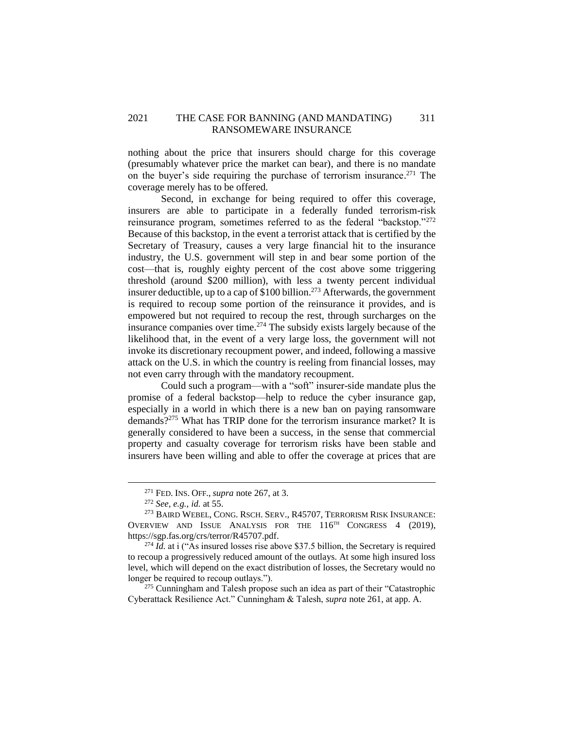## 2021 THE CASE FOR BANNING (AND MANDATING) 311 RANSOMEWARE INSURANCE

nothing about the price that insurers should charge for this coverage (presumably whatever price the market can bear), and there is no mandate on the buyer's side requiring the purchase of terrorism insurance. <sup>271</sup> The coverage merely has to be offered.

Second, in exchange for being required to offer this coverage, insurers are able to participate in a federally funded terrorism-risk reinsurance program, sometimes referred to as the federal "backstop."<sup>272</sup> Because of this backstop, in the event a terrorist attack that is certified by the Secretary of Treasury, causes a very large financial hit to the insurance industry, the U.S. government will step in and bear some portion of the cost—that is, roughly eighty percent of the cost above some triggering threshold (around \$200 million), with less a twenty percent individual insurer deductible, up to a cap of  $$100$  billion.<sup>273</sup> Afterwards, the government is required to recoup some portion of the reinsurance it provides, and is empowered but not required to recoup the rest, through surcharges on the insurance companies over time.<sup>274</sup> The subsidy exists largely because of the likelihood that, in the event of a very large loss, the government will not invoke its discretionary recoupment power, and indeed, following a massive attack on the U.S. in which the country is reeling from financial losses, may not even carry through with the mandatory recoupment.

Could such a program—with a "soft" insurer-side mandate plus the promise of a federal backstop—help to reduce the cyber insurance gap, especially in a world in which there is a new ban on paying ransomware demands?<sup>275</sup> What has TRIP done for the terrorism insurance market? It is generally considered to have been a success, in the sense that commercial property and casualty coverage for terrorism risks have been stable and insurers have been willing and able to offer the coverage at prices that are

<sup>271</sup> FED. INS. OFF., *supra* note 267, at 3.

<sup>272</sup> *See, e.g., id.* at 55.

<sup>273</sup> BAIRD WEBEL, CONG. RSCH. SERV., R45707, TERRORISM RISK INSURANCE: OVERVIEW AND ISSUE ANALYSIS FOR THE 116<sup>TH</sup> CONGRESS 4 (2019), https://sgp.fas.org/crs/terror/R45707.pdf.

 $^{274}$  *Id.* at i ("As insured losses rise above \$37.5 billion, the Secretary is required to recoup a progressively reduced amount of the outlays. At some high insured loss level, which will depend on the exact distribution of losses, the Secretary would no longer be required to recoup outlays.").

 $275$  Cunningham and Talesh propose such an idea as part of their "Catastrophic Cyberattack Resilience Act." Cunningham & Talesh, *supra* note 261, at app. A.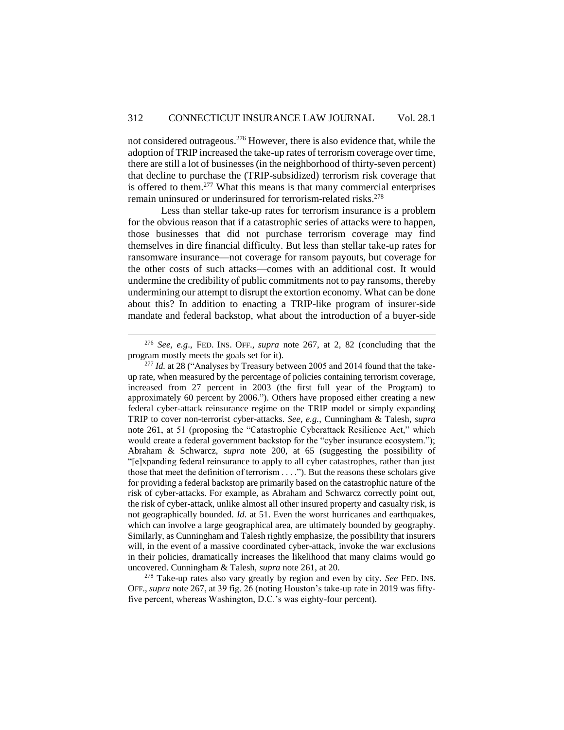not considered outrageous.<sup>276</sup> However, there is also evidence that, while the adoption of TRIP increased the take-up rates of terrorism coverage over time, there are still a lot of businesses (in the neighborhood of thirty-seven percent) that decline to purchase the (TRIP-subsidized) terrorism risk coverage that is offered to them.<sup>277</sup> What this means is that many commercial enterprises remain uninsured or underinsured for terrorism-related risks.<sup>278</sup>

Less than stellar take-up rates for terrorism insurance is a problem for the obvious reason that if a catastrophic series of attacks were to happen, those businesses that did not purchase terrorism coverage may find themselves in dire financial difficulty. But less than stellar take-up rates for ransomware insurance—not coverage for ransom payouts, but coverage for the other costs of such attacks—comes with an additional cost. It would undermine the credibility of public commitments not to pay ransoms, thereby undermining our attempt to disrupt the extortion economy. What can be done about this? In addition to enacting a TRIP-like program of insurer-side mandate and federal backstop, what about the introduction of a buyer-side

 $\overline{a}$ 

<sup>278</sup> Take-up rates also vary greatly by region and even by city. *See* FED. INS. OFF., *supra* note 267, at 39 fig. 26 (noting Houston's take-up rate in 2019 was fiftyfive percent, whereas Washington, D.C.'s was eighty-four percent).

<sup>276</sup> *See, e.g*., FED. INS. OFF., *supra* note 267, at 2, 82 (concluding that the program mostly meets the goals set for it).

<sup>&</sup>lt;sup>277</sup> *Id.* at 28 ("Analyses by Treasury between 2005 and 2014 found that the takeup rate, when measured by the percentage of policies containing terrorism coverage, increased from 27 percent in 2003 (the first full year of the Program) to approximately 60 percent by 2006."). Others have proposed either creating a new federal cyber-attack reinsurance regime on the TRIP model or simply expanding TRIP to cover non-terrorist cyber-attacks. *See, e.g.*, Cunningham & Talesh, *supra*  note 261, at 51 (proposing the "Catastrophic Cyberattack Resilience Act," which would create a federal government backstop for the "cyber insurance ecosystem."); Abraham & Schwarcz, *supra* note 200, at 65 (suggesting the possibility of "[e]xpanding federal reinsurance to apply to all cyber catastrophes, rather than just those that meet the definition of terrorism . . . ."). But the reasons these scholars give for providing a federal backstop are primarily based on the catastrophic nature of the risk of cyber-attacks. For example, as Abraham and Schwarcz correctly point out, the risk of cyber-attack, unlike almost all other insured property and casualty risk, is not geographically bounded. *Id.* at 51. Even the worst hurricanes and earthquakes, which can involve a large geographical area, are ultimately bounded by geography. Similarly, as Cunningham and Talesh rightly emphasize, the possibility that insurers will, in the event of a massive coordinated cyber-attack, invoke the war exclusions in their policies, dramatically increases the likelihood that many claims would go uncovered. Cunningham & Talesh, *supra* note 261, at 20.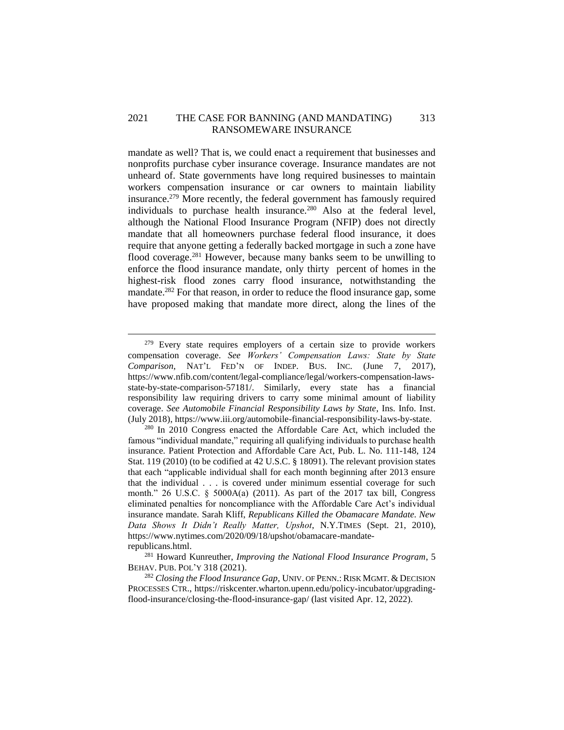## 2021 THE CASE FOR BANNING (AND MANDATING) 313 RANSOMEWARE INSURANCE

mandate as well? That is, we could enact a requirement that businesses and nonprofits purchase cyber insurance coverage. Insurance mandates are not unheard of. State governments have long required businesses to maintain workers compensation insurance or car owners to maintain liability insurance. <sup>279</sup> More recently, the federal government has famously required individuals to purchase health insurance.<sup>280</sup> Also at the federal level, although the National Flood Insurance Program (NFIP) does not directly mandate that all homeowners purchase federal flood insurance, it does require that anyone getting a federally backed mortgage in such a zone have flood coverage.<sup>281</sup> However, because many banks seem to be unwilling to enforce the flood insurance mandate, only thirty percent of homes in the highest-risk flood zones carry flood insurance, notwithstanding the mandate.<sup>282</sup> For that reason, in order to reduce the flood insurance gap, some have proposed making that mandate more direct, along the lines of the

 $279$  Every state requires employers of a certain size to provide workers compensation coverage. *See Workers' Compensation Laws: State by State Comparison*, NAT'L FED'N OF INDEP. BUS. INC. (June 7, 2017), https://www.nfib.com/content/legal-compliance/legal/workers-compensation-lawsstate-by-state-comparison-57181/. Similarly, every state has a financial responsibility law requiring drivers to carry some minimal amount of liability coverage. *See Automobile Financial Responsibility Laws by State*, Ins. Info. Inst. (July 2018), https://www.iii.org/automobile-financial-responsibility-laws-by-state.

<sup>&</sup>lt;sup>280</sup> In 2010 Congress enacted the Affordable Care Act, which included the famous "individual mandate," requiring all qualifying individuals to purchase health insurance. Patient Protection and Affordable Care Act, Pub. L. No. 111-148, 124 Stat. 119 (2010) (to be codified at 42 U.S.C. § 18091). The relevant provision states that each "applicable individual shall for each month beginning after 2013 ensure that the individual . . . is covered under minimum essential coverage for such month." 26 U.S.C.  $\S$  5000A(a) (2011). As part of the 2017 tax bill, Congress eliminated penalties for noncompliance with the Affordable Care Act's individual insurance mandate. Sarah Kliff, *Republicans Killed the Obamacare Mandate. New Data Shows It Didn't Really Matter, Upshot*, N.Y.TIMES (Sept. 21, 2010), https://www.nytimes.com/2020/09/18/upshot/obamacare-mandaterepublicans.html.

<sup>281</sup> Howard Kunreuther, *Improving the National Flood Insurance Program*, 5 BEHAV. PUB. POL'Y 318 (2021).

<sup>282</sup> *Closing the Flood Insurance Gap*, UNIV. OF PENN.: RISK MGMT. & DECISION PROCESSES CTR., https://riskcenter.wharton.upenn.edu/policy-incubator/upgradingflood-insurance/closing-the-flood-insurance-gap/ (last visited Apr. 12, 2022).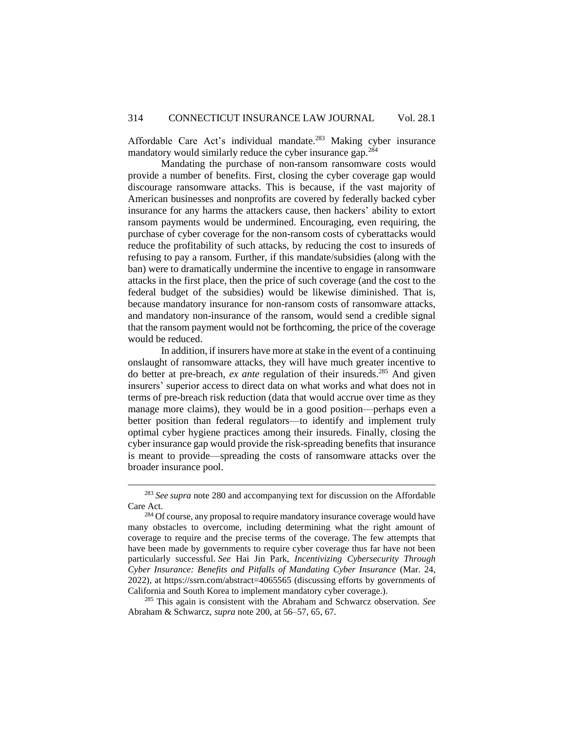Affordable Care Act's individual mandate.<sup>283</sup> Making cyber insurance mandatory would similarly reduce the cyber insurance gap.<sup>284</sup>

Mandating the purchase of non-ransom ransomware costs would provide a number of benefits. First, closing the cyber coverage gap would discourage ransomware attacks. This is because, if the vast majority of American businesses and nonprofits are covered by federally backed cyber insurance for any harms the attackers cause, then hackers' ability to extort ransom payments would be undermined. Encouraging, even requiring, the purchase of cyber coverage for the non-ransom costs of cyberattacks would reduce the profitability of such attacks, by reducing the cost to insureds of refusing to pay a ransom. Further, if this mandate/subsidies (along with the ban) were to dramatically undermine the incentive to engage in ransomware attacks in the first place, then the price of such coverage (and the cost to the federal budget of the subsidies) would be likewise diminished. That is, because mandatory insurance for non-ransom costs of ransomware attacks, and mandatory non-insurance of the ransom, would send a credible signal that the ransom payment would not be forthcoming, the price of the coverage would be reduced.

In addition, if insurers have more at stake in the event of a continuing onslaught of ransomware attacks, they will have much greater incentive to do better at pre-breach, *ex ante* regulation of their insureds.<sup>285</sup> And given insurers' superior access to direct data on what works and what does not in terms of pre-breach risk reduction (data that would accrue over time as they manage more claims), they would be in a good position—perhaps even a better position than federal regulators—to identify and implement truly optimal cyber hygiene practices among their insureds. Finally, closing the cyber insurance gap would provide the risk-spreading benefits that insurance is meant to provide—spreading the costs of ransomware attacks over the broader insurance pool.

<sup>283</sup> *See supra* note 280 and accompanying text for discussion on the Affordable Care Act.

<sup>&</sup>lt;sup>284</sup> Of course, any proposal to require mandatory insurance coverage would have many obstacles to overcome, including determining what the right amount of coverage to require and the precise terms of the coverage. The few attempts that have been made by governments to require cyber coverage thus far have not been particularly successful. *See* Hai Jin Park, *Incentivizing Cybersecurity Through Cyber Insurance: Benefits and Pitfalls of Mandating Cyber Insurance* (Mar. 24, 2022), at https://ssrn.com/abstract=4065565 (discussing efforts by governments of California and South Korea to implement mandatory cyber coverage.).

<sup>285</sup> This again is consistent with the Abraham and Schwarcz observation. *See* Abraham & Schwarcz, *supra* note 200, at 56–57, 65, 67.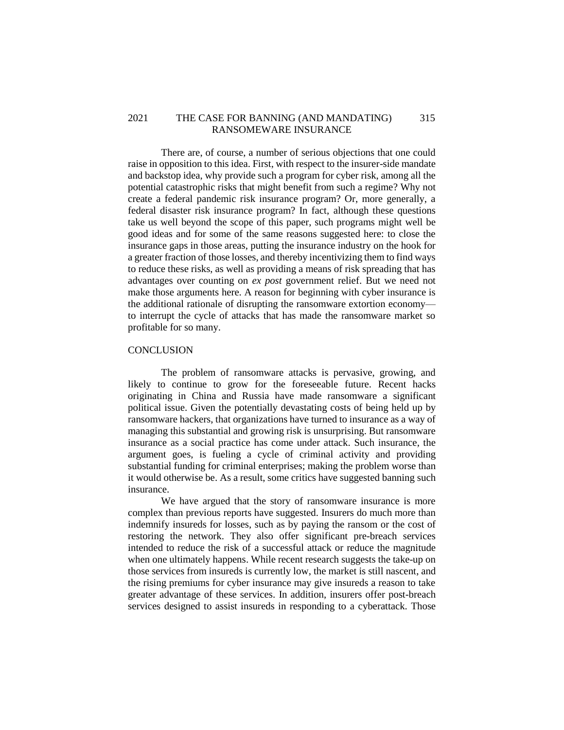## 2021 THE CASE FOR BANNING (AND MANDATING) 315 RANSOMEWARE INSURANCE

There are, of course, a number of serious objections that one could raise in opposition to this idea. First, with respect to the insurer-side mandate and backstop idea, why provide such a program for cyber risk, among all the potential catastrophic risks that might benefit from such a regime? Why not create a federal pandemic risk insurance program? Or, more generally, a federal disaster risk insurance program? In fact, although these questions take us well beyond the scope of this paper, such programs might well be good ideas and for some of the same reasons suggested here: to close the insurance gaps in those areas, putting the insurance industry on the hook for a greater fraction of those losses, and thereby incentivizing them to find ways to reduce these risks, as well as providing a means of risk spreading that has advantages over counting on *ex post* government relief. But we need not make those arguments here. A reason for beginning with cyber insurance is the additional rationale of disrupting the ransomware extortion economy to interrupt the cycle of attacks that has made the ransomware market so profitable for so many.

## <span id="page-68-0"></span>**CONCLUSION**

The problem of ransomware attacks is pervasive, growing, and likely to continue to grow for the foreseeable future. Recent hacks originating in China and Russia have made ransomware a significant political issue. Given the potentially devastating costs of being held up by ransomware hackers, that organizations have turned to insurance as a way of managing this substantial and growing risk is unsurprising. But ransomware insurance as a social practice has come under attack. Such insurance, the argument goes, is fueling a cycle of criminal activity and providing substantial funding for criminal enterprises; making the problem worse than it would otherwise be. As a result, some critics have suggested banning such insurance.

We have argued that the story of ransomware insurance is more complex than previous reports have suggested. Insurers do much more than indemnify insureds for losses, such as by paying the ransom or the cost of restoring the network. They also offer significant pre-breach services intended to reduce the risk of a successful attack or reduce the magnitude when one ultimately happens. While recent research suggests the take-up on those services from insureds is currently low, the market is still nascent, and the rising premiums for cyber insurance may give insureds a reason to take greater advantage of these services. In addition, insurers offer post-breach services designed to assist insureds in responding to a cyberattack. Those